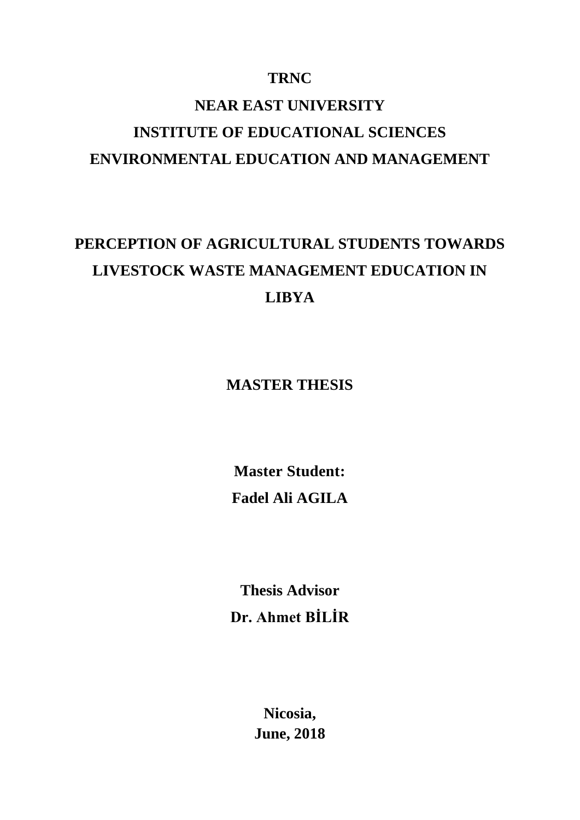# **TRNC**

# **NEAR EAST UNIVERSITY INSTITUTE OF EDUCATIONAL SCIENCES ENVIRONMENTAL EDUCATION AND MANAGEMENT**

# **PERCEPTION OF AGRICULTURAL STUDENTS TOWARDS LIVESTOCK WASTE MANAGEMENT EDUCATION IN LIBYA**

**MASTER THESIS**

**Master Student: Fadel Ali AGILA** 

**Thesis Advisor Dr. Ahmet BİLİR**

> **Nicosia, June, 2018**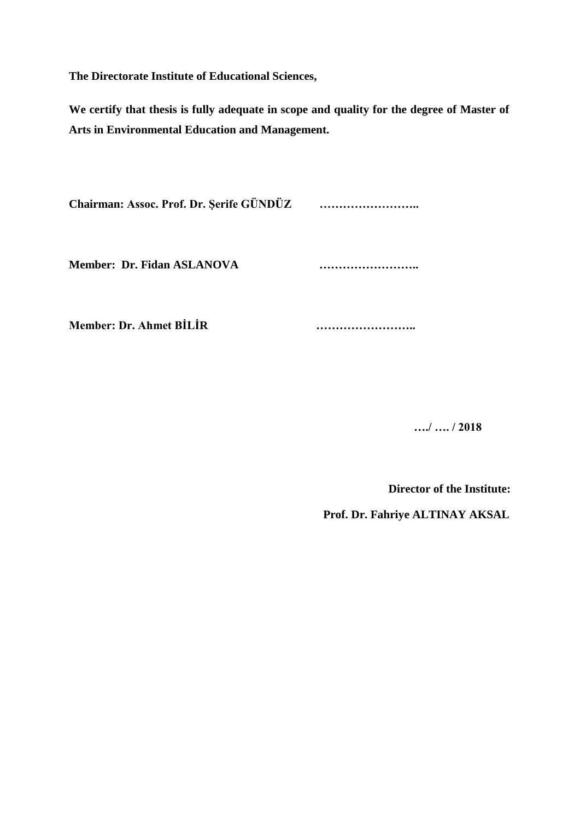**The Directorate Institute of Educational Sciences,**

**We certify that thesis is fully adequate in scope and quality for the degree of Master of Arts in Environmental Education and Management.**

**Chairman: Assoc. Prof. Dr. Şerife GÜNDÜZ ……………………..**

**Member: Dr. Fidan ASLANOVA ……………………..**

**Member: Dr. Ahmet BİLİR ……………………..**

 **…./ …. / 2018**

**Director of the Institute:**

 **Prof. Dr. Fahriye ALTINAY AKSAL**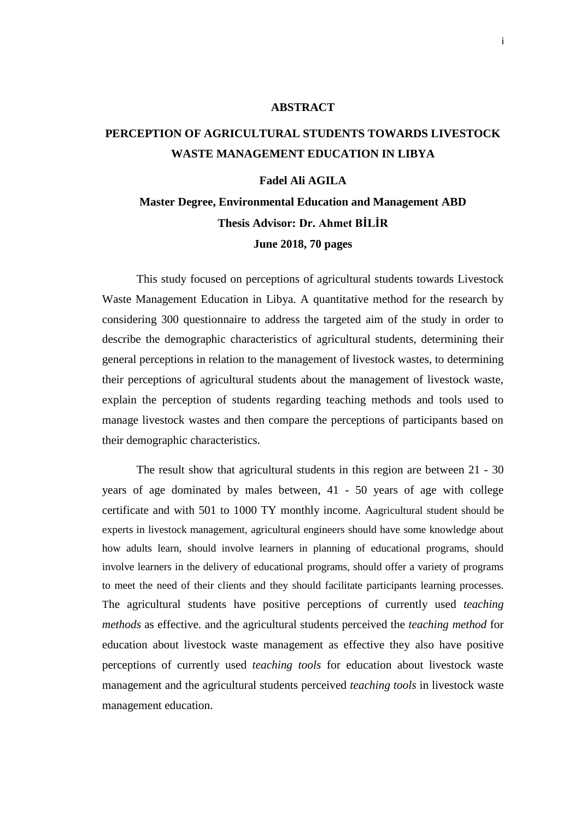#### **ABSTRACT**

# <span id="page-2-0"></span>**PERCEPTION OF AGRICULTURAL STUDENTS TOWARDS LIVESTOCK WASTE MANAGEMENT EDUCATION IN LIBYA**

#### **Fadel Ali AGILA**

# **Master Degree, Environmental Education and Management ABD Thesis Advisor: Dr. Ahmet BİLİR June 2018, 70 pages**

This study focused on perceptions of agricultural students towards Livestock Waste Management Education in Libya. A quantitative method for the research by considering 300 questionnaire to address the targeted aim of the study in order to describe the demographic characteristics of agricultural students, determining their general perceptions in relation to the management of livestock wastes, to determining their perceptions of agricultural students about the management of livestock waste, explain the perception of students regarding teaching methods and tools used to manage livestock wastes and then compare the perceptions of participants based on their demographic characteristics.

The result show that agricultural students in this region are between 21 - 30 years of age dominated by males between, 41 - 50 years of age with college certificate and with 501 to 1000 TY monthly income. Aagricultural student should be experts in livestock management, agricultural engineers should have some knowledge about how adults learn, should involve learners in planning of educational programs, should involve learners in the delivery of educational programs, should offer a variety of programs to meet the need of their clients and they should facilitate participants learning processes. The agricultural students have positive perceptions of currently used *teaching methods* as effective. and the agricultural students perceived the *teaching method* for education about livestock waste management as effective they also have positive perceptions of currently used *teaching tools* for education about livestock waste management and the agricultural students perceived *teaching tools* in livestock waste management education.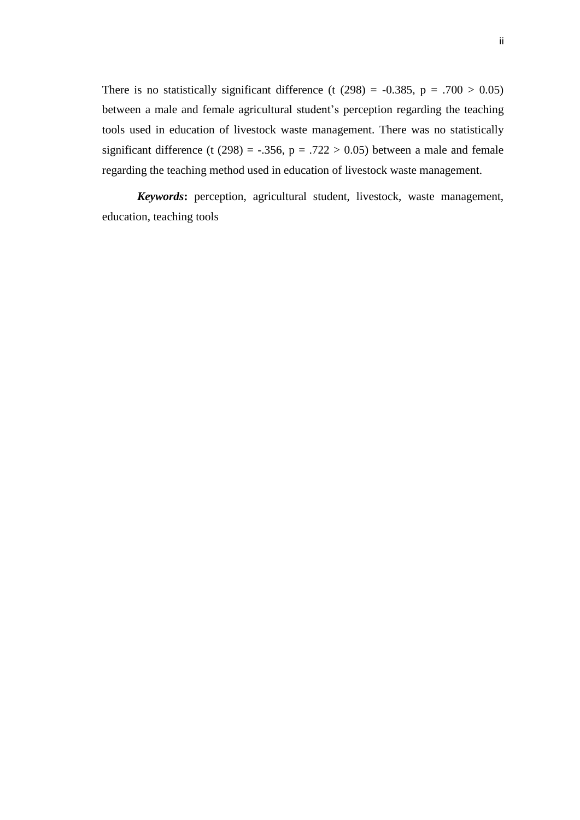There is no statistically significant difference (t  $(298) = -0.385$ , p = .700 > 0.05) between a male and female agricultural student's perception regarding the teaching tools used in education of livestock waste management. There was no statistically significant difference (t (298) = -.356,  $p = .722 > 0.05$ ) between a male and female regarding the teaching method used in education of livestock waste management.

*Keywords***:** perception, agricultural student, livestock, waste management, education, teaching tools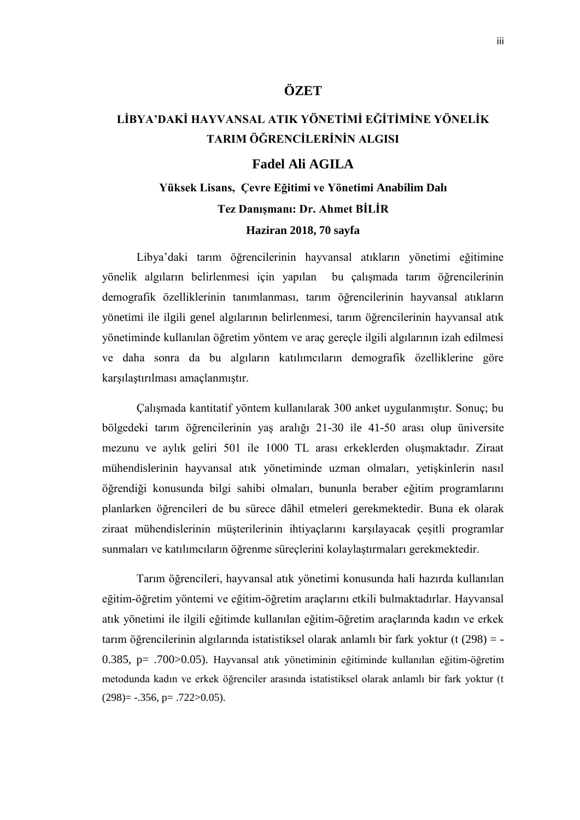### **ÖZET**

# **LİBYA'DAKİ HAYVANSAL ATIK YÖNETİMİ EĞİTİMİNE YÖNELİK TARIM ÖĞRENCİLERİNİN ALGISI**

### **Fadel Ali AGILA**

# **Yüksek Lisans, Çevre Eğitimi ve Yönetimi Anabilim Dalı Tez Danışmanı: Dr. Ahmet BİLİR**

### **Haziran 2018, 70 sayfa**

Libya'daki tarım öğrencilerinin hayvansal atıkların yönetimi eğitimine yönelik algıların belirlenmesi için yapılan bu çalışmada tarım öğrencilerinin demografik özelliklerinin tanımlanması, tarım öğrencilerinin hayvansal atıkların yönetimi ile ilgili genel algılarının belirlenmesi, tarım öğrencilerinin hayvansal atık yönetiminde kullanılan öğretim yöntem ve araç gereçle ilgili algılarının izah edilmesi ve daha sonra da bu algıların katılımcıların demografik özelliklerine göre karşılaştırılması amaçlanmıştır.

Çalışmada kantitatif yöntem kullanılarak 300 anket uygulanmıştır. Sonuç; bu bölgedeki tarım öğrencilerinin yaş aralığı 21-30 ile 41-50 arası olup üniversite mezunu ve aylık geliri 501 ile 1000 TL arası erkeklerden oluşmaktadır. Ziraat mühendislerinin hayvansal atık yönetiminde uzman olmaları, yetişkinlerin nasıl öğrendiği konusunda bilgi sahibi olmaları, bununla beraber eğitim programlarını planlarken öğrencileri de bu sürece dâhil etmeleri gerekmektedir. Buna ek olarak ziraat mühendislerinin müşterilerinin ihtiyaçlarını karşılayacak çeşitli programlar sunmaları ve katılımcıların öğrenme süreçlerini kolaylaştırmaları gerekmektedir.

Tarım öğrencileri, hayvansal atık yönetimi konusunda hali hazırda kullanılan eğitim-öğretim yöntemi ve eğitim-öğretim araçlarını etkili bulmaktadırlar. Hayvansal atık yönetimi ile ilgili eğitimde kullanılan eğitim-öğretim araçlarında kadın ve erkek tarım öğrencilerinin algılarında istatistiksel olarak anlamlı bir fark yoktur (t (298) = - 0.385, p= .700>0.05). Hayvansal atık yönetiminin eğitiminde kullanılan eğitim-öğretim metodunda kadın ve erkek öğrenciler arasında istatistiksel olarak anlamlı bir fark yoktur (t  $(298)$ = -.356, p= .722>0.05).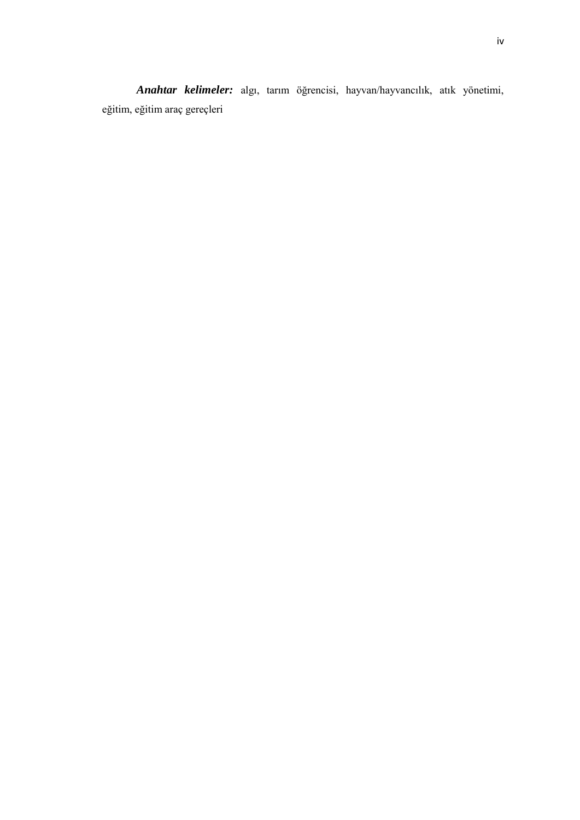*Anahtar kelimeler:* algı, tarım öğrencisi, hayvan/hayvancılık, atık yönetimi, eğitim, eğitim araç gereçleri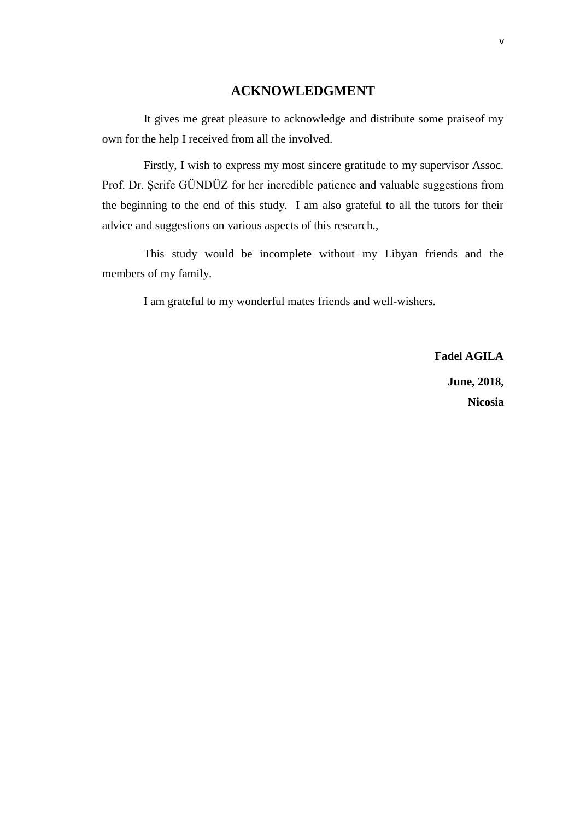### **ACKNOWLEDGMENT**

<span id="page-6-0"></span>It gives me great pleasure to acknowledge and distribute some praiseof my own for the help I received from all the involved.

Firstly, I wish to express my most sincere gratitude to my supervisor Assoc. Prof. Dr. Şerife GÜNDÜZ for her incredible patience and valuable suggestions from the beginning to the end of this study. I am also grateful to all the tutors for their advice and suggestions on various aspects of this research.,

This study would be incomplete without my Libyan friends and the members of my family.

I am grateful to my wonderful mates friends and well-wishers.

**Fadel AGILA June, 2018, Nicosia**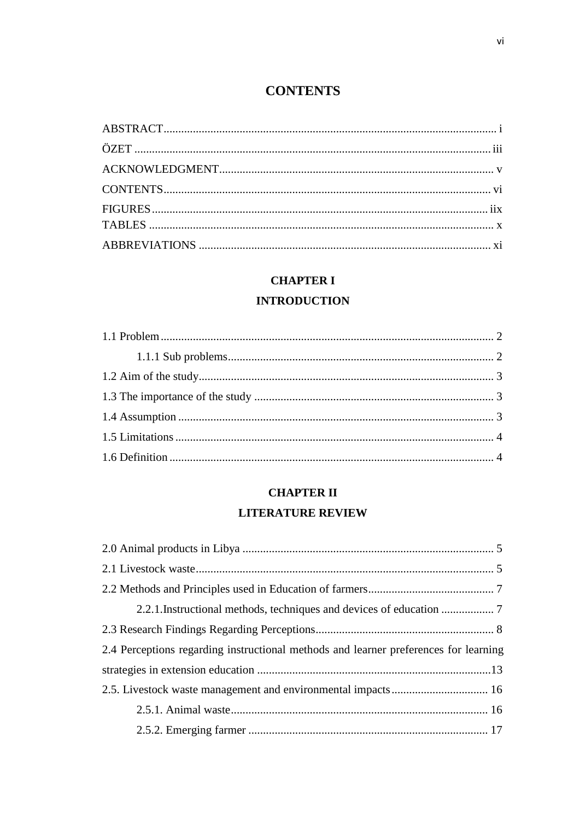# **CONTENTS**

<span id="page-7-0"></span>

### **CHAPTER I**

### **INTRODUCTION**

### **CHAPTER II**

### **LITERATURE REVIEW**

| 2.4 Perceptions regarding instructional methods and learner preferences for learning |  |
|--------------------------------------------------------------------------------------|--|
|                                                                                      |  |
|                                                                                      |  |
|                                                                                      |  |
|                                                                                      |  |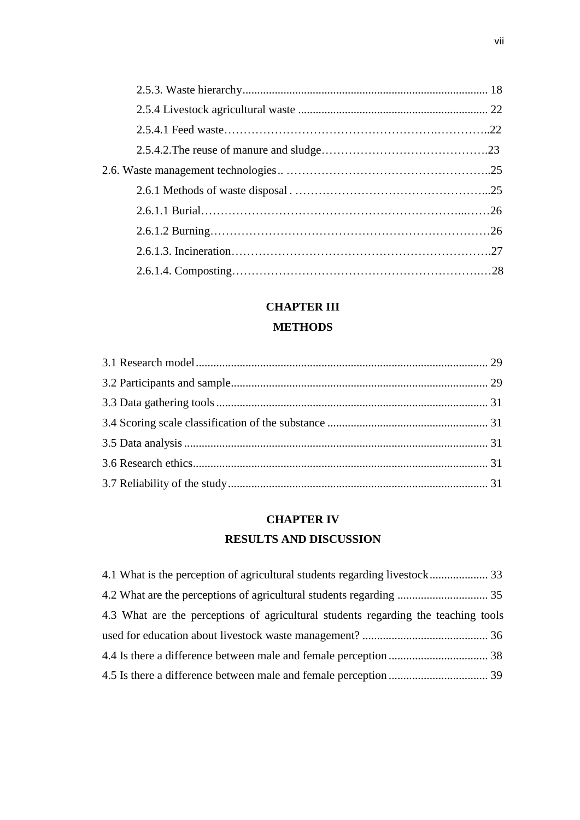# **CHAPTER III METHODS**

# **CHAPTER IV RESULTS AND DISCUSSION**

| 4.3 What are the perceptions of agricultural students regarding the teaching tools |  |
|------------------------------------------------------------------------------------|--|
|                                                                                    |  |
|                                                                                    |  |
|                                                                                    |  |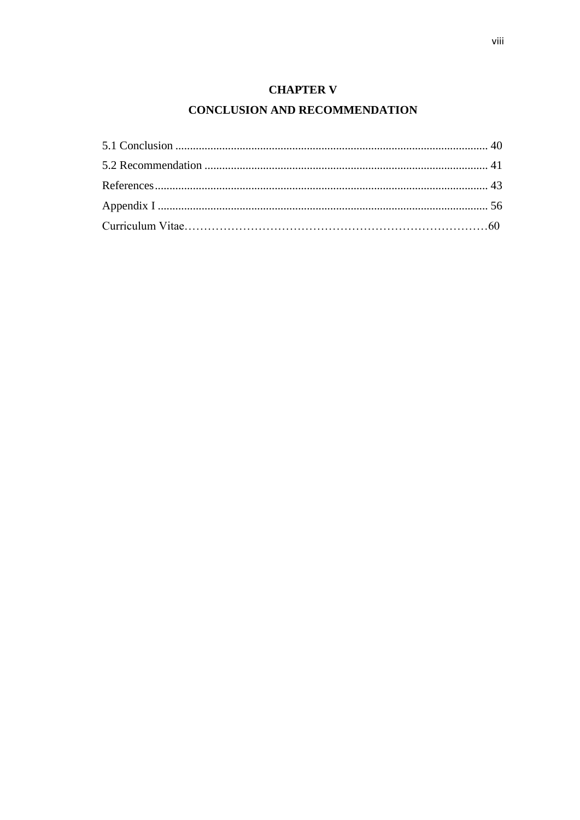### **CHAPTER V**

### **CONCLUSION AND RECOMMENDATION**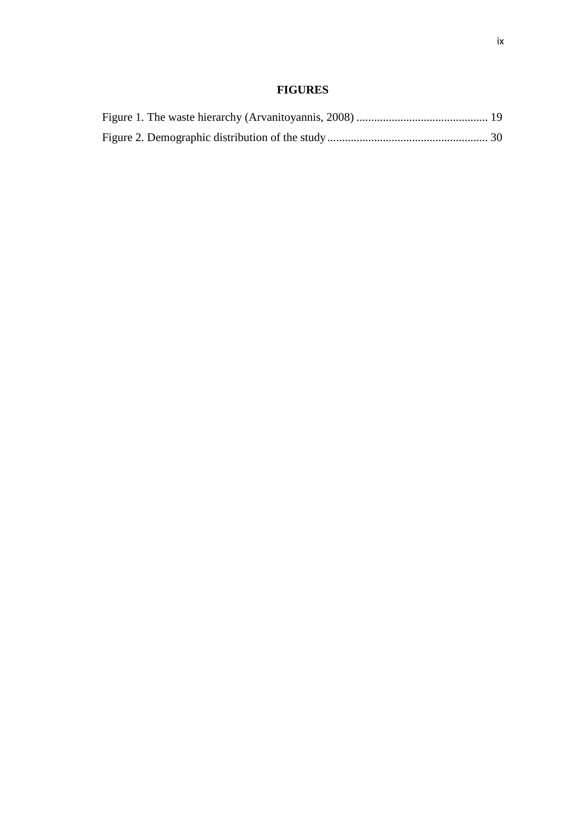### **FIGURES**

<span id="page-10-0"></span>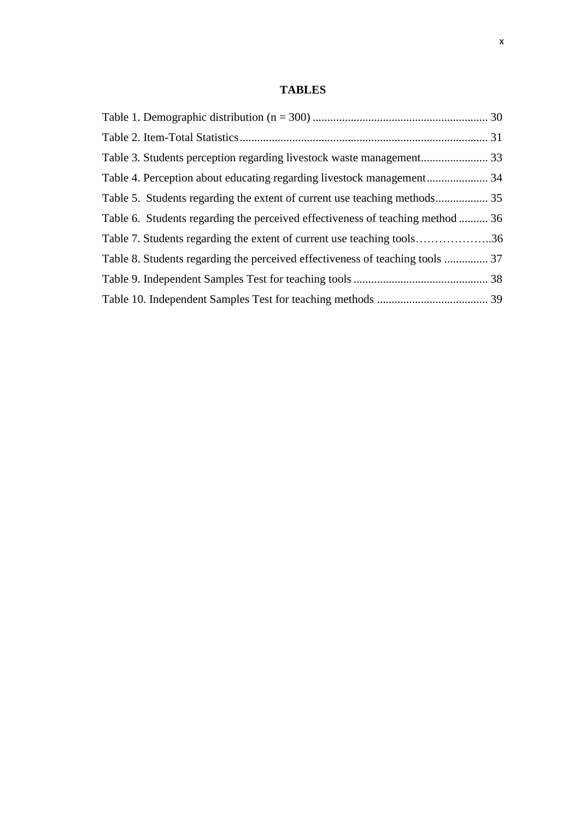### **TABLES**

<span id="page-11-0"></span>

| Table 4. Perception about educating regarding livestock management 34          |  |
|--------------------------------------------------------------------------------|--|
|                                                                                |  |
| Table 6. Students regarding the perceived effectiveness of teaching method  36 |  |
| Table 7. Students regarding the extent of current use teaching tools36         |  |
| Table 8. Students regarding the perceived effectiveness of teaching tools  37  |  |
|                                                                                |  |
|                                                                                |  |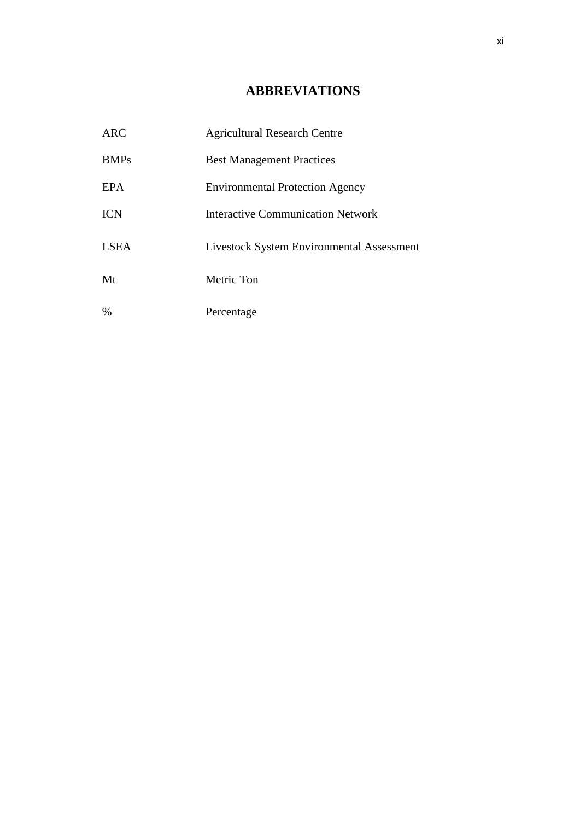## **ABBREVIATIONS**

<span id="page-12-0"></span>

| <b>ARC</b>  | <b>Agricultural Research Centre</b>              |
|-------------|--------------------------------------------------|
| <b>BMPs</b> | <b>Best Management Practices</b>                 |
| <b>EPA</b>  | <b>Environmental Protection Agency</b>           |
| <b>ICN</b>  | Interactive Communication Network                |
| <b>LSEA</b> | <b>Livestock System Environmental Assessment</b> |
| Mt          | Metric Ton                                       |
| $\%$        | Percentage                                       |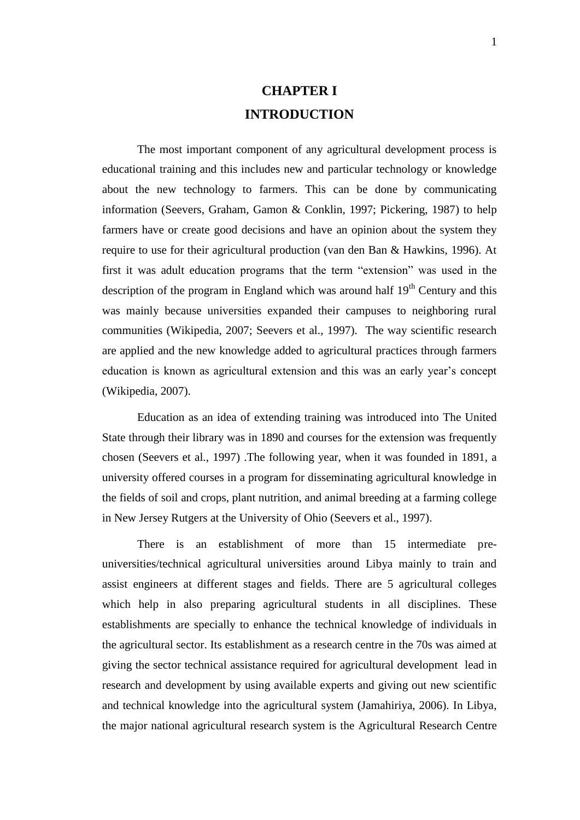# **CHAPTER I INTRODUCTION**

The most important component of any agricultural development process is educational training and this includes new and particular technology or knowledge about the new technology to farmers. This can be done by communicating information (Seevers, Graham, Gamon & Conklin, 1997; Pickering, 1987) to help farmers have or create good decisions and have an opinion about the system they require to use for their agricultural production (van den Ban & Hawkins, 1996). At first it was adult education programs that the term "extension" was used in the description of the program in England which was around half  $19<sup>th</sup>$  Century and this was mainly because universities expanded their campuses to neighboring rural communities (Wikipedia, 2007; Seevers et al., 1997). The way scientific research are applied and the new knowledge added to agricultural practices through farmers education is known as agricultural extension and this was an early year's concept (Wikipedia, 2007).

Education as an idea of extending training was introduced into The United State through their library was in 1890 and courses for the extension was frequently chosen (Seevers et al., 1997) .The following year, when it was founded in 1891, a university offered courses in a program for disseminating agricultural knowledge in the fields of soil and crops, plant nutrition, and animal breeding at a farming college in New Jersey Rutgers at the University of Ohio (Seevers et al., 1997).

There is an establishment of more than 15 intermediate preuniversities/technical agricultural universities around Libya mainly to train and assist engineers at different stages and fields. There are 5 agricultural colleges which help in also preparing agricultural students in all disciplines. These establishments are specially to enhance the technical knowledge of individuals in the agricultural sector. Its establishment as a research centre in the 70s was aimed at giving the sector technical assistance required for agricultural development lead in research and development by using available experts and giving out new scientific and technical knowledge into the agricultural system (Jamahiriya, 2006). In Libya, the major national agricultural research system is the Agricultural Research Centre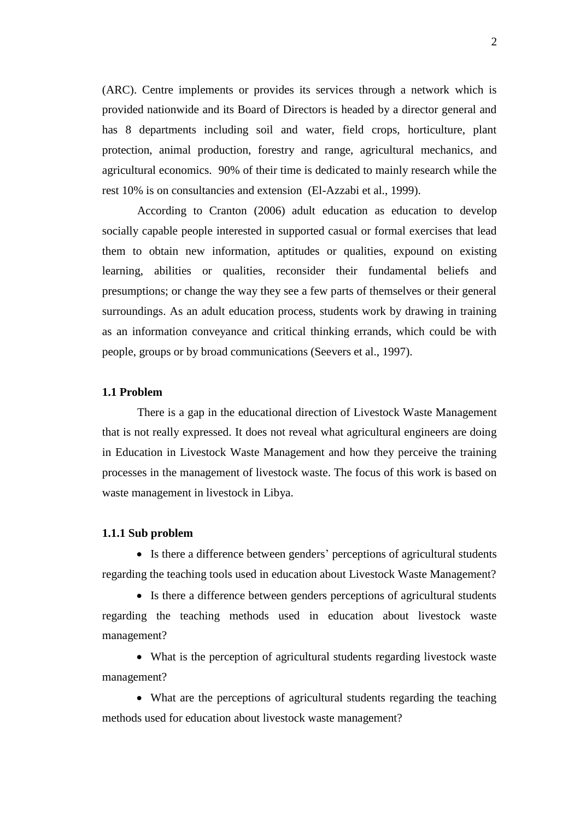(ARC). Centre implements or provides its services through a network which is provided nationwide and its Board of Directors is headed by a director general and has 8 departments including soil and water, field crops, horticulture, plant protection, animal production, forestry and range, agricultural mechanics, and agricultural economics. 90% of their time is dedicated to mainly research while the rest 10% is on consultancies and extension (El-Azzabi et al., 1999).

According to Cranton (2006) adult education as education to develop socially capable people interested in supported casual or formal exercises that lead them to obtain new information, aptitudes or qualities, expound on existing learning, abilities or qualities, reconsider their fundamental beliefs and presumptions; or change the way they see a few parts of themselves or their general surroundings. As an adult education process, students work by drawing in training as an information conveyance and critical thinking errands, which could be with people, groups or by broad communications (Seevers et al., 1997).

### **1.1 Problem**

There is a gap in the educational direction of Livestock Waste Management that is not really expressed. It does not reveal what agricultural engineers are doing in Education in Livestock Waste Management and how they perceive the training processes in the management of livestock waste. The focus of this work is based on waste management in livestock in Libya.

#### **1.1.1 Sub problem**

 Is there a difference between genders' perceptions of agricultural students regarding the teaching tools used in education about Livestock Waste Management?

 Is there a difference between genders perceptions of agricultural students regarding the teaching methods used in education about livestock waste management?

 What is the perception of agricultural students regarding livestock waste management?

 What are the perceptions of agricultural students regarding the teaching methods used for education about livestock waste management?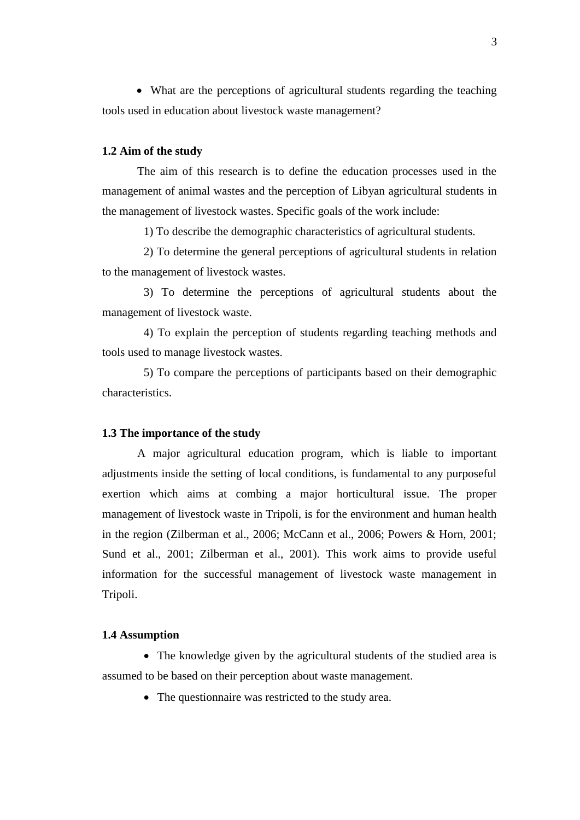What are the perceptions of agricultural students regarding the teaching tools used in education about livestock waste management?

#### **1.2 Aim of the study**

The aim of this research is to define the education processes used in the management of animal wastes and the perception of Libyan agricultural students in the management of livestock wastes. Specific goals of the work include:

1) To describe the demographic characteristics of agricultural students.

2) To determine the general perceptions of agricultural students in relation to the management of livestock wastes.

3) To determine the perceptions of agricultural students about the management of livestock waste.

4) To explain the perception of students regarding teaching methods and tools used to manage livestock wastes.

5) To compare the perceptions of participants based on their demographic characteristics.

#### **1.3 The importance of the study**

A major agricultural education program, which is liable to important adjustments inside the setting of local conditions, is fundamental to any purposeful exertion which aims at combing a major horticultural issue. The proper management of livestock waste in Tripoli, is for the environment and human health in the region (Zilberman et al., 2006; McCann et al., 2006; Powers & Horn, 2001; Sund et al., 2001; Zilberman et al., 2001). This work aims to provide useful information for the successful management of livestock waste management in Tripoli.

### **1.4 Assumption**

• The knowledge given by the agricultural students of the studied area is assumed to be based on their perception about waste management.

• The questionnaire was restricted to the study area.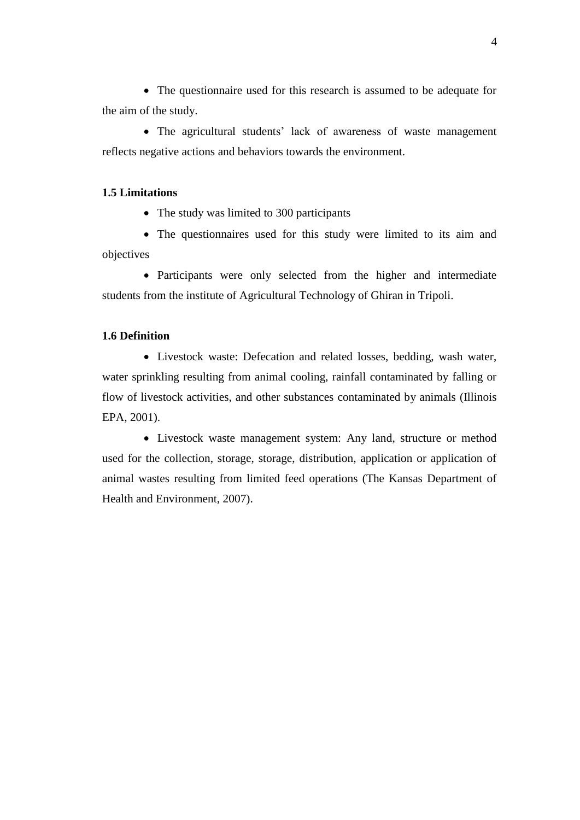The questionnaire used for this research is assumed to be adequate for the aim of the study.

• The agricultural students' lack of awareness of waste management reflects negative actions and behaviors towards the environment.

### **1.5 Limitations**

• The study was limited to 300 participants

 The questionnaires used for this study were limited to its aim and objectives

 Participants were only selected from the higher and intermediate students from the institute of Agricultural Technology of Ghiran in Tripoli.

### **1.6 Definition**

 Livestock waste: Defecation and related losses, bedding, wash water, water sprinkling resulting from animal cooling, rainfall contaminated by falling or flow of livestock activities, and other substances contaminated by animals (Illinois EPA, 2001).

 Livestock waste management system: Any land, structure or method used for the collection, storage, storage, distribution, application or application of animal wastes resulting from limited feed operations (The Kansas Department of Health and Environment, 2007).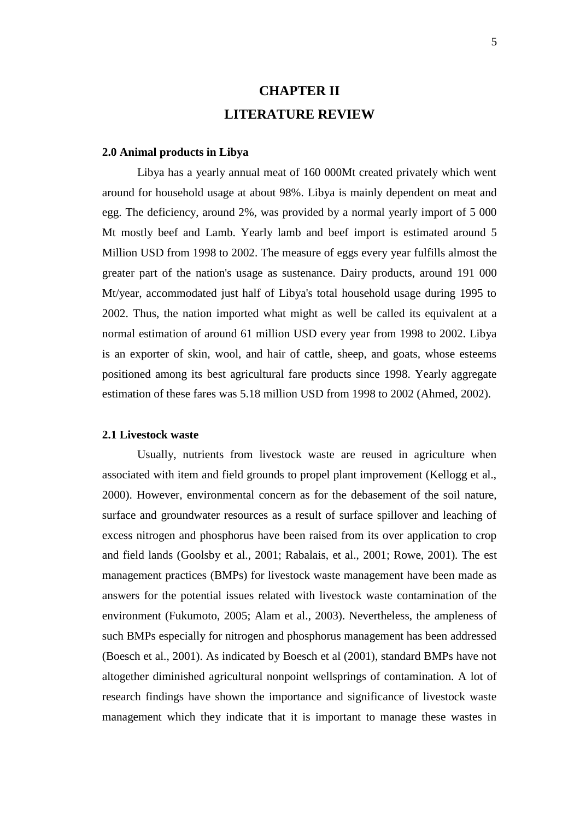# **CHAPTER II LITERATURE REVIEW**

#### **2.0 Animal products in Libya**

Libya has a yearly annual meat of 160 000Mt created privately which went around for household usage at about 98%. Libya is mainly dependent on meat and egg. The deficiency, around 2%, was provided by a normal yearly import of 5 000 Mt mostly beef and Lamb. Yearly lamb and beef import is estimated around 5 Million USD from 1998 to 2002. The measure of eggs every year fulfills almost the greater part of the nation's usage as sustenance. Dairy products, around 191 000 Mt/year, accommodated just half of Libya's total household usage during 1995 to 2002. Thus, the nation imported what might as well be called its equivalent at a normal estimation of around 61 million USD every year from 1998 to 2002. Libya is an exporter of skin, wool, and hair of cattle, sheep, and goats, whose esteems positioned among its best agricultural fare products since 1998. Yearly aggregate estimation of these fares was 5.18 million USD from 1998 to 2002 (Ahmed, 2002).

#### **2.1 Livestock waste**

Usually, nutrients from livestock waste are reused in agriculture when associated with item and field grounds to propel plant improvement (Kellogg et al., 2000). However, environmental concern as for the debasement of the soil nature, surface and groundwater resources as a result of surface spillover and leaching of excess nitrogen and phosphorus have been raised from its over application to crop and field lands (Goolsby et al., 2001; Rabalais, et al., 2001; Rowe, 2001). The est management practices (BMPs) for livestock waste management have been made as answers for the potential issues related with livestock waste contamination of the environment (Fukumoto, 2005; Alam et al., 2003). Nevertheless, the ampleness of such BMPs especially for nitrogen and phosphorus management has been addressed (Boesch et al., 2001). As indicated by Boesch et al (2001), standard BMPs have not altogether diminished agricultural nonpoint wellsprings of contamination. A lot of research findings have shown the importance and significance of livestock waste management which they indicate that it is important to manage these wastes in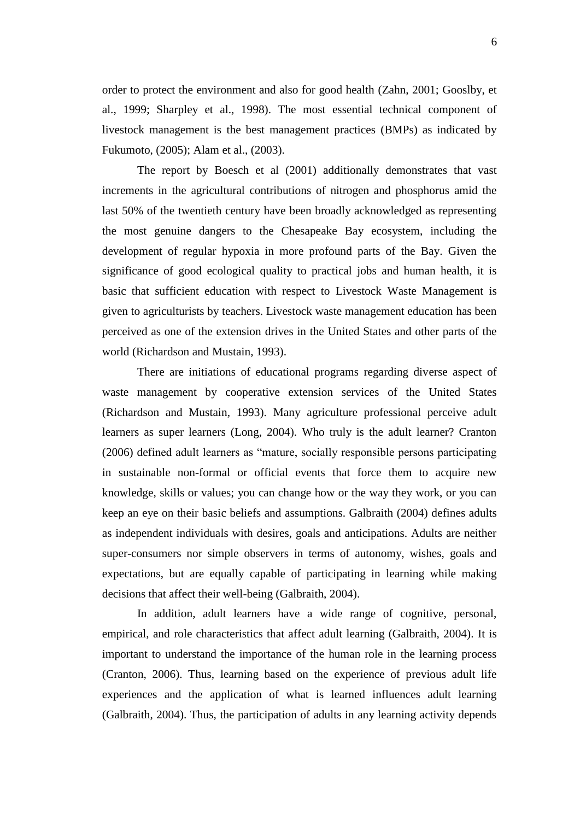order to protect the environment and also for good health (Zahn, 2001; Gooslby, et al., 1999; Sharpley et al., 1998). The most essential technical component of livestock management is the best management practices (BMPs) as indicated by Fukumoto, (2005); Alam et al., (2003).

The report by Boesch et al (2001) additionally demonstrates that vast increments in the agricultural contributions of nitrogen and phosphorus amid the last 50% of the twentieth century have been broadly acknowledged as representing the most genuine dangers to the Chesapeake Bay ecosystem, including the development of regular hypoxia in more profound parts of the Bay. Given the significance of good ecological quality to practical jobs and human health, it is basic that sufficient education with respect to Livestock Waste Management is given to agriculturists by teachers. Livestock waste management education has been perceived as one of the extension drives in the United States and other parts of the world (Richardson and Mustain, 1993).

There are initiations of educational programs regarding diverse aspect of waste management by cooperative extension services of the United States (Richardson and Mustain, 1993). Many agriculture professional perceive adult learners as super learners (Long, 2004). Who truly is the adult learner? Cranton (2006) defined adult learners as "mature, socially responsible persons participating in sustainable non-formal or official events that force them to acquire new knowledge, skills or values; you can change how or the way they work, or you can keep an eye on their basic beliefs and assumptions. Galbraith (2004) defines adults as independent individuals with desires, goals and anticipations. Adults are neither super-consumers nor simple observers in terms of autonomy, wishes, goals and expectations, but are equally capable of participating in learning while making decisions that affect their well-being (Galbraith, 2004).

In addition, adult learners have a wide range of cognitive, personal, empirical, and role characteristics that affect adult learning (Galbraith, 2004). It is important to understand the importance of the human role in the learning process (Cranton, 2006). Thus, learning based on the experience of previous adult life experiences and the application of what is learned influences adult learning (Galbraith, 2004). Thus, the participation of adults in any learning activity depends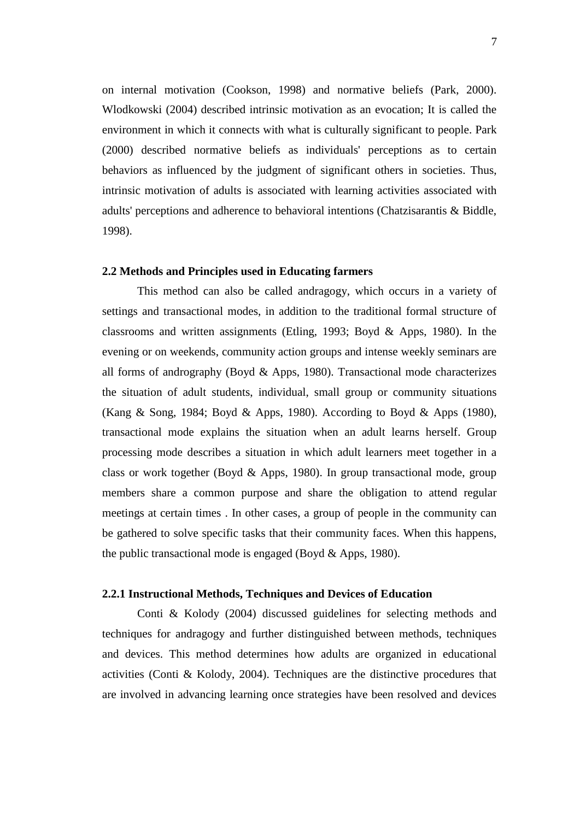on internal motivation (Cookson, 1998) and normative beliefs (Park, 2000). Wlodkowski (2004) described intrinsic motivation as an evocation; It is called the environment in which it connects with what is culturally significant to people. Park (2000) described normative beliefs as individuals' perceptions as to certain behaviors as influenced by the judgment of significant others in societies. Thus, intrinsic motivation of adults is associated with learning activities associated with adults' perceptions and adherence to behavioral intentions (Chatzisarantis & Biddle, 1998).

### **2.2 Methods and Principles used in Educating farmers**

This method can also be called andragogy, which occurs in a variety of settings and transactional modes, in addition to the traditional formal structure of classrooms and written assignments (Etling, 1993; Boyd & Apps, 1980). In the evening or on weekends, community action groups and intense weekly seminars are all forms of andrography (Boyd & Apps, 1980). Transactional mode characterizes the situation of adult students, individual, small group or community situations (Kang & Song, 1984; Boyd & Apps, 1980). According to Boyd & Apps (1980), transactional mode explains the situation when an adult learns herself. Group processing mode describes a situation in which adult learners meet together in a class or work together (Boyd & Apps, 1980). In group transactional mode, group members share a common purpose and share the obligation to attend regular meetings at certain times . In other cases, a group of people in the community can be gathered to solve specific tasks that their community faces. When this happens, the public transactional mode is engaged (Boyd & Apps, 1980).

### **2.2.1 Instructional Methods, Techniques and Devices of Education**

Conti & Kolody (2004) discussed guidelines for selecting methods and techniques for andragogy and further distinguished between methods, techniques and devices. This method determines how adults are organized in educational activities (Conti & Kolody, 2004). Techniques are the distinctive procedures that are involved in advancing learning once strategies have been resolved and devices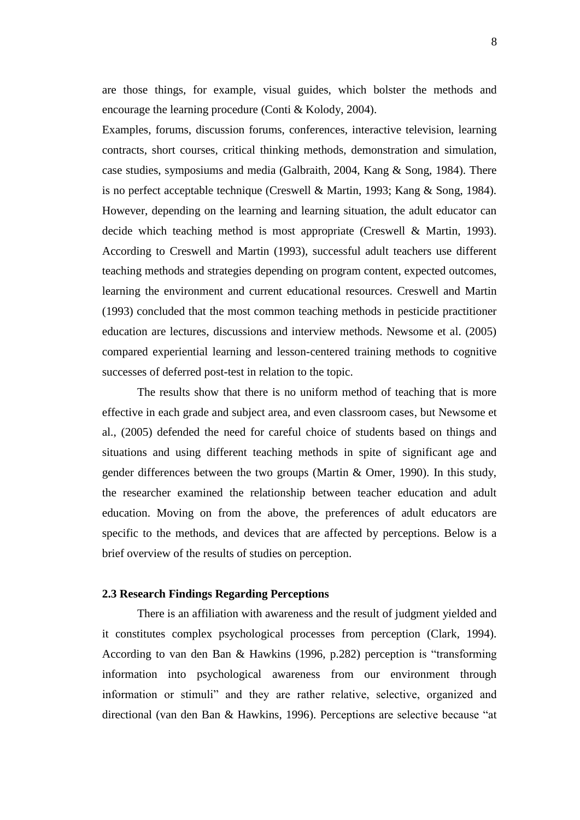are those things, for example, visual guides, which bolster the methods and encourage the learning procedure (Conti & Kolody, 2004).

Examples, forums, discussion forums, conferences, interactive television, learning contracts, short courses, critical thinking methods, demonstration and simulation, case studies, symposiums and media (Galbraith, 2004, Kang & Song, 1984). There is no perfect acceptable technique (Creswell & Martin, 1993; Kang & Song, 1984). However, depending on the learning and learning situation, the adult educator can decide which teaching method is most appropriate (Creswell & Martin, 1993). According to Creswell and Martin (1993), successful adult teachers use different teaching methods and strategies depending on program content, expected outcomes, learning the environment and current educational resources. Creswell and Martin (1993) concluded that the most common teaching methods in pesticide practitioner education are lectures, discussions and interview methods. Newsome et al. (2005) compared experiential learning and lesson-centered training methods to cognitive successes of deferred post-test in relation to the topic.

The results show that there is no uniform method of teaching that is more effective in each grade and subject area, and even classroom cases, but Newsome et al., (2005) defended the need for careful choice of students based on things and situations and using different teaching methods in spite of significant age and gender differences between the two groups (Martin & Omer, 1990). In this study, the researcher examined the relationship between teacher education and adult education. Moving on from the above, the preferences of adult educators are specific to the methods, and devices that are affected by perceptions. Below is a brief overview of the results of studies on perception.

### **2.3 Research Findings Regarding Perceptions**

There is an affiliation with awareness and the result of judgment yielded and it constitutes complex psychological processes from perception (Clark, 1994). According to van den Ban & Hawkins (1996, p.282) perception is "transforming information into psychological awareness from our environment through information or stimuli" and they are rather relative, selective, organized and directional (van den Ban & Hawkins, 1996). Perceptions are selective because "at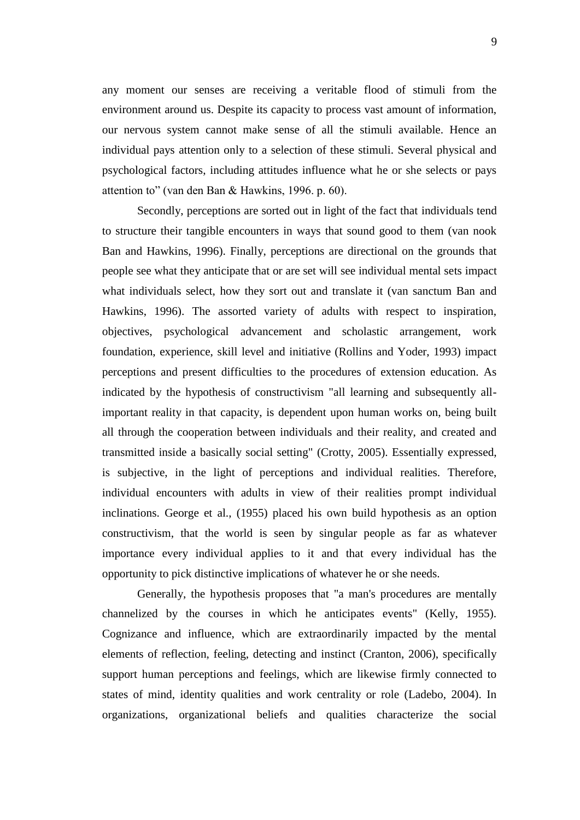any moment our senses are receiving a veritable flood of stimuli from the environment around us. Despite its capacity to process vast amount of information, our nervous system cannot make sense of all the stimuli available. Hence an individual pays attention only to a selection of these stimuli. Several physical and psychological factors, including attitudes influence what he or she selects or pays attention to" (van den Ban & Hawkins, 1996. p. 60).

Secondly, perceptions are sorted out in light of the fact that individuals tend to structure their tangible encounters in ways that sound good to them (van nook Ban and Hawkins, 1996). Finally, perceptions are directional on the grounds that people see what they anticipate that or are set will see individual mental sets impact what individuals select, how they sort out and translate it (van sanctum Ban and Hawkins, 1996). The assorted variety of adults with respect to inspiration, objectives, psychological advancement and scholastic arrangement, work foundation, experience, skill level and initiative (Rollins and Yoder, 1993) impact perceptions and present difficulties to the procedures of extension education. As indicated by the hypothesis of constructivism "all learning and subsequently allimportant reality in that capacity, is dependent upon human works on, being built all through the cooperation between individuals and their reality, and created and transmitted inside a basically social setting" (Crotty, 2005). Essentially expressed, is subjective, in the light of perceptions and individual realities. Therefore, individual encounters with adults in view of their realities prompt individual inclinations. George et al., (1955) placed his own build hypothesis as an option constructivism, that the world is seen by singular people as far as whatever importance every individual applies to it and that every individual has the opportunity to pick distinctive implications of whatever he or she needs.

Generally, the hypothesis proposes that "a man's procedures are mentally channelized by the courses in which he anticipates events" (Kelly, 1955). Cognizance and influence, which are extraordinarily impacted by the mental elements of reflection, feeling, detecting and instinct (Cranton, 2006), specifically support human perceptions and feelings, which are likewise firmly connected to states of mind, identity qualities and work centrality or role (Ladebo, 2004). In organizations, organizational beliefs and qualities characterize the social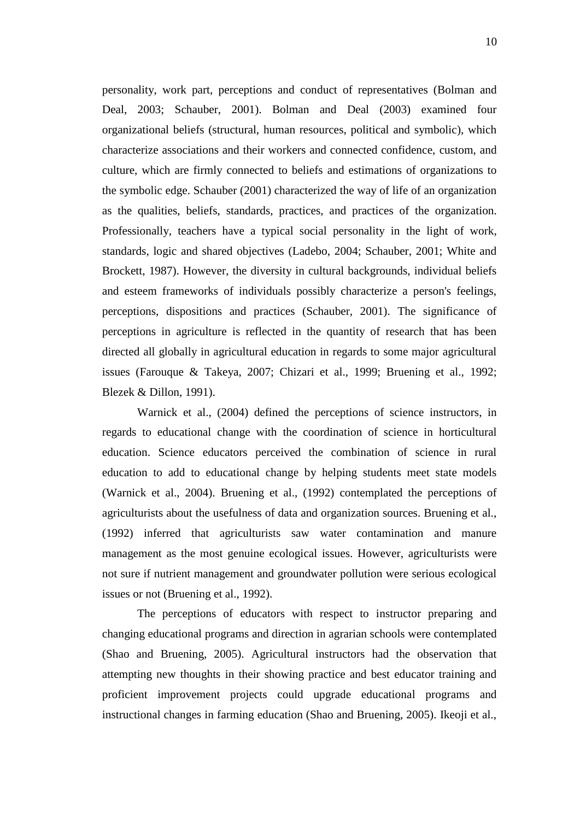personality, work part, perceptions and conduct of representatives (Bolman and Deal, 2003; Schauber, 2001). Bolman and Deal (2003) examined four organizational beliefs (structural, human resources, political and symbolic), which characterize associations and their workers and connected confidence, custom, and culture, which are firmly connected to beliefs and estimations of organizations to the symbolic edge. Schauber (2001) characterized the way of life of an organization as the qualities, beliefs, standards, practices, and practices of the organization. Professionally, teachers have a typical social personality in the light of work, standards, logic and shared objectives (Ladebo, 2004; Schauber, 2001; White and Brockett, 1987). However, the diversity in cultural backgrounds, individual beliefs and esteem frameworks of individuals possibly characterize a person's feelings, perceptions, dispositions and practices (Schauber, 2001). The significance of perceptions in agriculture is reflected in the quantity of research that has been directed all globally in agricultural education in regards to some major agricultural issues (Farouque & Takeya, 2007; Chizari et al., 1999; Bruening et al., 1992; Blezek & Dillon, 1991).

Warnick et al., (2004) defined the perceptions of science instructors, in regards to educational change with the coordination of science in horticultural education. Science educators perceived the combination of science in rural education to add to educational change by helping students meet state models (Warnick et al., 2004). Bruening et al., (1992) contemplated the perceptions of agriculturists about the usefulness of data and organization sources. Bruening et al., (1992) inferred that agriculturists saw water contamination and manure management as the most genuine ecological issues. However, agriculturists were not sure if nutrient management and groundwater pollution were serious ecological issues or not (Bruening et al., 1992).

The perceptions of educators with respect to instructor preparing and changing educational programs and direction in agrarian schools were contemplated (Shao and Bruening, 2005). Agricultural instructors had the observation that attempting new thoughts in their showing practice and best educator training and proficient improvement projects could upgrade educational programs and instructional changes in farming education (Shao and Bruening, 2005). Ikeoji et al.,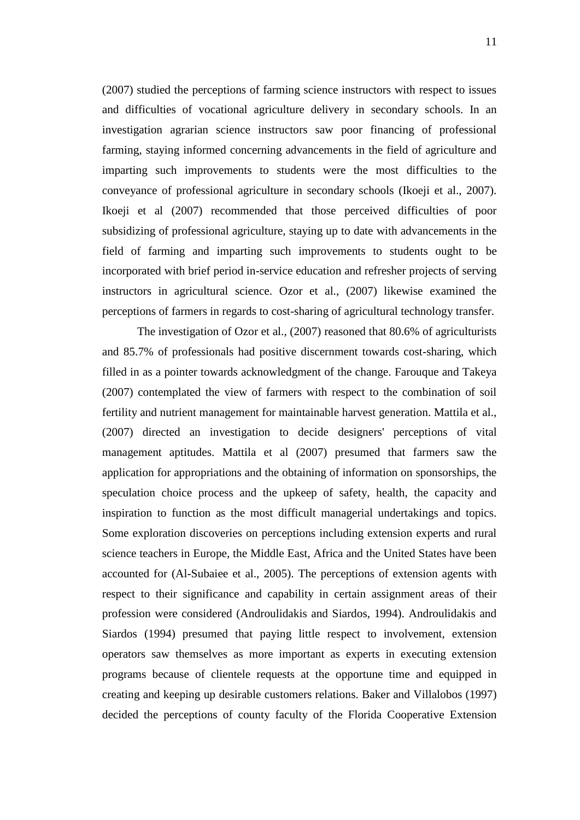(2007) studied the perceptions of farming science instructors with respect to issues and difficulties of vocational agriculture delivery in secondary schools. In an investigation agrarian science instructors saw poor financing of professional farming, staying informed concerning advancements in the field of agriculture and imparting such improvements to students were the most difficulties to the conveyance of professional agriculture in secondary schools (Ikoeji et al., 2007). Ikoeji et al (2007) recommended that those perceived difficulties of poor subsidizing of professional agriculture, staying up to date with advancements in the field of farming and imparting such improvements to students ought to be incorporated with brief period in-service education and refresher projects of serving instructors in agricultural science. Ozor et al., (2007) likewise examined the perceptions of farmers in regards to cost-sharing of agricultural technology transfer.

The investigation of Ozor et al., (2007) reasoned that 80.6% of agriculturists and 85.7% of professionals had positive discernment towards cost-sharing, which filled in as a pointer towards acknowledgment of the change. Farouque and Takeya (2007) contemplated the view of farmers with respect to the combination of soil fertility and nutrient management for maintainable harvest generation. Mattila et al., (2007) directed an investigation to decide designers' perceptions of vital management aptitudes. Mattila et al (2007) presumed that farmers saw the application for appropriations and the obtaining of information on sponsorships, the speculation choice process and the upkeep of safety, health, the capacity and inspiration to function as the most difficult managerial undertakings and topics. Some exploration discoveries on perceptions including extension experts and rural science teachers in Europe, the Middle East, Africa and the United States have been accounted for (Al-Subaiee et al., 2005). The perceptions of extension agents with respect to their significance and capability in certain assignment areas of their profession were considered (Androulidakis and Siardos, 1994). Androulidakis and Siardos (1994) presumed that paying little respect to involvement, extension operators saw themselves as more important as experts in executing extension programs because of clientele requests at the opportune time and equipped in creating and keeping up desirable customers relations. Baker and Villalobos (1997) decided the perceptions of county faculty of the Florida Cooperative Extension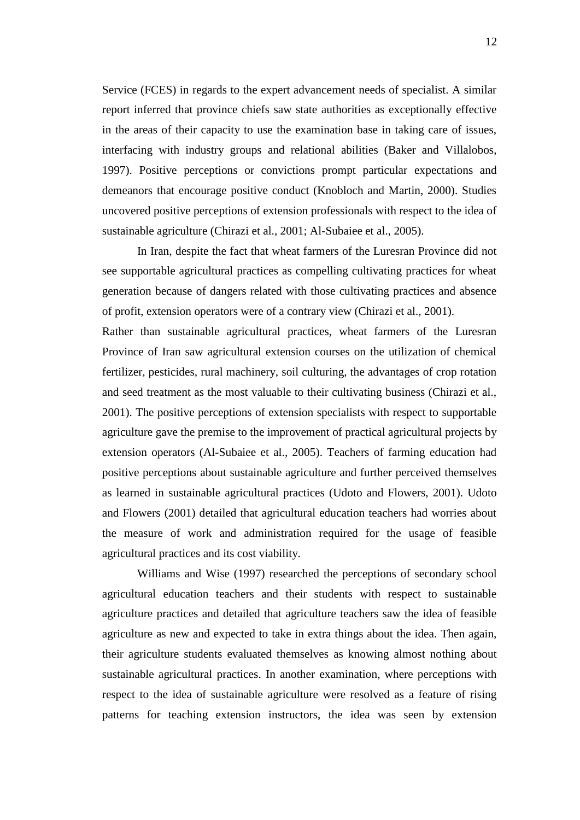Service (FCES) in regards to the expert advancement needs of specialist. A similar report inferred that province chiefs saw state authorities as exceptionally effective in the areas of their capacity to use the examination base in taking care of issues, interfacing with industry groups and relational abilities (Baker and Villalobos, 1997). Positive perceptions or convictions prompt particular expectations and demeanors that encourage positive conduct (Knobloch and Martin, 2000). Studies uncovered positive perceptions of extension professionals with respect to the idea of sustainable agriculture (Chirazi et al., 2001; Al-Subaiee et al., 2005).

In Iran, despite the fact that wheat farmers of the Luresran Province did not see supportable agricultural practices as compelling cultivating practices for wheat generation because of dangers related with those cultivating practices and absence of profit, extension operators were of a contrary view (Chirazi et al., 2001). Rather than sustainable agricultural practices, wheat farmers of the Luresran Province of Iran saw agricultural extension courses on the utilization of chemical fertilizer, pesticides, rural machinery, soil culturing, the advantages of crop rotation and seed treatment as the most valuable to their cultivating business (Chirazi et al., 2001). The positive perceptions of extension specialists with respect to supportable agriculture gave the premise to the improvement of practical agricultural projects by extension operators (Al-Subaiee et al., 2005). Teachers of farming education had positive perceptions about sustainable agriculture and further perceived themselves as learned in sustainable agricultural practices (Udoto and Flowers, 2001). Udoto and Flowers (2001) detailed that agricultural education teachers had worries about the measure of work and administration required for the usage of feasible agricultural practices and its cost viability.

Williams and Wise (1997) researched the perceptions of secondary school agricultural education teachers and their students with respect to sustainable agriculture practices and detailed that agriculture teachers saw the idea of feasible agriculture as new and expected to take in extra things about the idea. Then again, their agriculture students evaluated themselves as knowing almost nothing about sustainable agricultural practices. In another examination, where perceptions with respect to the idea of sustainable agriculture were resolved as a feature of rising patterns for teaching extension instructors, the idea was seen by extension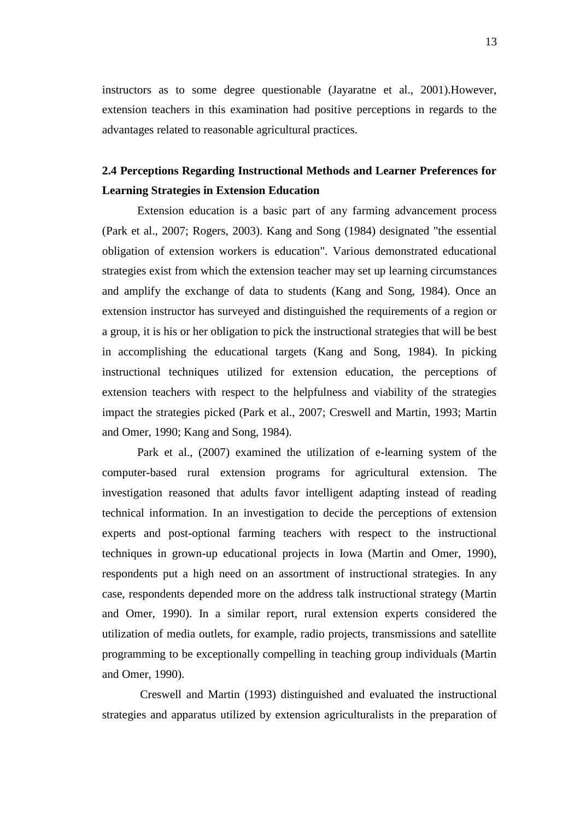instructors as to some degree questionable (Jayaratne et al., 2001).However, extension teachers in this examination had positive perceptions in regards to the advantages related to reasonable agricultural practices.

## **2.4 Perceptions Regarding Instructional Methods and Learner Preferences for Learning Strategies in Extension Education**

Extension education is a basic part of any farming advancement process (Park et al., 2007; Rogers, 2003). Kang and Song (1984) designated "the essential obligation of extension workers is education". Various demonstrated educational strategies exist from which the extension teacher may set up learning circumstances and amplify the exchange of data to students (Kang and Song, 1984). Once an extension instructor has surveyed and distinguished the requirements of a region or a group, it is his or her obligation to pick the instructional strategies that will be best in accomplishing the educational targets (Kang and Song, 1984). In picking instructional techniques utilized for extension education, the perceptions of extension teachers with respect to the helpfulness and viability of the strategies impact the strategies picked (Park et al., 2007; Creswell and Martin, 1993; Martin and Omer, 1990; Kang and Song, 1984).

Park et al., (2007) examined the utilization of e-learning system of the computer-based rural extension programs for agricultural extension. The investigation reasoned that adults favor intelligent adapting instead of reading technical information. In an investigation to decide the perceptions of extension experts and post-optional farming teachers with respect to the instructional techniques in grown-up educational projects in Iowa (Martin and Omer, 1990), respondents put a high need on an assortment of instructional strategies. In any case, respondents depended more on the address talk instructional strategy (Martin and Omer, 1990). In a similar report, rural extension experts considered the utilization of media outlets, for example, radio projects, transmissions and satellite programming to be exceptionally compelling in teaching group individuals (Martin and Omer, 1990).

Creswell and Martin (1993) distinguished and evaluated the instructional strategies and apparatus utilized by extension agriculturalists in the preparation of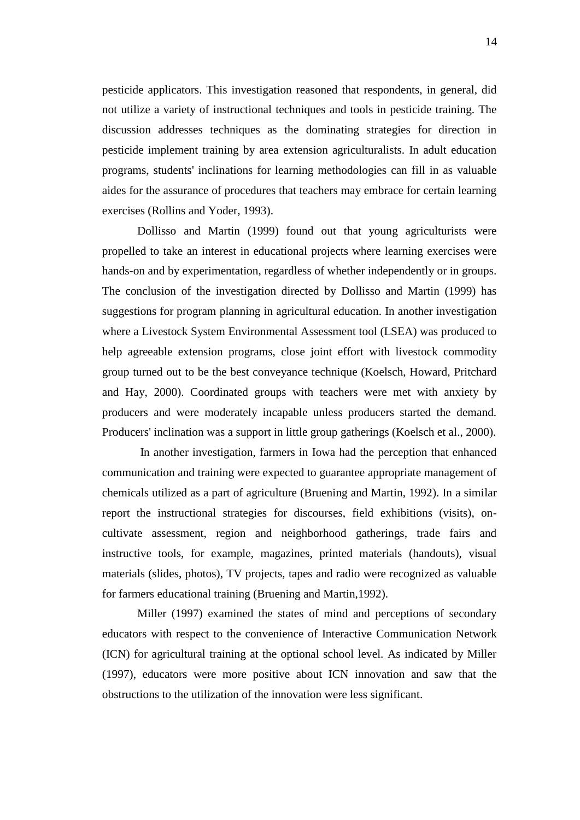pesticide applicators. This investigation reasoned that respondents, in general, did not utilize a variety of instructional techniques and tools in pesticide training. The discussion addresses techniques as the dominating strategies for direction in pesticide implement training by area extension agriculturalists. In adult education programs, students' inclinations for learning methodologies can fill in as valuable aides for the assurance of procedures that teachers may embrace for certain learning exercises (Rollins and Yoder, 1993).

Dollisso and Martin (1999) found out that young agriculturists were propelled to take an interest in educational projects where learning exercises were hands-on and by experimentation, regardless of whether independently or in groups. The conclusion of the investigation directed by Dollisso and Martin (1999) has suggestions for program planning in agricultural education. In another investigation where a Livestock System Environmental Assessment tool (LSEA) was produced to help agreeable extension programs, close joint effort with livestock commodity group turned out to be the best conveyance technique (Koelsch, Howard, Pritchard and Hay, 2000). Coordinated groups with teachers were met with anxiety by producers and were moderately incapable unless producers started the demand. Producers' inclination was a support in little group gatherings (Koelsch et al., 2000).

In another investigation, farmers in Iowa had the perception that enhanced communication and training were expected to guarantee appropriate management of chemicals utilized as a part of agriculture (Bruening and Martin, 1992). In a similar report the instructional strategies for discourses, field exhibitions (visits), oncultivate assessment, region and neighborhood gatherings, trade fairs and instructive tools, for example, magazines, printed materials (handouts), visual materials (slides, photos), TV projects, tapes and radio were recognized as valuable for farmers educational training (Bruening and Martin,1992).

Miller (1997) examined the states of mind and perceptions of secondary educators with respect to the convenience of Interactive Communication Network (ICN) for agricultural training at the optional school level. As indicated by Miller (1997), educators were more positive about ICN innovation and saw that the obstructions to the utilization of the innovation were less significant.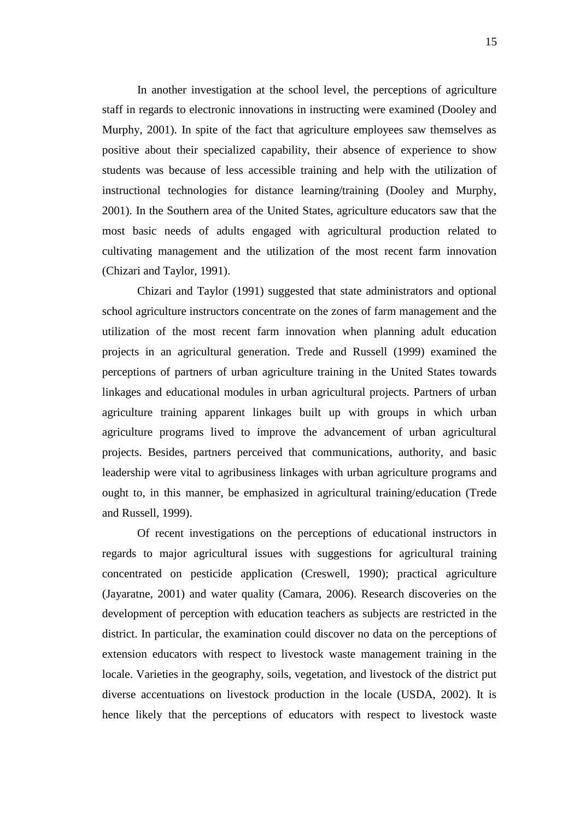In another investigation at the school level, the perceptions of agriculture staff in regards to electronic innovations in instructing were examined (Dooley and Murphy, 2001). In spite of the fact that agriculture employees saw themselves as positive about their specialized capability, their absence of experience to show students was because of less accessible training and help with the utilization of instructional technologies for distance learning/training (Dooley and Murphy, 2001). In the Southern area of the United States, agriculture educators saw that the most basic needs of adults engaged with agricultural production related to cultivating management and the utilization of the most recent farm innovation (Chizari and Taylor, 1991).

Chizari and Taylor (1991) suggested that state administrators and optional school agriculture instructors concentrate on the zones of farm management and the utilization of the most recent farm innovation when planning adult education projects in an agricultural generation. Trede and Russell (1999) examined the perceptions of partners of urban agriculture training in the United States towards linkages and educational modules in urban agricultural projects. Partners of urban agriculture training apparent linkages built up with groups in which urban agriculture programs lived to improve the advancement of urban agricultural projects. Besides, partners perceived that communications, authority, and basic leadership were vital to agribusiness linkages with urban agriculture programs and ought to, in this manner, be emphasized in agricultural training/education (Trede and Russell, 1999).

Of recent investigations on the perceptions of educational instructors in regards to major agricultural issues with suggestions for agricultural training concentrated on pesticide application (Creswell, 1990); practical agriculture (Jayaratne, 2001) and water quality (Camara, 2006). Research discoveries on the development of perception with education teachers as subjects are restricted in the district. In particular, the examination could discover no data on the perceptions of extension educators with respect to livestock waste management training in the locale. Varieties in the geography, soils, vegetation, and livestock of the district put diverse accentuations on livestock production in the locale (USDA, 2002). It is hence likely that the perceptions of educators with respect to livestock waste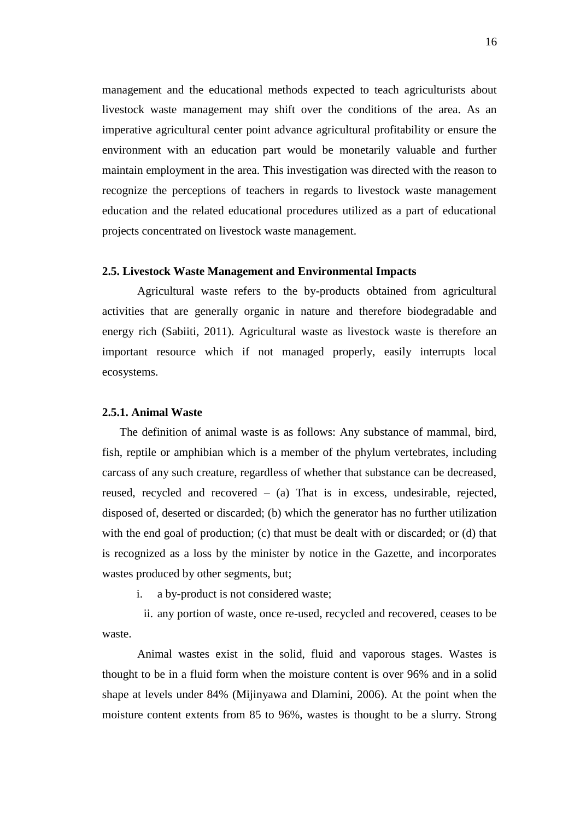management and the educational methods expected to teach agriculturists about livestock waste management may shift over the conditions of the area. As an imperative agricultural center point advance agricultural profitability or ensure the environment with an education part would be monetarily valuable and further maintain employment in the area. This investigation was directed with the reason to recognize the perceptions of teachers in regards to livestock waste management education and the related educational procedures utilized as a part of educational projects concentrated on livestock waste management.

### **2.5. Livestock Waste Management and Environmental Impacts**

Agricultural waste refers to the by-products obtained from agricultural activities that are generally organic in nature and therefore biodegradable and energy rich (Sabiiti, 2011). Agricultural waste as livestock waste is therefore an important resource which if not managed properly, easily interrupts local ecosystems.

### **2.5.1. Animal Waste**

The definition of animal waste is as follows: Any substance of mammal, bird, fish, reptile or amphibian which is a member of the phylum vertebrates, including carcass of any such creature, regardless of whether that substance can be decreased, reused, recycled and recovered – (a) That is in excess, undesirable, rejected, disposed of, deserted or discarded; (b) which the generator has no further utilization with the end goal of production; (c) that must be dealt with or discarded; or (d) that is recognized as a loss by the minister by notice in the Gazette, and incorporates wastes produced by other segments, but;

i. a by-product is not considered waste;

ii. any portion of waste, once re-used, recycled and recovered, ceases to be waste.

Animal wastes exist in the solid, fluid and vaporous stages. Wastes is thought to be in a fluid form when the moisture content is over 96% and in a solid shape at levels under 84% (Mijinyawa and Dlamini, 2006). At the point when the moisture content extents from 85 to 96%, wastes is thought to be a slurry. Strong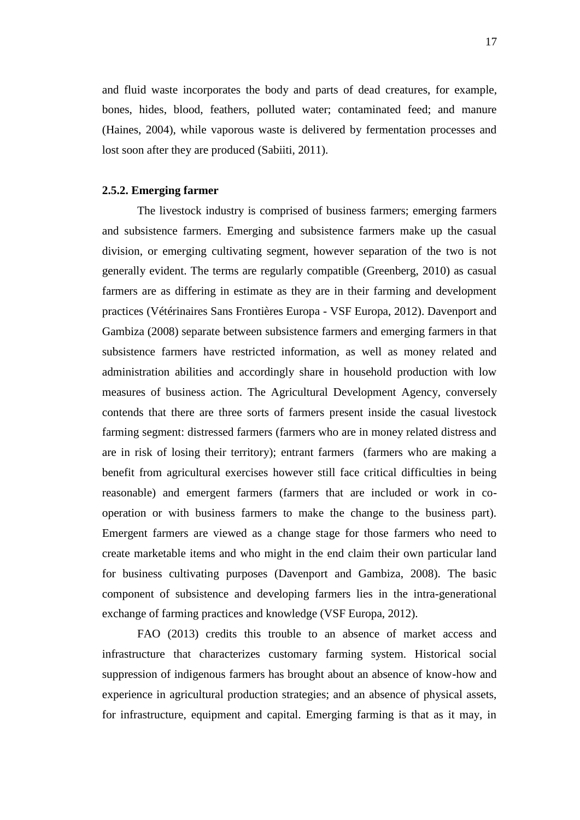and fluid waste incorporates the body and parts of dead creatures, for example, bones, hides, blood, feathers, polluted water; contaminated feed; and manure (Haines, 2004), while vaporous waste is delivered by fermentation processes and lost soon after they are produced (Sabiiti, 2011).

### **2.5.2. Emerging farmer**

The livestock industry is comprised of business farmers; emerging farmers and subsistence farmers. Emerging and subsistence farmers make up the casual division, or emerging cultivating segment, however separation of the two is not generally evident. The terms are regularly compatible (Greenberg, 2010) as casual farmers are as differing in estimate as they are in their farming and development practices (Vétérinaires Sans Frontières Europa - VSF Europa, 2012). Davenport and Gambiza (2008) separate between subsistence farmers and emerging farmers in that subsistence farmers have restricted information, as well as money related and administration abilities and accordingly share in household production with low measures of business action. The Agricultural Development Agency, conversely contends that there are three sorts of farmers present inside the casual livestock farming segment: distressed farmers (farmers who are in money related distress and are in risk of losing their territory); entrant farmers (farmers who are making a benefit from agricultural exercises however still face critical difficulties in being reasonable) and emergent farmers (farmers that are included or work in cooperation or with business farmers to make the change to the business part). Emergent farmers are viewed as a change stage for those farmers who need to create marketable items and who might in the end claim their own particular land for business cultivating purposes (Davenport and Gambiza, 2008). The basic component of subsistence and developing farmers lies in the intra-generational exchange of farming practices and knowledge (VSF Europa, 2012).

FAO (2013) credits this trouble to an absence of market access and infrastructure that characterizes customary farming system. Historical social suppression of indigenous farmers has brought about an absence of know-how and experience in agricultural production strategies; and an absence of physical assets, for infrastructure, equipment and capital. Emerging farming is that as it may, in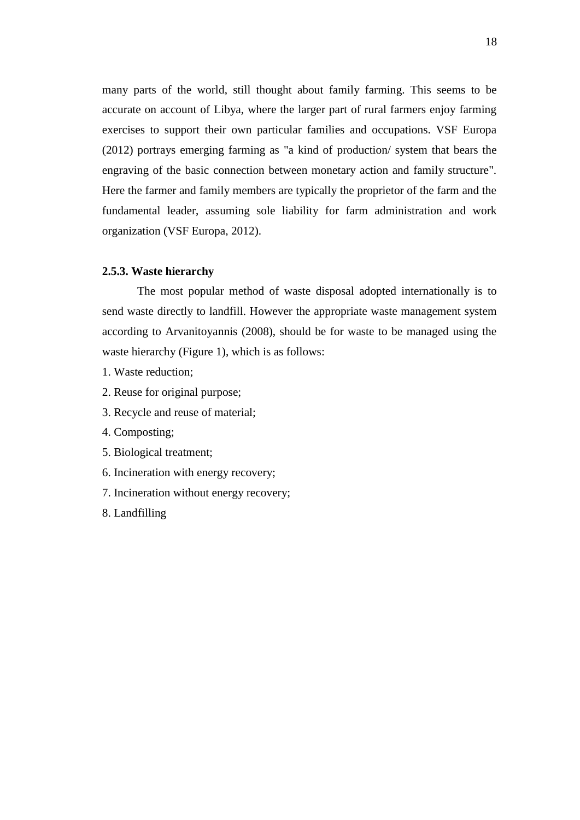many parts of the world, still thought about family farming. This seems to be accurate on account of Libya, where the larger part of rural farmers enjoy farming exercises to support their own particular families and occupations. VSF Europa (2012) portrays emerging farming as "a kind of production/ system that bears the engraving of the basic connection between monetary action and family structure". Here the farmer and family members are typically the proprietor of the farm and the fundamental leader, assuming sole liability for farm administration and work organization (VSF Europa, 2012).

### **2.5.3. Waste hierarchy**

The most popular method of waste disposal adopted internationally is to send waste directly to landfill. However the appropriate waste management system according to Arvanitoyannis (2008), should be for waste to be managed using the waste hierarchy (Figure 1), which is as follows:

- 1. Waste reduction;
- 2. Reuse for original purpose;
- 3. Recycle and reuse of material;
- 4. Composting;
- 5. Biological treatment;
- 6. Incineration with energy recovery;
- 7. Incineration without energy recovery;
- 8. Landfilling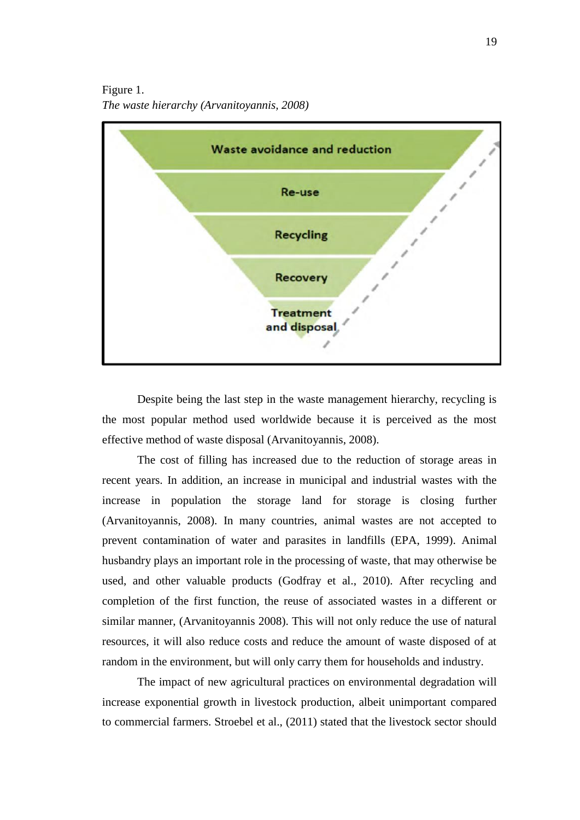Figure 1. *The waste hierarchy (Arvanitoyannis, 2008)*



Despite being the last step in the waste management hierarchy, recycling is the most popular method used worldwide because it is perceived as the most effective method of waste disposal (Arvanitoyannis, 2008).

The cost of filling has increased due to the reduction of storage areas in recent years. In addition, an increase in municipal and industrial wastes with the increase in population the storage land for storage is closing further (Arvanitoyannis, 2008). In many countries, animal wastes are not accepted to prevent contamination of water and parasites in landfills (EPA, 1999). Animal husbandry plays an important role in the processing of waste, that may otherwise be used, and other valuable products (Godfray et al., 2010). After recycling and completion of the first function, the reuse of associated wastes in a different or similar manner, (Arvanitoyannis 2008). This will not only reduce the use of natural resources, it will also reduce costs and reduce the amount of waste disposed of at random in the environment, but will only carry them for households and industry.

The impact of new agricultural practices on environmental degradation will increase exponential growth in livestock production, albeit unimportant compared to commercial farmers. Stroebel et al., (2011) stated that the livestock sector should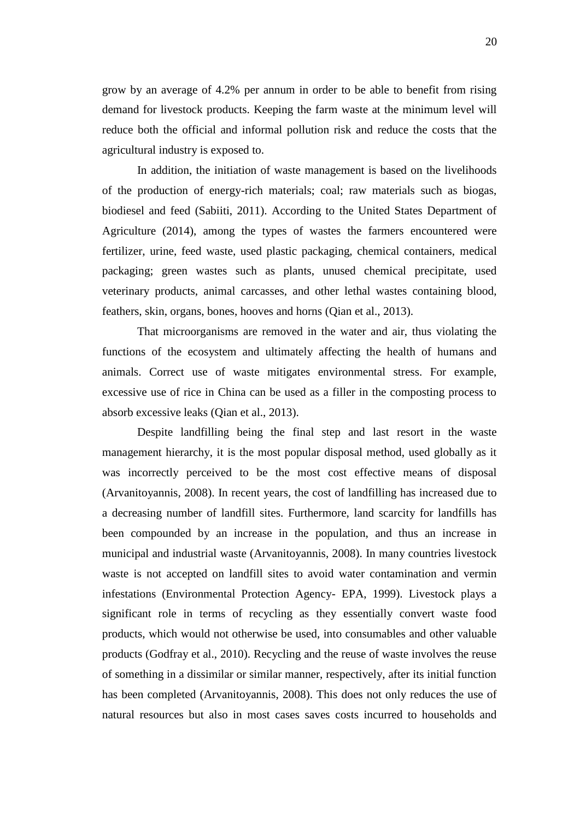grow by an average of 4.2% per annum in order to be able to benefit from rising demand for livestock products. Keeping the farm waste at the minimum level will reduce both the official and informal pollution risk and reduce the costs that the agricultural industry is exposed to.

In addition, the initiation of waste management is based on the livelihoods of the production of energy-rich materials; coal; raw materials such as biogas, biodiesel and feed (Sabiiti, 2011). According to the United States Department of Agriculture (2014), among the types of wastes the farmers encountered were fertilizer, urine, feed waste, used plastic packaging, chemical containers, medical packaging; green wastes such as plants, unused chemical precipitate, used veterinary products, animal carcasses, and other lethal wastes containing blood, feathers, skin, organs, bones, hooves and horns (Qian et al., 2013).

That microorganisms are removed in the water and air, thus violating the functions of the ecosystem and ultimately affecting the health of humans and animals. Correct use of waste mitigates environmental stress. For example, excessive use of rice in China can be used as a filler in the composting process to absorb excessive leaks (Qian et al., 2013).

Despite landfilling being the final step and last resort in the waste management hierarchy, it is the most popular disposal method, used globally as it was incorrectly perceived to be the most cost effective means of disposal (Arvanitoyannis, 2008). In recent years, the cost of landfilling has increased due to a decreasing number of landfill sites. Furthermore, land scarcity for landfills has been compounded by an increase in the population, and thus an increase in municipal and industrial waste (Arvanitoyannis, 2008). In many countries livestock waste is not accepted on landfill sites to avoid water contamination and vermin infestations (Environmental Protection Agency- EPA, 1999). Livestock plays a significant role in terms of recycling as they essentially convert waste food products, which would not otherwise be used, into consumables and other valuable products (Godfray et al., 2010). Recycling and the reuse of waste involves the reuse of something in a dissimilar or similar manner, respectively, after its initial function has been completed (Arvanitoyannis, 2008). This does not only reduces the use of natural resources but also in most cases saves costs incurred to households and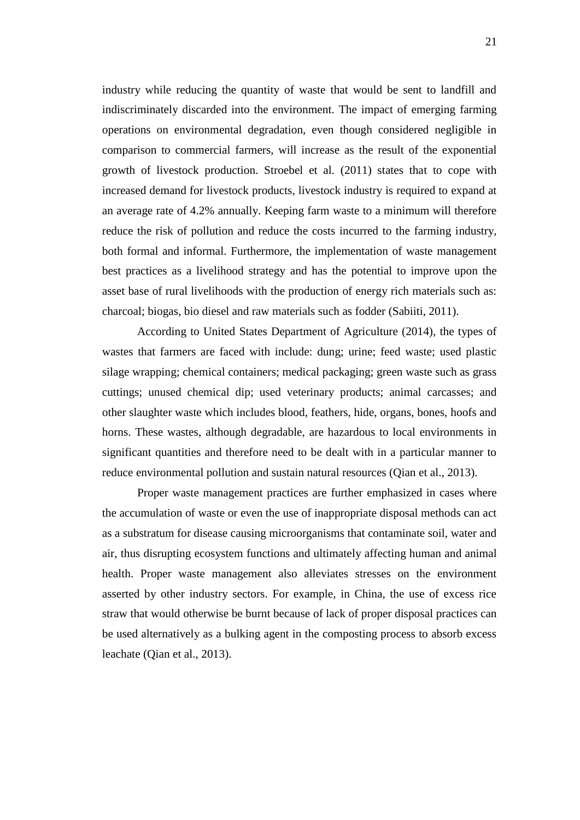industry while reducing the quantity of waste that would be sent to landfill and indiscriminately discarded into the environment. The impact of emerging farming operations on environmental degradation, even though considered negligible in comparison to commercial farmers, will increase as the result of the exponential growth of livestock production. Stroebel et al. (2011) states that to cope with increased demand for livestock products, livestock industry is required to expand at an average rate of 4.2% annually. Keeping farm waste to a minimum will therefore reduce the risk of pollution and reduce the costs incurred to the farming industry, both formal and informal. Furthermore, the implementation of waste management best practices as a livelihood strategy and has the potential to improve upon the asset base of rural livelihoods with the production of energy rich materials such as: charcoal; biogas, bio diesel and raw materials such as fodder (Sabiiti, 2011).

According to United States Department of Agriculture (2014), the types of wastes that farmers are faced with include: dung; urine; feed waste; used plastic silage wrapping; chemical containers; medical packaging; green waste such as grass cuttings; unused chemical dip; used veterinary products; animal carcasses; and other slaughter waste which includes blood, feathers, hide, organs, bones, hoofs and horns. These wastes, although degradable, are hazardous to local environments in significant quantities and therefore need to be dealt with in a particular manner to reduce environmental pollution and sustain natural resources (Qian et al., 2013).

Proper waste management practices are further emphasized in cases where the accumulation of waste or even the use of inappropriate disposal methods can act as a substratum for disease causing microorganisms that contaminate soil, water and air, thus disrupting ecosystem functions and ultimately affecting human and animal health. Proper waste management also alleviates stresses on the environment asserted by other industry sectors. For example, in China, the use of excess rice straw that would otherwise be burnt because of lack of proper disposal practices can be used alternatively as a bulking agent in the composting process to absorb excess leachate (Qian et al., 2013).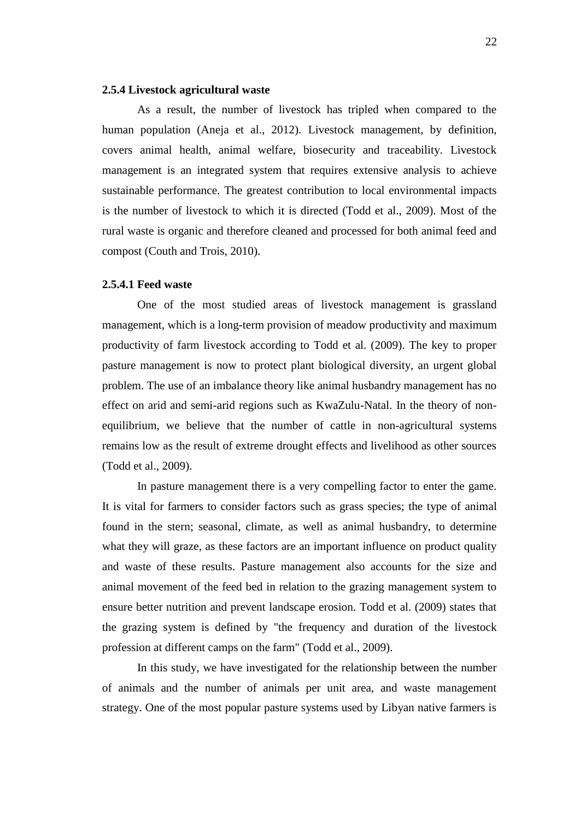#### **2.5.4 Livestock agricultural waste**

As a result, the number of livestock has tripled when compared to the human population (Aneja et al., 2012). Livestock management, by definition, covers animal health, animal welfare, biosecurity and traceability. Livestock management is an integrated system that requires extensive analysis to achieve sustainable performance. The greatest contribution to local environmental impacts is the number of livestock to which it is directed (Todd et al., 2009). Most of the rural waste is organic and therefore cleaned and processed for both animal feed and compost (Couth and Trois, 2010).

#### **2.5.4.1 Feed waste**

One of the most studied areas of livestock management is grassland management, which is a long-term provision of meadow productivity and maximum productivity of farm livestock according to Todd et al. (2009). The key to proper pasture management is now to protect plant biological diversity, an urgent global problem. The use of an imbalance theory like animal husbandry management has no effect on arid and semi-arid regions such as KwaZulu-Natal. In the theory of nonequilibrium, we believe that the number of cattle in non-agricultural systems remains low as the result of extreme drought effects and livelihood as other sources (Todd et al., 2009).

In pasture management there is a very compelling factor to enter the game. It is vital for farmers to consider factors such as grass species; the type of animal found in the stern; seasonal, climate, as well as animal husbandry, to determine what they will graze, as these factors are an important influence on product quality and waste of these results. Pasture management also accounts for the size and animal movement of the feed bed in relation to the grazing management system to ensure better nutrition and prevent landscape erosion. Todd et al. (2009) states that the grazing system is defined by "the frequency and duration of the livestock profession at different camps on the farm" (Todd et al., 2009).

In this study, we have investigated for the relationship between the number of animals and the number of animals per unit area, and waste management strategy. One of the most popular pasture systems used by Libyan native farmers is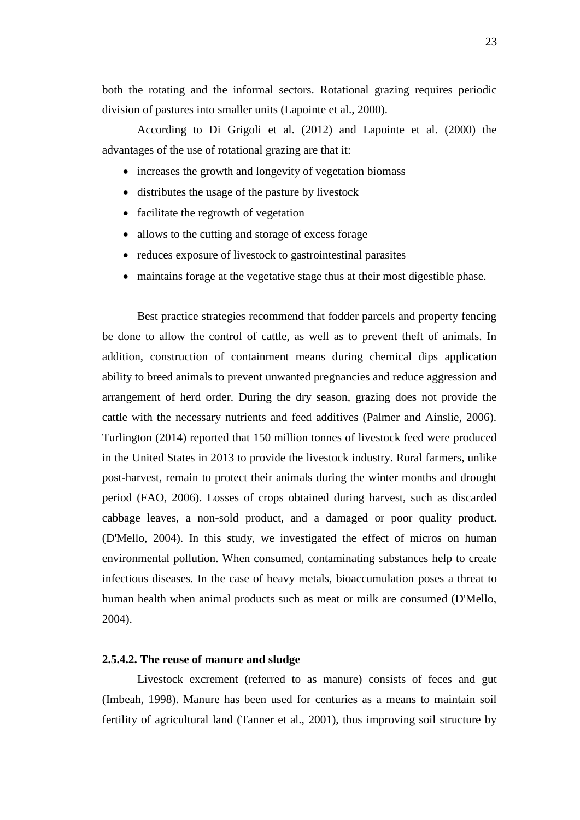both the rotating and the informal sectors. Rotational grazing requires periodic division of pastures into smaller units (Lapointe et al., 2000).

According to Di Grigoli et al. (2012) and Lapointe et al. (2000) the advantages of the use of rotational grazing are that it:

- increases the growth and longevity of vegetation biomass
- distributes the usage of the pasture by livestock
- facilitate the regrowth of vegetation
- allows to the cutting and storage of excess forage
- reduces exposure of livestock to gastrointestinal parasites
- maintains forage at the vegetative stage thus at their most digestible phase.

Best practice strategies recommend that fodder parcels and property fencing be done to allow the control of cattle, as well as to prevent theft of animals. In addition, construction of containment means during chemical dips application ability to breed animals to prevent unwanted pregnancies and reduce aggression and arrangement of herd order. During the dry season, grazing does not provide the cattle with the necessary nutrients and feed additives (Palmer and Ainslie, 2006). Turlington (2014) reported that 150 million tonnes of livestock feed were produced in the United States in 2013 to provide the livestock industry. Rural farmers, unlike post-harvest, remain to protect their animals during the winter months and drought period (FAO, 2006). Losses of crops obtained during harvest, such as discarded cabbage leaves, a non-sold product, and a damaged or poor quality product. (D'Mello, 2004). In this study, we investigated the effect of micros on human environmental pollution. When consumed, contaminating substances help to create infectious diseases. In the case of heavy metals, bioaccumulation poses a threat to human health when animal products such as meat or milk are consumed (D'Mello, 2004).

### **2.5.4.2. The reuse of manure and sludge**

Livestock excrement (referred to as manure) consists of feces and gut (Imbeah, 1998). Manure has been used for centuries as a means to maintain soil fertility of agricultural land (Tanner et al., 2001), thus improving soil structure by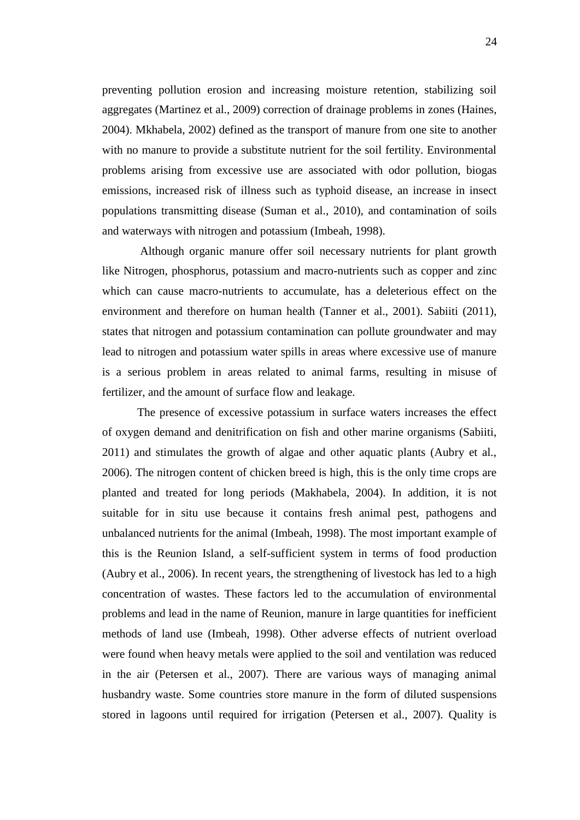preventing pollution erosion and increasing moisture retention, stabilizing soil aggregates (Martinez et al., 2009) correction of drainage problems in zones (Haines, 2004). Mkhabela, 2002) defined as the transport of manure from one site to another with no manure to provide a substitute nutrient for the soil fertility. Environmental problems arising from excessive use are associated with odor pollution, biogas emissions, increased risk of illness such as typhoid disease, an increase in insect populations transmitting disease (Suman et al., 2010), and contamination of soils and waterways with nitrogen and potassium (Imbeah, 1998).

Although organic manure offer soil necessary nutrients for plant growth like Nitrogen, phosphorus, potassium and macro-nutrients such as copper and zinc which can cause macro-nutrients to accumulate, has a deleterious effect on the environment and therefore on human health (Tanner et al., 2001). Sabiiti (2011), states that nitrogen and potassium contamination can pollute groundwater and may lead to nitrogen and potassium water spills in areas where excessive use of manure is a serious problem in areas related to animal farms, resulting in misuse of fertilizer, and the amount of surface flow and leakage.

The presence of excessive potassium in surface waters increases the effect of oxygen demand and denitrification on fish and other marine organisms (Sabiiti, 2011) and stimulates the growth of algae and other aquatic plants (Aubry et al., 2006). The nitrogen content of chicken breed is high, this is the only time crops are planted and treated for long periods (Makhabela, 2004). In addition, it is not suitable for in situ use because it contains fresh animal pest, pathogens and unbalanced nutrients for the animal (Imbeah, 1998). The most important example of this is the Reunion Island, a self-sufficient system in terms of food production (Aubry et al., 2006). In recent years, the strengthening of livestock has led to a high concentration of wastes. These factors led to the accumulation of environmental problems and lead in the name of Reunion, manure in large quantities for inefficient methods of land use (Imbeah, 1998). Other adverse effects of nutrient overload were found when heavy metals were applied to the soil and ventilation was reduced in the air (Petersen et al., 2007). There are various ways of managing animal husbandry waste. Some countries store manure in the form of diluted suspensions stored in lagoons until required for irrigation (Petersen et al., 2007). Quality is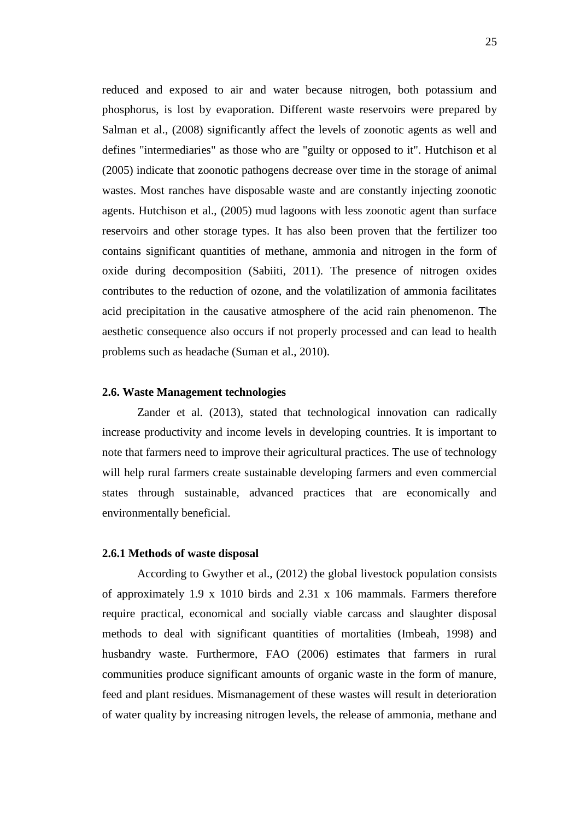reduced and exposed to air and water because nitrogen, both potassium and phosphorus, is lost by evaporation. Different waste reservoirs were prepared by Salman et al., (2008) significantly affect the levels of zoonotic agents as well and defines "intermediaries" as those who are "guilty or opposed to it". Hutchison et al (2005) indicate that zoonotic pathogens decrease over time in the storage of animal wastes. Most ranches have disposable waste and are constantly injecting zoonotic agents. Hutchison et al., (2005) mud lagoons with less zoonotic agent than surface reservoirs and other storage types. It has also been proven that the fertilizer too contains significant quantities of methane, ammonia and nitrogen in the form of oxide during decomposition (Sabiiti, 2011). The presence of nitrogen oxides contributes to the reduction of ozone, and the volatilization of ammonia facilitates acid precipitation in the causative atmosphere of the acid rain phenomenon. The aesthetic consequence also occurs if not properly processed and can lead to health problems such as headache (Suman et al., 2010).

#### **2.6. Waste Management technologies**

Zander et al. (2013), stated that technological innovation can radically increase productivity and income levels in developing countries. It is important to note that farmers need to improve their agricultural practices. The use of technology will help rural farmers create sustainable developing farmers and even commercial states through sustainable, advanced practices that are economically and environmentally beneficial.

#### **2.6.1 Methods of waste disposal**

According to Gwyther et al., (2012) the global livestock population consists of approximately 1.9 x 1010 birds and 2.31 x 106 mammals. Farmers therefore require practical, economical and socially viable carcass and slaughter disposal methods to deal with significant quantities of mortalities (Imbeah, 1998) and husbandry waste. Furthermore, FAO (2006) estimates that farmers in rural communities produce significant amounts of organic waste in the form of manure, feed and plant residues. Mismanagement of these wastes will result in deterioration of water quality by increasing nitrogen levels, the release of ammonia, methane and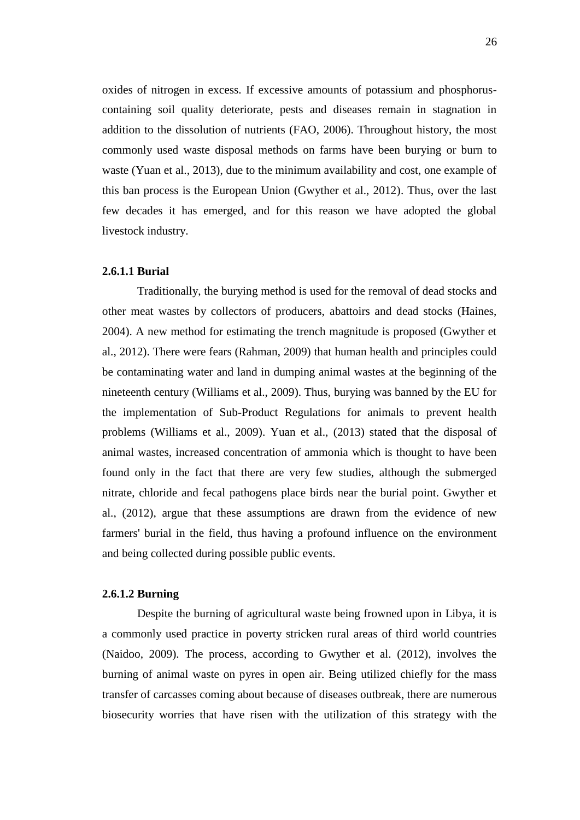oxides of nitrogen in excess. If excessive amounts of potassium and phosphoruscontaining soil quality deteriorate, pests and diseases remain in stagnation in addition to the dissolution of nutrients (FAO, 2006). Throughout history, the most commonly used waste disposal methods on farms have been burying or burn to waste (Yuan et al., 2013), due to the minimum availability and cost, one example of this ban process is the European Union (Gwyther et al., 2012). Thus, over the last few decades it has emerged, and for this reason we have adopted the global livestock industry.

#### **2.6.1.1 Burial**

Traditionally, the burying method is used for the removal of dead stocks and other meat wastes by collectors of producers, abattoirs and dead stocks (Haines, 2004). A new method for estimating the trench magnitude is proposed (Gwyther et al., 2012). There were fears (Rahman, 2009) that human health and principles could be contaminating water and land in dumping animal wastes at the beginning of the nineteenth century (Williams et al., 2009). Thus, burying was banned by the EU for the implementation of Sub-Product Regulations for animals to prevent health problems (Williams et al., 2009). Yuan et al., (2013) stated that the disposal of animal wastes, increased concentration of ammonia which is thought to have been found only in the fact that there are very few studies, although the submerged nitrate, chloride and fecal pathogens place birds near the burial point. Gwyther et al., (2012), argue that these assumptions are drawn from the evidence of new farmers' burial in the field, thus having a profound influence on the environment and being collected during possible public events.

#### **2.6.1.2 Burning**

Despite the burning of agricultural waste being frowned upon in Libya, it is a commonly used practice in poverty stricken rural areas of third world countries (Naidoo, 2009). The process, according to Gwyther et al. (2012), involves the burning of animal waste on pyres in open air. Being utilized chiefly for the mass transfer of carcasses coming about because of diseases outbreak, there are numerous biosecurity worries that have risen with the utilization of this strategy with the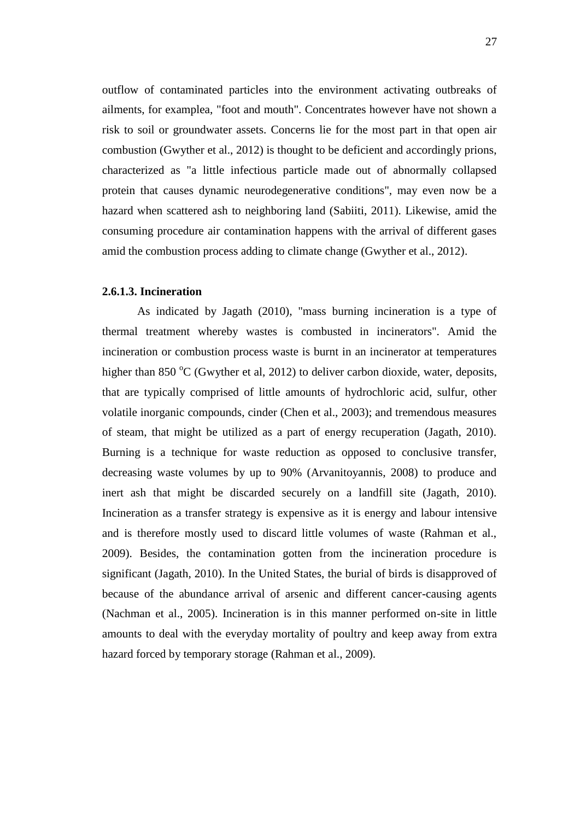outflow of contaminated particles into the environment activating outbreaks of ailments, for examplea, "foot and mouth". Concentrates however have not shown a risk to soil or groundwater assets. Concerns lie for the most part in that open air combustion (Gwyther et al., 2012) is thought to be deficient and accordingly prions, characterized as "a little infectious particle made out of abnormally collapsed protein that causes dynamic neurodegenerative conditions", may even now be a hazard when scattered ash to neighboring land (Sabiiti, 2011). Likewise, amid the consuming procedure air contamination happens with the arrival of different gases amid the combustion process adding to climate change (Gwyther et al., 2012).

#### **2.6.1.3. Incineration**

As indicated by Jagath (2010), "mass burning incineration is a type of thermal treatment whereby wastes is combusted in incinerators". Amid the incineration or combustion process waste is burnt in an incinerator at temperatures higher than 850  $\rm{^{\circ}C}$  (Gwyther et al, 2012) to deliver carbon dioxide, water, deposits, that are typically comprised of little amounts of hydrochloric acid, sulfur, other volatile inorganic compounds, cinder (Chen et al., 2003); and tremendous measures of steam, that might be utilized as a part of energy recuperation (Jagath, 2010). Burning is a technique for waste reduction as opposed to conclusive transfer, decreasing waste volumes by up to 90% (Arvanitoyannis, 2008) to produce and inert ash that might be discarded securely on a landfill site (Jagath, 2010). Incineration as a transfer strategy is expensive as it is energy and labour intensive and is therefore mostly used to discard little volumes of waste (Rahman et al., 2009). Besides, the contamination gotten from the incineration procedure is significant (Jagath, 2010). In the United States, the burial of birds is disapproved of because of the abundance arrival of arsenic and different cancer-causing agents (Nachman et al., 2005). Incineration is in this manner performed on-site in little amounts to deal with the everyday mortality of poultry and keep away from extra hazard forced by temporary storage (Rahman et al., 2009).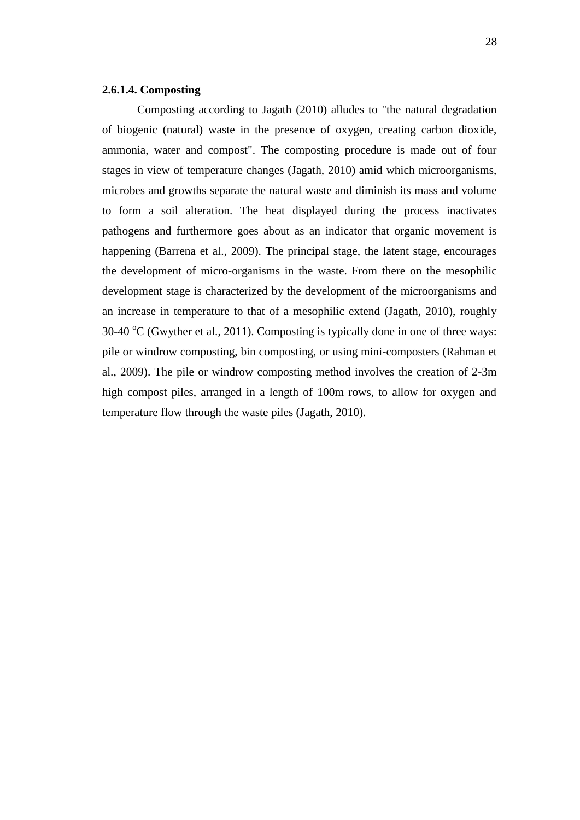#### **2.6.1.4. Composting**

Composting according to Jagath (2010) alludes to "the natural degradation of biogenic (natural) waste in the presence of oxygen, creating carbon dioxide, ammonia, water and compost". The composting procedure is made out of four stages in view of temperature changes (Jagath, 2010) amid which microorganisms, microbes and growths separate the natural waste and diminish its mass and volume to form a soil alteration. The heat displayed during the process inactivates pathogens and furthermore goes about as an indicator that organic movement is happening (Barrena et al., 2009). The principal stage, the latent stage, encourages the development of micro-organisms in the waste. From there on the mesophilic development stage is characterized by the development of the microorganisms and an increase in temperature to that of a mesophilic extend (Jagath, 2010), roughly 30-40  $^{\circ}$ C (Gwyther et al., 2011). Composting is typically done in one of three ways: pile or windrow composting, bin composting, or using mini-composters (Rahman et al., 2009). The pile or windrow composting method involves the creation of 2-3m high compost piles, arranged in a length of 100m rows, to allow for oxygen and temperature flow through the waste piles (Jagath, 2010).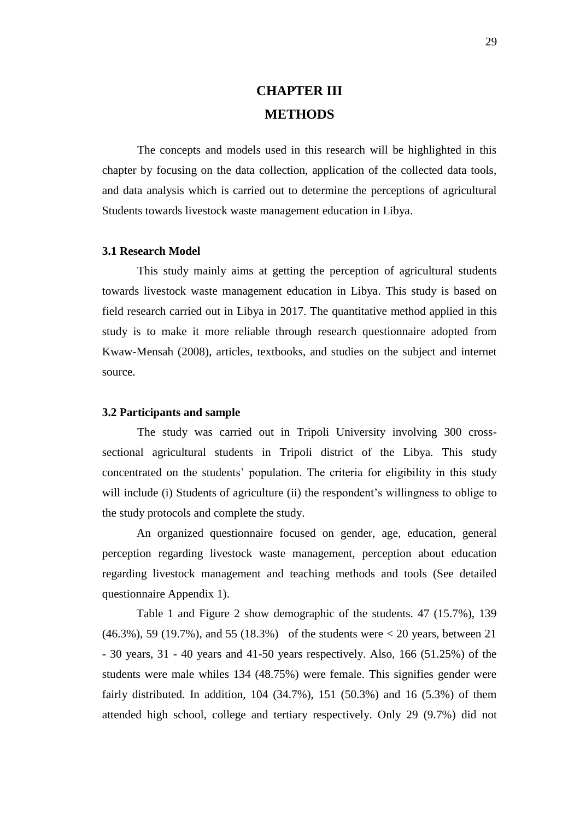# **CHAPTER III METHODS**

The concepts and models used in this research will be highlighted in this chapter by focusing on the data collection, application of the collected data tools, and data analysis which is carried out to determine the perceptions of agricultural Students towards livestock waste management education in Libya.

#### **3.1 Research Model**

This study mainly aims at getting the perception of agricultural students towards livestock waste management education in Libya. This study is based on field research carried out in Libya in 2017. The quantitative method applied in this study is to make it more reliable through research questionnaire adopted from Kwaw-Mensah (2008), articles, textbooks, and studies on the subject and internet source.

#### **3.2 Participants and sample**

The study was carried out in Tripoli University involving 300 crosssectional agricultural students in Tripoli district of the Libya. This study concentrated on the students' population. The criteria for eligibility in this study will include (i) Students of agriculture (ii) the respondent's willingness to oblige to the study protocols and complete the study.

An organized questionnaire focused on gender, age, education, general perception regarding livestock waste management, perception about education regarding livestock management and teaching methods and tools (See detailed questionnaire Appendix 1).

Table 1 and Figure 2 show demographic of the students. 47 (15.7%), 139 (46.3%), 59 (19.7%), and 55 (18.3%) of the students were < 20 years, between 21 - 30 years, 31 - 40 years and 41-50 years respectively. Also, 166 (51.25%) of the students were male whiles 134 (48.75%) were female. This signifies gender were fairly distributed. In addition, 104 (34.7%), 151 (50.3%) and 16 (5.3%) of them attended high school, college and tertiary respectively. Only 29 (9.7%) did not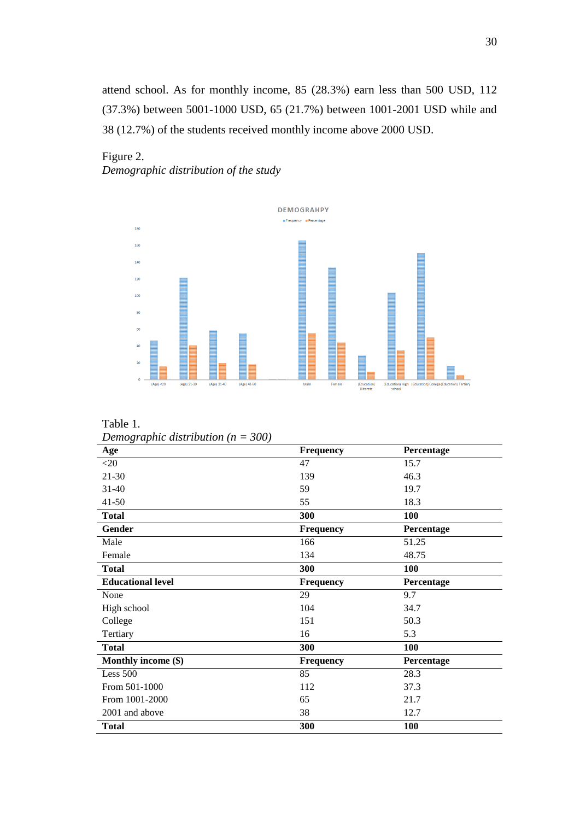attend school. As for monthly income, 85 (28.3%) earn less than 500 USD, 112 (37.3%) between 5001-1000 USD, 65 (21.7%) between 1001-2001 USD while and 38 (12.7%) of the students received monthly income above 2000 USD.

### Figure 2. *Demographic distribution of the study*



Table 1. *Demographic distribution (n = 300)*

| Age                      | <b>Frequency</b> | Percentage |
|--------------------------|------------------|------------|
| $<$ 20                   | 47               | 15.7       |
| $21 - 30$                | 139              | 46.3       |
| $31 - 40$                | 59               | 19.7       |
| $41 - 50$                | 55               | 18.3       |
| <b>Total</b>             | 300              | 100        |
| Gender                   | Frequency        | Percentage |
| Male                     | 166              | 51.25      |
| Female                   | 134              | 48.75      |
| <b>Total</b>             | 300              | 100        |
| <b>Educational level</b> | <b>Frequency</b> | Percentage |
| None                     | 29               | 9.7        |
| High school              | 104              | 34.7       |
| College                  | 151              | 50.3       |
| Tertiary                 | 16               | 5.3        |
| <b>Total</b>             | 300              | 100        |
| Monthly income (\$)      | <b>Frequency</b> | Percentage |
| Less $500$               | 85               | 28.3       |
| From 501-1000            | 112              | 37.3       |
| From 1001-2000           | 65               | 21.7       |
| 2001 and above           | 38               | 12.7       |
| <b>Total</b>             | 300              | 100        |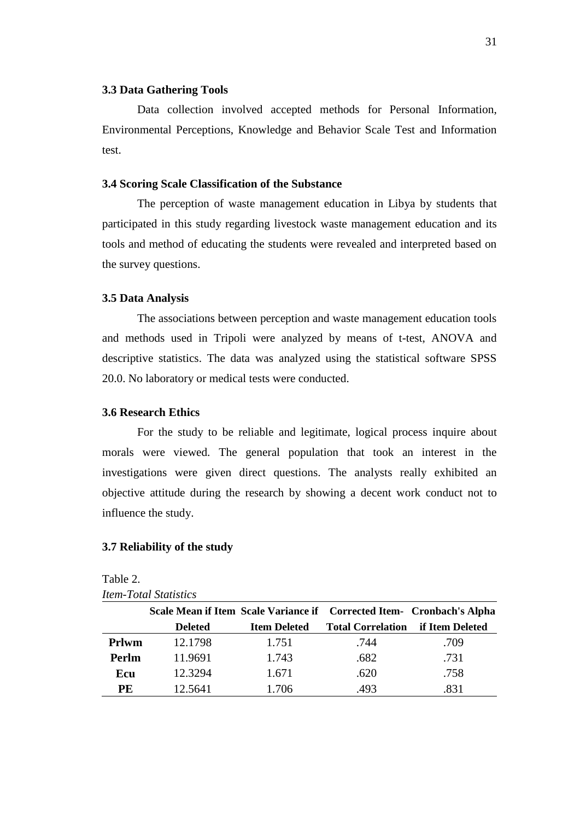#### **3.3 Data Gathering Tools**

Data collection involved accepted methods for Personal Information, Environmental Perceptions, Knowledge and Behavior Scale Test and Information test.

#### **3.4 Scoring Scale Classification of the Substance**

The perception of waste management education in Libya by students that participated in this study regarding livestock waste management education and its tools and method of educating the students were revealed and interpreted based on the survey questions.

#### **3.5 Data Analysis**

The associations between perception and waste management education tools and methods used in Tripoli were analyzed by means of t-test, ANOVA and descriptive statistics. The data was analyzed using the statistical software SPSS 20.0. No laboratory or medical tests were conducted.

#### **3.6 Research Ethics**

For the study to be reliable and legitimate, logical process inquire about morals were viewed. The general population that took an interest in the investigations were given direct questions. The analysts really exhibited an objective attitude during the research by showing a decent work conduct not to influence the study.

#### **3.7 Reliability of the study**

|              | Scale Mean if Item Scale Variance if Corrected Item- Cronbach's Alpha |                     |                          |                 |
|--------------|-----------------------------------------------------------------------|---------------------|--------------------------|-----------------|
|              | <b>Deleted</b>                                                        | <b>Item Deleted</b> | <b>Total Correlation</b> | if Item Deleted |
| <b>Prlwm</b> | 12.1798                                                               | 1.751               | .744                     | .709            |
| Perlm        | 11.9691                                                               | 1.743               | .682                     | .731            |
| Ecu          | 12.3294                                                               | 1.671               | .620                     | .758            |
| PE           | 12.5641                                                               | 1.706               | .493                     | .831            |

| Table 2.                            |
|-------------------------------------|
| <i><b>Item-Total Statistics</b></i> |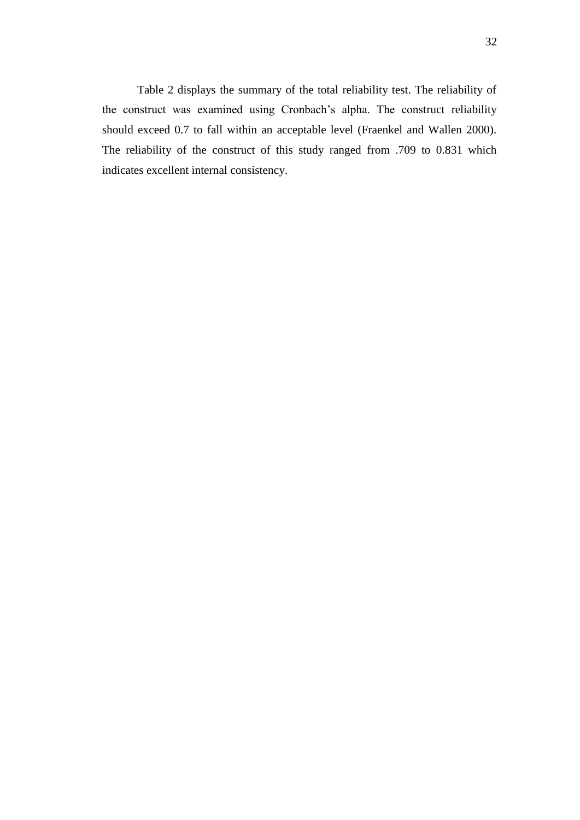Table 2 displays the summary of the total reliability test. The reliability of the construct was examined using Cronbach's alpha. The construct reliability should exceed 0.7 to fall within an acceptable level (Fraenkel and Wallen 2000). The reliability of the construct of this study ranged from .709 to 0.831 which indicates excellent internal consistency.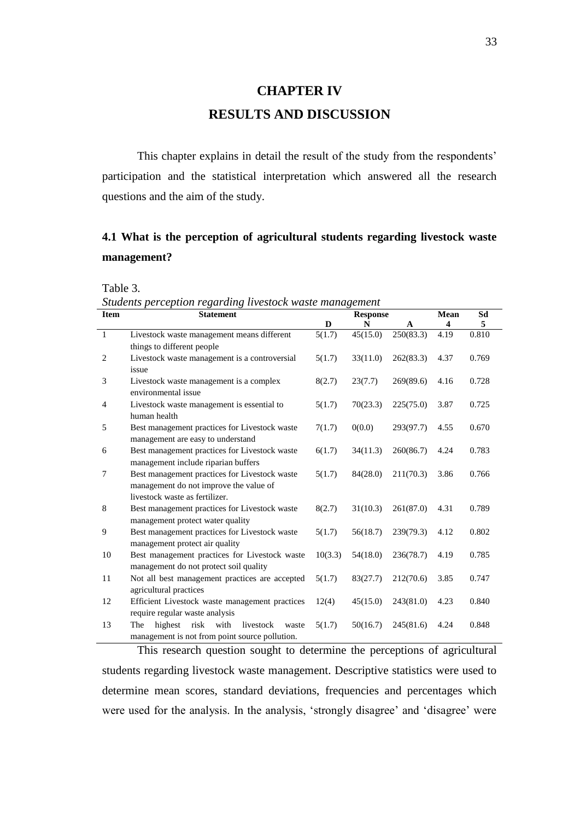# **CHAPTER IV RESULTS AND DISCUSSION**

This chapter explains in detail the result of the study from the respondents' participation and the statistical interpretation which answered all the research questions and the aim of the study.

## **4.1 What is the perception of agricultural students regarding livestock waste management?**

Table 3.

*Students perception regarding livestock waste management*

| <b>Item</b>    | $\ldots$<br><b>Statement</b>                         |         | <b>Response</b> |              | <b>Mean</b> | Sd    |
|----------------|------------------------------------------------------|---------|-----------------|--------------|-------------|-------|
|                |                                                      | D       | N               | $\mathbf{A}$ | 4           | 5     |
| $\mathbf{1}$   | Livestock waste management means different           | 5(1.7)  | 45(15.0)        | 250(83.3)    | 4.19        | 0.810 |
|                | things to different people                           |         |                 |              |             |       |
| $\overline{2}$ | Livestock waste management is a controversial        | 5(1.7)  | 33(11.0)        | 262(83.3)    | 4.37        | 0.769 |
|                | issue                                                |         |                 |              |             |       |
| 3              | Livestock waste management is a complex              | 8(2.7)  | 23(7.7)         | 269(89.6)    | 4.16        | 0.728 |
|                | environmental issue                                  |         |                 |              |             |       |
| $\overline{4}$ | Livestock waste management is essential to           | 5(1.7)  | 70(23.3)        | 225(75.0)    | 3.87        | 0.725 |
|                | human health                                         |         |                 |              |             |       |
| 5              | Best management practices for Livestock waste        | 7(1.7)  | 0(0.0)          | 293(97.7)    | 4.55        | 0.670 |
|                | management are easy to understand                    |         |                 |              |             |       |
| 6              | Best management practices for Livestock waste        | 6(1.7)  | 34(11.3)        | 260(86.7)    | 4.24        | 0.783 |
|                | management include riparian buffers                  |         |                 |              |             |       |
| $\overline{7}$ | Best management practices for Livestock waste        | 5(1.7)  | 84(28.0)        | 211(70.3)    | 3.86        | 0.766 |
|                | management do not improve the value of               |         |                 |              |             |       |
|                | livestock waste as fertilizer.                       |         |                 |              |             |       |
| $\,8\,$        | Best management practices for Livestock waste        | 8(2.7)  | 31(10.3)        | 261(87.0)    | 4.31        | 0.789 |
|                | management protect water quality                     |         |                 |              |             |       |
| 9              | Best management practices for Livestock waste        | 5(1.7)  | 56(18.7)        | 239(79.3)    | 4.12        | 0.802 |
|                | management protect air quality                       |         |                 |              |             |       |
| 10             | Best management practices for Livestock waste        | 10(3.3) | 54(18.0)        | 236(78.7)    | 4.19        | 0.785 |
|                | management do not protect soil quality               |         |                 |              |             |       |
| 11             | Not all best management practices are accepted       | 5(1.7)  | 83(27.7)        | 212(70.6)    | 3.85        | 0.747 |
|                | agricultural practices                               |         |                 |              |             |       |
| 12             | Efficient Livestock waste management practices       | 12(4)   | 45(15.0)        | 243(81.0)    | 4.23        | 0.840 |
|                | require regular waste analysis                       |         |                 |              |             |       |
| 13             | highest<br>risk<br>with<br>livestock<br>The<br>waste | 5(1.7)  | 50(16.7)        | 245(81.6)    | 4.24        | 0.848 |
|                | management is not from point source pollution.       |         |                 |              |             |       |

This research question sought to determine the perceptions of agricultural students regarding livestock waste management. Descriptive statistics were used to determine mean scores, standard deviations, frequencies and percentages which were used for the analysis. In the analysis, 'strongly disagree' and 'disagree' were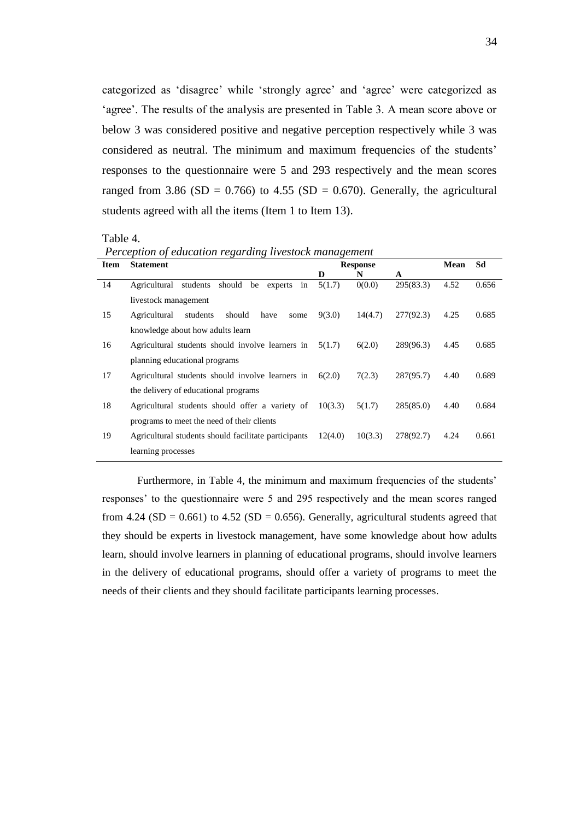categorized as 'disagree' while 'strongly agree' and 'agree' were categorized as 'agree'. The results of the analysis are presented in Table 3. A mean score above or below 3 was considered positive and negative perception respectively while 3 was considered as neutral. The minimum and maximum frequencies of the students' responses to the questionnaire were 5 and 293 respectively and the mean scores ranged from 3.86 (SD = 0.766) to 4.55 (SD = 0.670). Generally, the agricultural students agreed with all the items (Item 1 to Item 13).

Table 4.

| Perception of education regarding livestock management |  |  |
|--------------------------------------------------------|--|--|
|                                                        |  |  |

| <b>Item</b> | <b>Statement</b>                                          |         | <b>Response</b> |           | Mean | Sd    |
|-------------|-----------------------------------------------------------|---------|-----------------|-----------|------|-------|
|             |                                                           | D       | N               | A         |      |       |
| 14          | should<br>Agricultural<br>students<br>be<br>experts<br>in | 5(1.7)  | 0(0.0)          | 295(83.3) | 4.52 | 0.656 |
|             | livestock management                                      |         |                 |           |      |       |
| 15          | Agricultural<br>students<br>should<br>have<br>some        | 9(3.0)  | 14(4.7)         | 277(92.3) | 4.25 | 0.685 |
|             | knowledge about how adults learn                          |         |                 |           |      |       |
| 16          | Agricultural students should involve learners in          | 5(1.7)  | 6(2.0)          | 289(96.3) | 4.45 | 0.685 |
|             | planning educational programs                             |         |                 |           |      |       |
| 17          | Agricultural students should involve learners in          | 6(2.0)  | 7(2.3)          | 287(95.7) | 4.40 | 0.689 |
|             | the delivery of educational programs                      |         |                 |           |      |       |
| 18          | Agricultural students should offer a variety of           | 10(3.3) | 5(1.7)          | 285(85.0) | 4.40 | 0.684 |
|             | programs to meet the need of their clients                |         |                 |           |      |       |
| 19          | Agricultural students should facilitate participants      | 12(4.0) | 10(3.3)         | 278(92.7) | 4.24 | 0.661 |
|             | learning processes                                        |         |                 |           |      |       |

Furthermore, in Table 4, the minimum and maximum frequencies of the students' responses' to the questionnaire were 5 and 295 respectively and the mean scores ranged from 4.24 (SD = 0.661) to 4.52 (SD = 0.656). Generally, agricultural students agreed that they should be experts in livestock management, have some knowledge about how adults learn, should involve learners in planning of educational programs, should involve learners in the delivery of educational programs, should offer a variety of programs to meet the needs of their clients and they should facilitate participants learning processes.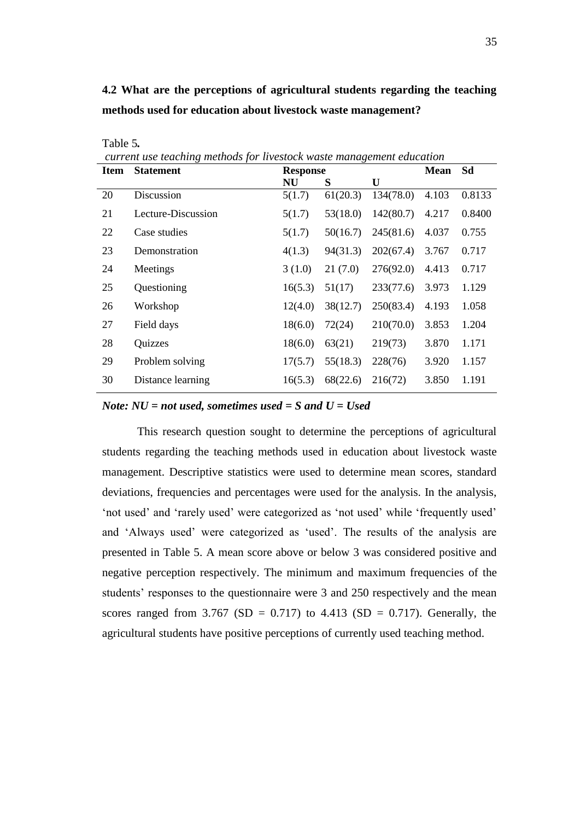## **4.2 What are the perceptions of agricultural students regarding the teaching methods used for education about livestock waste management?**

| <b>Item</b> | <b>Statement</b>   | <b>Mean</b><br><b>Response</b> |          |           |       | Sd     |
|-------------|--------------------|--------------------------------|----------|-----------|-------|--------|
|             |                    | <b>NU</b>                      | S        | U         |       |        |
| 20          | Discussion         | 5(1.7)                         | 61(20.3) | 134(78.0) | 4.103 | 0.8133 |
| 21          | Lecture-Discussion | 5(1.7)                         | 53(18.0) | 142(80.7) | 4.217 | 0.8400 |
| 22          | Case studies       | 5(1.7)                         | 50(16.7) | 245(81.6) | 4.037 | 0.755  |
| 23          | Demonstration      | 4(1.3)                         | 94(31.3) | 202(67.4) | 3.767 | 0.717  |
| 24          | Meetings           | 3(1.0)                         | 21(7.0)  | 276(92.0) | 4.413 | 0.717  |
| 25          | Questioning        | 16(5.3)                        | 51(17)   | 233(77.6) | 3.973 | 1.129  |
| 26          | Workshop           | 12(4.0)                        | 38(12.7) | 250(83.4) | 4.193 | 1.058  |
| 27          | Field days         | 18(6.0)                        | 72(24)   | 210(70.0) | 3.853 | 1.204  |
| 28          | Quizzes            | 18(6.0)                        | 63(21)   | 219(73)   | 3.870 | 1.171  |
| 29          | Problem solving    | 17(5.7)                        | 55(18.3) | 228(76)   | 3.920 | 1.157  |
| 30          | Distance learning  | 16(5.3)                        | 68(22.6) | 216(72)   | 3.850 | 1.191  |

*current use teaching methods for livestock waste management education*

Table 5*.*

#### *Note: NU = not used, sometimes used = S and U = Used*

This research question sought to determine the perceptions of agricultural students regarding the teaching methods used in education about livestock waste management. Descriptive statistics were used to determine mean scores, standard deviations, frequencies and percentages were used for the analysis. In the analysis, 'not used' and 'rarely used' were categorized as 'not used' while 'frequently used' and 'Always used' were categorized as 'used'. The results of the analysis are presented in Table 5. A mean score above or below 3 was considered positive and negative perception respectively. The minimum and maximum frequencies of the students' responses to the questionnaire were 3 and 250 respectively and the mean scores ranged from 3.767 (SD = 0.717) to 4.413 (SD = 0.717). Generally, the agricultural students have positive perceptions of currently used teaching method.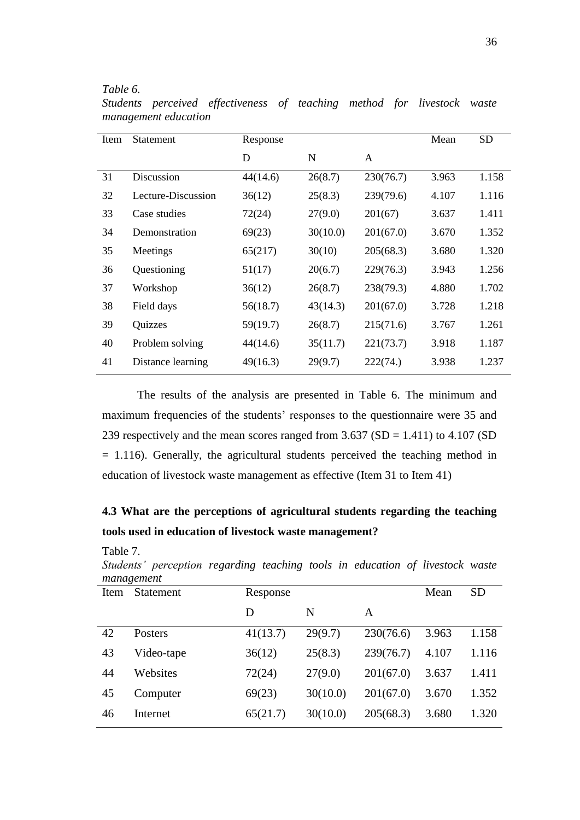#### *Table 6.*

Table 7.

| Item | Statement          | Response |          |           | Mean  | <b>SD</b> |
|------|--------------------|----------|----------|-----------|-------|-----------|
|      |                    | D        | N        | A         |       |           |
| 31   | <b>Discussion</b>  | 44(14.6) | 26(8.7)  | 230(76.7) | 3.963 | 1.158     |
| 32   | Lecture-Discussion | 36(12)   | 25(8.3)  | 239(79.6) | 4.107 | 1.116     |
| 33   | Case studies       | 72(24)   | 27(9.0)  | 201(67)   | 3.637 | 1.411     |
| 34   | Demonstration      | 69(23)   | 30(10.0) | 201(67.0) | 3.670 | 1.352     |
| 35   | Meetings           | 65(217)  | 30(10)   | 205(68.3) | 3.680 | 1.320     |
| 36   | Questioning        | 51(17)   | 20(6.7)  | 229(76.3) | 3.943 | 1.256     |
| 37   | Workshop           | 36(12)   | 26(8.7)  | 238(79.3) | 4.880 | 1.702     |
| 38   | Field days         | 56(18.7) | 43(14.3) | 201(67.0) | 3.728 | 1.218     |
| 39   | Quizzes            | 59(19.7) | 26(8.7)  | 215(71.6) | 3.767 | 1.261     |
| 40   | Problem solving    | 44(14.6) | 35(11.7) | 221(73.7) | 3.918 | 1.187     |
| 41   | Distance learning  | 49(16.3) | 29(9.7)  | 222(74)   | 3.938 | 1.237     |

*Students perceived effectiveness of teaching method for livestock waste management education*

The results of the analysis are presented in Table 6. The minimum and maximum frequencies of the students' responses to the questionnaire were 35 and 239 respectively and the mean scores ranged from  $3.637$  (SD = 1.411) to 4.107 (SD  $= 1.116$ ). Generally, the agricultural students perceived the teaching method in education of livestock waste management as effective (Item 31 to Item 41)

## **4.3 What are the perceptions of agricultural students regarding the teaching tools used in education of livestock waste management?**

|      | $\cdots$ $\cdots$<br>management |          |          |           |       |           |
|------|---------------------------------|----------|----------|-----------|-------|-----------|
| Item | <b>Statement</b>                | Response |          |           | Mean  | <b>SD</b> |
|      |                                 | D        | N        | A         |       |           |
| 42   | Posters                         | 41(13.7) | 29(9.7)  | 230(76.6) | 3.963 | 1.158     |
| 43   | Video-tape                      | 36(12)   | 25(8.3)  | 239(76.7) | 4.107 | 1.116     |
| 44   | Websites                        | 72(24)   | 27(9.0)  | 201(67.0) | 3.637 | 1.411     |
| 45   | Computer                        | 69(23)   | 30(10.0) | 201(67.0) | 3.670 | 1.352     |
| 46   | Internet                        | 65(21.7) | 30(10.0) | 205(68.3) | 3.680 | 1.320     |

*Students' perception regarding teaching tools in education of livestock waste*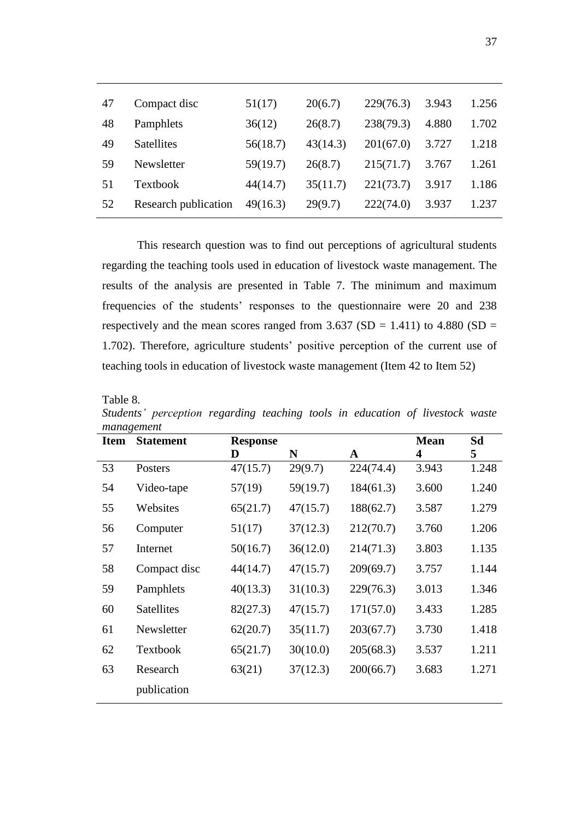| 47 | Compact disc         | 51(17)   | 20(6.7)  | 229(76.3) | 3.943 | 1.256 |
|----|----------------------|----------|----------|-----------|-------|-------|
| 48 | Pamphlets            | 36(12)   | 26(8.7)  | 238(79.3) | 4.880 | 1.702 |
| 49 | <b>Satellites</b>    | 56(18.7) | 43(14.3) | 201(67.0) | 3.727 | 1.218 |
| 59 | Newsletter           | 59(19.7) | 26(8.7)  | 215(71.7) | 3.767 | 1.261 |
| 51 | Textbook             | 44(14.7) | 35(11.7) | 221(73.7) | 3.917 | 1.186 |
| 52 | Research publication | 49(16.3) | 29(9.7)  | 222(74.0) | 3.937 | 1.237 |

This research question was to find out perceptions of agricultural students regarding the teaching tools used in education of livestock waste management. The results of the analysis are presented in Table 7. The minimum and maximum frequencies of the students' responses to the questionnaire were 20 and 238 respectively and the mean scores ranged from  $3.637$  (SD = 1.411) to 4.880 (SD = 1.702). Therefore, agriculture students' positive perception of the current use of teaching tools in education of livestock waste management (Item 42 to Item 52)

| <b>Item</b> | <b>Statement</b> | <b>Response</b> |          |             | <b>Mean</b> | Sd    |
|-------------|------------------|-----------------|----------|-------------|-------------|-------|
|             |                  | D               | N        | $\mathbf A$ | 4           | 5     |
| 53          | Posters          | 47(15.7)        | 29(9.7)  | 224(74.4)   | 3.943       | 1.248 |
| 54          | Video-tape       | 57(19)          | 59(19.7) | 184(61.3)   | 3.600       | 1.240 |
| 55          | Websites         | 65(21.7)        | 47(15.7) | 188(62.7)   | 3.587       | 1.279 |
| 56          | Computer         | 51(17)          | 37(12.3) | 212(70.7)   | 3.760       | 1.206 |
| 57          | Internet         | 50(16.7)        | 36(12.0) | 214(71.3)   | 3.803       | 1.135 |
| 58          | Compact disc     | 44(14.7)        | 47(15.7) | 209(69.7)   | 3.757       | 1.144 |
| 59          | Pamphlets        | 40(13.3)        | 31(10.3) | 229(76.3)   | 3.013       | 1.346 |
| 60          | Satellites       | 82(27.3)        | 47(15.7) | 171(57.0)   | 3.433       | 1.285 |
| 61          | Newsletter       | 62(20.7)        | 35(11.7) | 203(67.7)   | 3.730       | 1.418 |
| 62          | Textbook         | 65(21.7)        | 30(10.0) | 205(68.3)   | 3.537       | 1.211 |
| 63          | Research         | 63(21)          | 37(12.3) | 200(66.7)   | 3.683       | 1.271 |
|             | publication      |                 |          |             |             |       |

Table 8. *Students' perception regarding teaching tools in education of livestock waste management*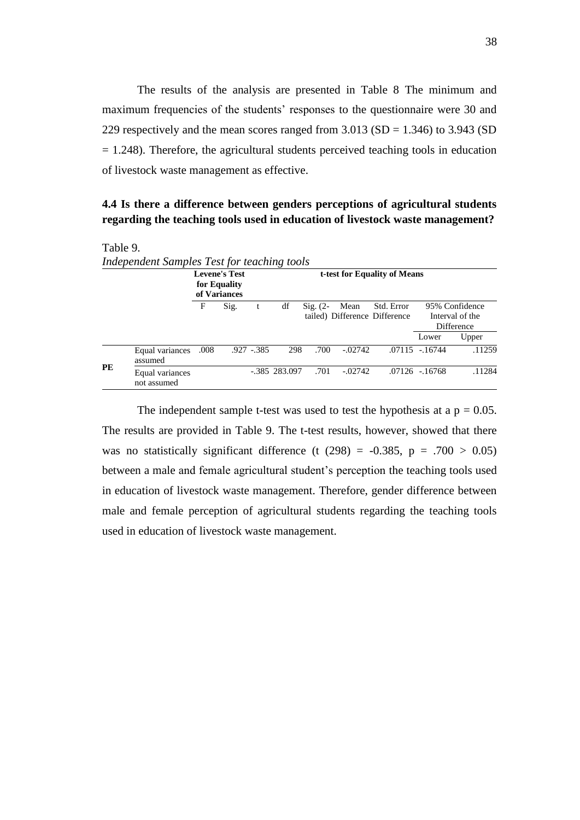The results of the analysis are presented in Table 8 The minimum and maximum frequencies of the students' responses to the questionnaire were 30 and 229 respectively and the mean scores ranged from  $3.013$  (SD = 1.346) to  $3.943$  (SD  $= 1.248$ ). Therefore, the agricultural students perceived teaching tools in education of livestock waste management as effective.

## **4.4 Is there a difference between genders perceptions of agricultural students regarding the teaching tools used in education of livestock waste management?**

| Table 9 |  |  |
|---------|--|--|
|         |  |  |

|           | Independent Samples Test for teaching tools |                                                      |      |             |                              |                     |           |                                             |                   |                                                 |  |  |
|-----------|---------------------------------------------|------------------------------------------------------|------|-------------|------------------------------|---------------------|-----------|---------------------------------------------|-------------------|-------------------------------------------------|--|--|
|           |                                             | <b>Levene's Test</b><br>for Equality<br>of Variances |      |             | t-test for Equality of Means |                     |           |                                             |                   |                                                 |  |  |
|           |                                             | F                                                    | Sig. |             | df                           | $\mathrm{Sig.}$ (2- | Mean      | Std. Error<br>tailed) Difference Difference |                   | 95% Confidence<br>Interval of the<br>Difference |  |  |
|           |                                             |                                                      |      |             |                              |                     |           |                                             | Lower             | Upper                                           |  |  |
| <b>PE</b> | Equal variances<br>assumed                  | .008                                                 |      | $.927-.385$ | 298                          | .700                | $-.02742$ |                                             | $.07115 - .16744$ | .11259                                          |  |  |
|           | Equal variances<br>not assumed              |                                                      |      |             | $-.385$ 283.097              | .701                | $-.02742$ |                                             | $.07126 - 16768$  | .11284                                          |  |  |

The independent sample t-test was used to test the hypothesis at a  $p = 0.05$ . The results are provided in Table 9. The t-test results, however, showed that there was no statistically significant difference (t  $(298) = -0.385$ , p = .700 > 0.05) between a male and female agricultural student's perception the teaching tools used in education of livestock waste management. Therefore, gender difference between male and female perception of agricultural students regarding the teaching tools used in education of livestock waste management.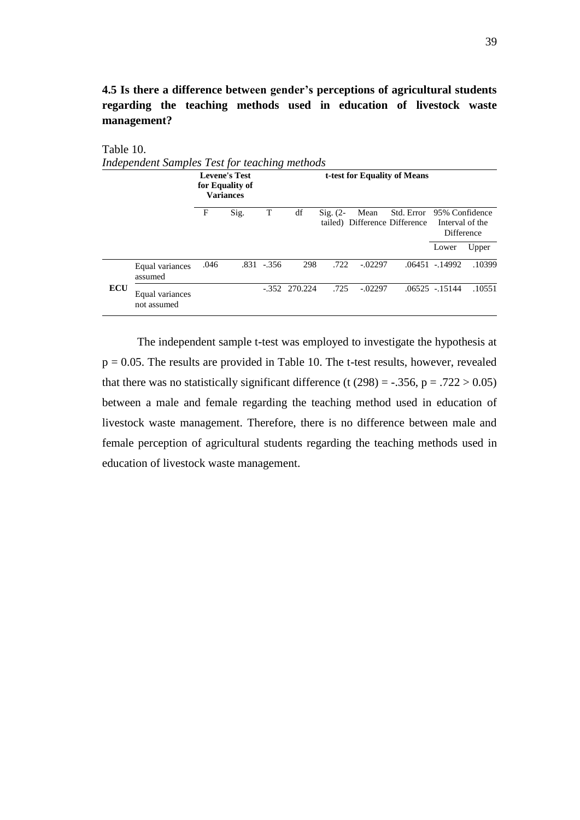**4.5 Is there a difference between gender's perceptions of agricultural students regarding the teaching methods used in education of livestock waste management?**

| Table 10.  |                                               |      |                                                             |                              |                 |                     |           |                                             |                                                        |        |  |  |
|------------|-----------------------------------------------|------|-------------------------------------------------------------|------------------------------|-----------------|---------------------|-----------|---------------------------------------------|--------------------------------------------------------|--------|--|--|
|            | Independent Samples Test for teaching methods |      |                                                             |                              |                 |                     |           |                                             |                                                        |        |  |  |
|            |                                               |      | <b>Levene's Test</b><br>for Equality of<br><b>Variances</b> | t-test for Equality of Means |                 |                     |           |                                             |                                                        |        |  |  |
|            |                                               | F    | Sig.                                                        | T                            | df              | $\mathrm{Sig.}$ (2- | Mean      | Std. Error<br>tailed) Difference Difference | 95% Confidence<br>Interval of the<br><b>Difference</b> |        |  |  |
|            |                                               |      |                                                             |                              |                 |                     |           |                                             | Lower                                                  | Upper  |  |  |
|            | Equal variances<br>assumed                    | .046 |                                                             | $.831 - .356$                | 298             | .722                | $-.02297$ |                                             | .06451 - 14992                                         | .10399 |  |  |
| <b>ECU</b> | Equal variances<br>not assumed                |      |                                                             |                              | $-.352$ 270.224 | .725                | $-.02297$ |                                             | $.06525 - 15144$                                       | .10551 |  |  |

The independent sample t-test was employed to investigate the hypothesis at  $p = 0.05$ . The results are provided in Table 10. The t-test results, however, revealed that there was no statistically significant difference (t  $(298) = -.356$ , p = .722 > 0.05) between a male and female regarding the teaching method used in education of livestock waste management. Therefore, there is no difference between male and female perception of agricultural students regarding the teaching methods used in education of livestock waste management.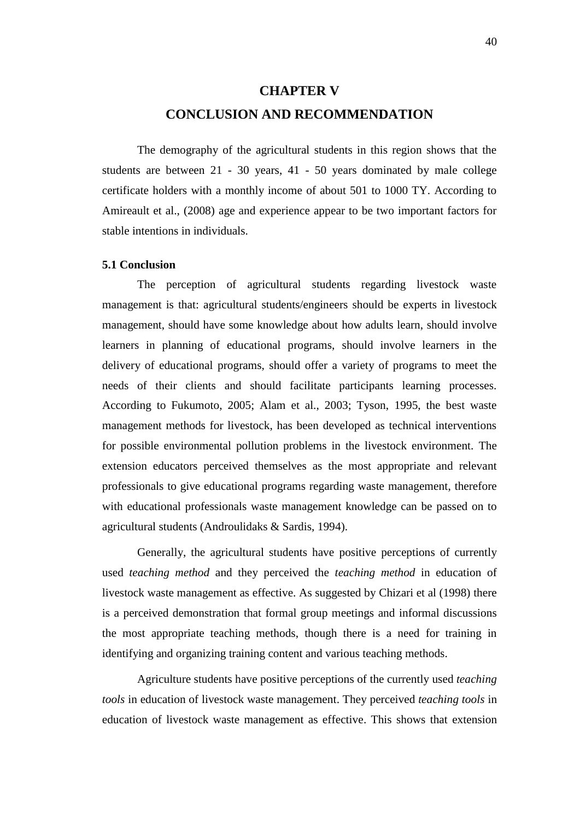# **CHAPTER V CONCLUSION AND RECOMMENDATION**

The demography of the agricultural students in this region shows that the students are between 21 - 30 years, 41 - 50 years dominated by male college certificate holders with a monthly income of about 501 to 1000 TY. According to Amireault et al., (2008) age and experience appear to be two important factors for stable intentions in individuals.

#### **5.1 Conclusion**

The perception of agricultural students regarding livestock waste management is that: agricultural students/engineers should be experts in livestock management, should have some knowledge about how adults learn, should involve learners in planning of educational programs, should involve learners in the delivery of educational programs, should offer a variety of programs to meet the needs of their clients and should facilitate participants learning processes. According to Fukumoto, 2005; Alam et al., 2003; Tyson, 1995, the best waste management methods for livestock, has been developed as technical interventions for possible environmental pollution problems in the livestock environment. The extension educators perceived themselves as the most appropriate and relevant professionals to give educational programs regarding waste management, therefore with educational professionals waste management knowledge can be passed on to agricultural students (Androulidaks & Sardis, 1994).

Generally, the agricultural students have positive perceptions of currently used *teaching method* and they perceived the *teaching method* in education of livestock waste management as effective. As suggested by Chizari et al (1998) there is a perceived demonstration that formal group meetings and informal discussions the most appropriate teaching methods, though there is a need for training in identifying and organizing training content and various teaching methods.

Agriculture students have positive perceptions of the currently used *teaching tools* in education of livestock waste management. They perceived *teaching tools* in education of livestock waste management as effective. This shows that extension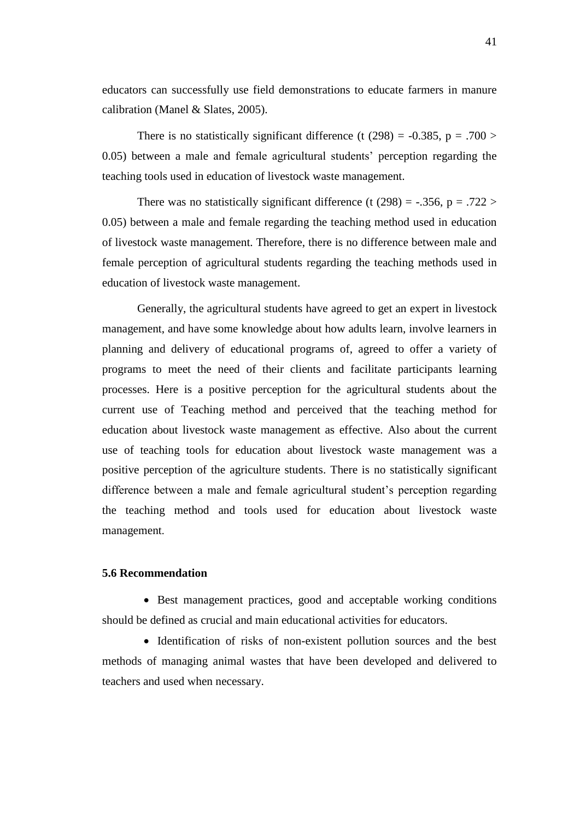educators can successfully use field demonstrations to educate farmers in manure calibration (Manel & Slates, 2005).

There is no statistically significant difference (t (298) =  $-0.385$ , p = .700 > 0.05) between a male and female agricultural students' perception regarding the teaching tools used in education of livestock waste management.

There was no statistically significant difference (t  $(298) = -.356$ , p = .722 > 0.05) between a male and female regarding the teaching method used in education of livestock waste management. Therefore, there is no difference between male and female perception of agricultural students regarding the teaching methods used in education of livestock waste management.

Generally, the agricultural students have agreed to get an expert in livestock management, and have some knowledge about how adults learn, involve learners in planning and delivery of educational programs of, agreed to offer a variety of programs to meet the need of their clients and facilitate participants learning processes. Here is a positive perception for the agricultural students about the current use of Teaching method and perceived that the teaching method for education about livestock waste management as effective. Also about the current use of teaching tools for education about livestock waste management was a positive perception of the agriculture students. There is no statistically significant difference between a male and female agricultural student's perception regarding the teaching method and tools used for education about livestock waste management.

#### **5.6 Recommendation**

• Best management practices, good and acceptable working conditions should be defined as crucial and main educational activities for educators.

• Identification of risks of non-existent pollution sources and the best methods of managing animal wastes that have been developed and delivered to teachers and used when necessary.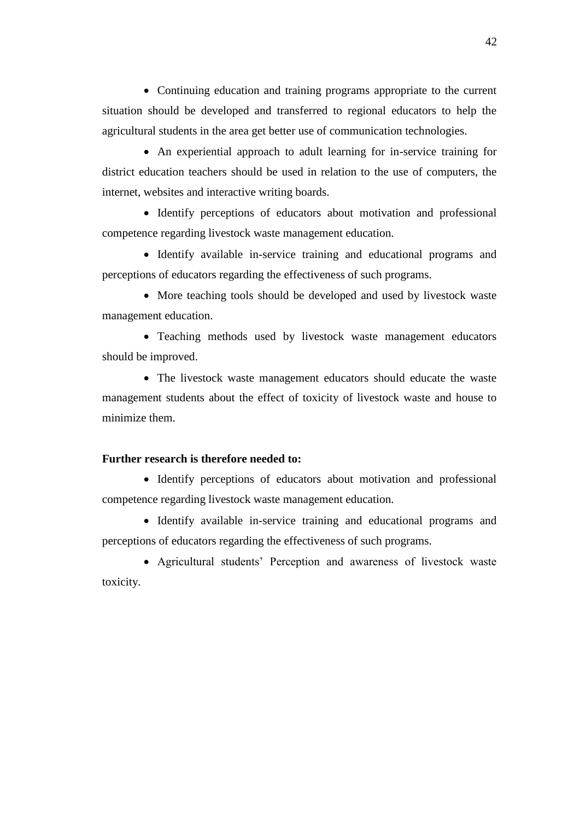• Continuing education and training programs appropriate to the current situation should be developed and transferred to regional educators to help the agricultural students in the area get better use of communication technologies.

 An experiential approach to adult learning for in-service training for district education teachers should be used in relation to the use of computers, the internet, websites and interactive writing boards.

• Identify perceptions of educators about motivation and professional competence regarding livestock waste management education.

 Identify available in-service training and educational programs and perceptions of educators regarding the effectiveness of such programs.

• More teaching tools should be developed and used by livestock waste management education.

 Teaching methods used by livestock waste management educators should be improved.

 The livestock waste management educators should educate the waste management students about the effect of toxicity of livestock waste and house to minimize them.

#### **Further research is therefore needed to:**

• Identify perceptions of educators about motivation and professional competence regarding livestock waste management education.

• Identify available in-service training and educational programs and perceptions of educators regarding the effectiveness of such programs.

 Agricultural students' Perception and awareness of livestock waste toxicity.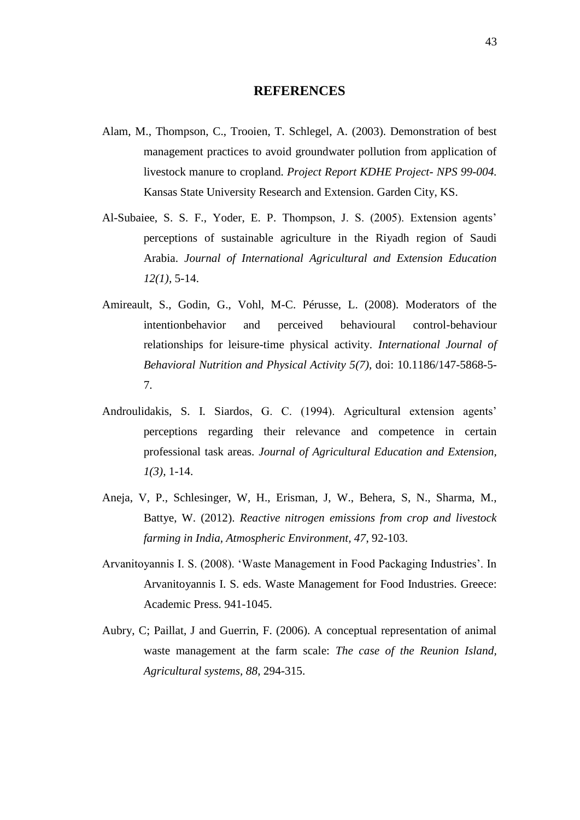### **REFERENCES**

- Alam, M., Thompson, C., Trooien, T. Schlegel, A. (2003). Demonstration of best management practices to avoid groundwater pollution from application of livestock manure to cropland. *Project Report KDHE Project- NPS 99-004.*  Kansas State University Research and Extension. Garden City, KS.
- Al-Subaiee, S. S. F., Yoder, E. P. Thompson, J. S. (2005). Extension agents' perceptions of sustainable agriculture in the Riyadh region of Saudi Arabia. *Journal of International Agricultural and Extension Education 12(1),* 5-14.
- Amireault, S., Godin, G., Vohl, M-C. Pérusse, L. (2008). Moderators of the intentionbehavior and perceived behavioural control-behaviour relationships for leisure-time physical activity. *International Journal of Behavioral Nutrition and Physical Activity 5(7),* doi: 10.1186/147-5868-5- 7.
- Androulidakis, S. I. Siardos, G. C. (1994). Agricultural extension agents' perceptions regarding their relevance and competence in certain professional task areas. *Journal of Agricultural Education and Extension, 1(3),* 1-14.
- Aneja, V, P., Schlesinger, W, H., Erisman, J, W., Behera, S, N., Sharma, M., Battye, W. (2012). *Reactive nitrogen emissions from crop and livestock farming in India, Atmospheric Environment, 47*, 92-103.
- Arvanitoyannis I. S. (2008). 'Waste Management in Food Packaging Industries'. In Arvanitoyannis I. S. eds. Waste Management for Food Industries. Greece: Academic Press. 941-1045.
- Aubry, C; Paillat, J and Guerrin, F. (2006). A conceptual representation of animal waste management at the farm scale: *The case of the Reunion Island, Agricultural systems, 88*, 294-315.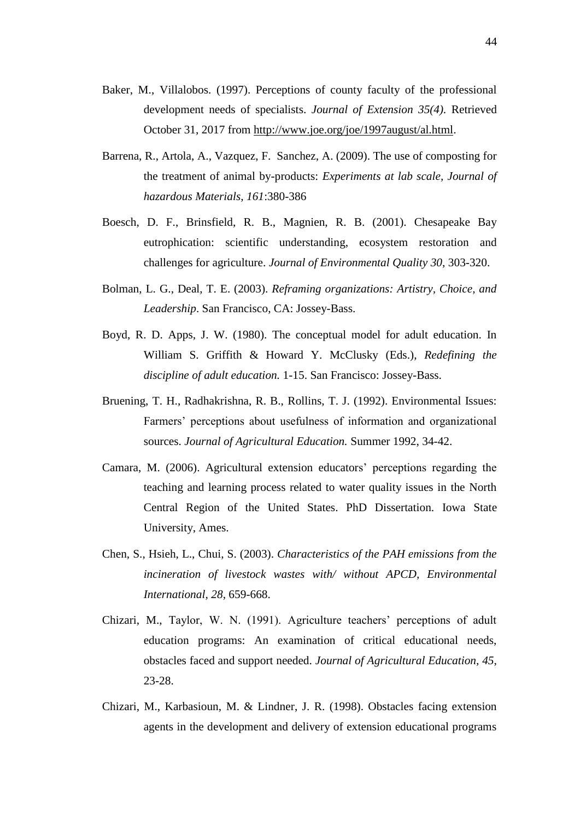- Baker, M., Villalobos. (1997). Perceptions of county faculty of the professional development needs of specialists. *Journal of Extension 35(4).* Retrieved October 31, 2017 from [http://www.joe.org/joe/1997august/al.html.](http://www.joe.org/joe/1997august/al.html)
- Barrena, R., Artola, A., Vazquez, F. Sanchez, A. (2009). The use of composting for the treatment of animal by-products: *Experiments at lab scale, Journal of hazardous Materials, 161*:380-386
- Boesch, D. F., Brinsfield, R. B., Magnien, R. B. (2001). Chesapeake Bay eutrophication: scientific understanding, ecosystem restoration and challenges for agriculture. *Journal of Environmental Quality 30*, 303-320.
- Bolman, L. G., Deal, T. E. (2003). *Reframing organizations: Artistry, Choice, and Leadership*. San Francisco, CA: Jossey-Bass.
- Boyd, R. D. Apps, J. W. (1980). The conceptual model for adult education. In William S. Griffith & Howard Y. McClusky (Eds.), *Redefining the discipline of adult education.* 1-15. San Francisco: Jossey-Bass.
- Bruening, T. H., Radhakrishna, R. B., Rollins, T. J. (1992). Environmental Issues: Farmers' perceptions about usefulness of information and organizational sources. *Journal of Agricultural Education.* Summer 1992, 34-42.
- Camara, M. (2006). Agricultural extension educators' perceptions regarding the teaching and learning process related to water quality issues in the North Central Region of the United States. PhD Dissertation. Iowa State University, Ames.
- Chen, S., Hsieh, L., Chui, S. (2003). *Characteristics of the PAH emissions from the incineration of livestock wastes with/ without APCD, Environmental International, 28*, 659-668.
- Chizari, M., Taylor, W. N. (1991). Agriculture teachers' perceptions of adult education programs: An examination of critical educational needs, obstacles faced and support needed. *Journal of Agricultural Education, 45*, 23-28.
- Chizari, M., Karbasioun, M. & Lindner, J. R. (1998). Obstacles facing extension agents in the development and delivery of extension educational programs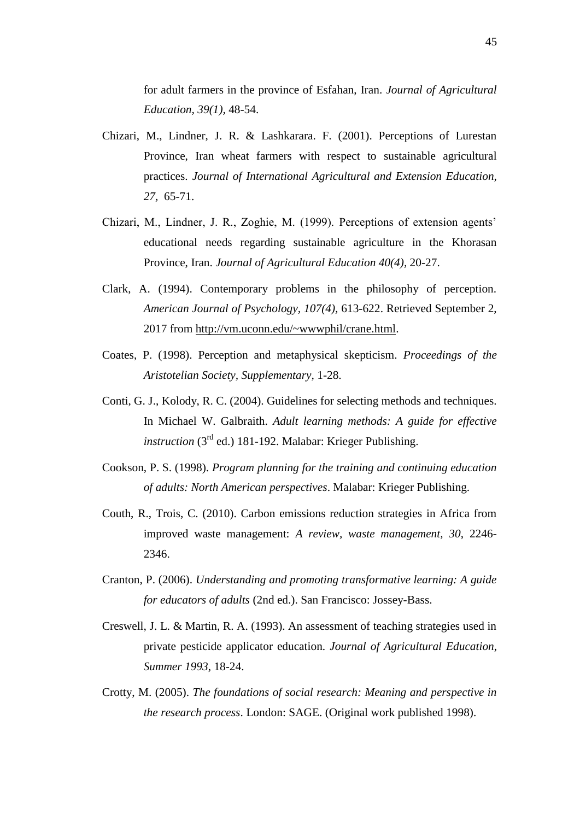for adult farmers in the province of Esfahan, Iran. *Journal of Agricultural Education, 39(1),* 48-54.

- Chizari, M., Lindner, J. R. & Lashkarara. F. (2001). Perceptions of Lurestan Province, Iran wheat farmers with respect to sustainable agricultural practices. *Journal of International Agricultural and Extension Education, 27,* 65-71.
- Chizari, M., Lindner, J. R., Zoghie, M. (1999). Perceptions of extension agents' educational needs regarding sustainable agriculture in the Khorasan Province, Iran. *Journal of Agricultural Education 40(4),* 20-27.
- Clark, A. (1994). Contemporary problems in the philosophy of perception. *American Journal of Psychology, 107(4),* 613-622. Retrieved September 2, 2017 from [http://vm.uconn.edu/~wwwphil/crane.html.](http://vm.uconn.edu/~wwwphil/crane.html)
- Coates, P. (1998). Perception and metaphysical skepticism. *Proceedings of the Aristotelian Society, Supplementary,* 1-28.
- Conti, G. J., Kolody, R. C. (2004). Guidelines for selecting methods and techniques. In Michael W. Galbraith. *Adult learning methods: A guide for effective instruction*  $(3<sup>rd</sup>$  ed.) 181-192. Malabar: Krieger Publishing.
- Cookson, P. S. (1998). *Program planning for the training and continuing education of adults: North American perspectives*. Malabar: Krieger Publishing.
- Couth, R., Trois, C. (2010). Carbon emissions reduction strategies in Africa from improved waste management: *A review, waste management, 30*, 2246- 2346.
- Cranton, P. (2006). *Understanding and promoting transformative learning: A guide for educators of adults* (2nd ed.). San Francisco: Jossey-Bass.
- Creswell, J. L. & Martin, R. A. (1993). An assessment of teaching strategies used in private pesticide applicator education. *Journal of Agricultural Education*, *Summer 1993*, 18-24.
- Crotty, M. (2005). *The foundations of social research: Meaning and perspective in the research process*. London: SAGE. (Original work published 1998).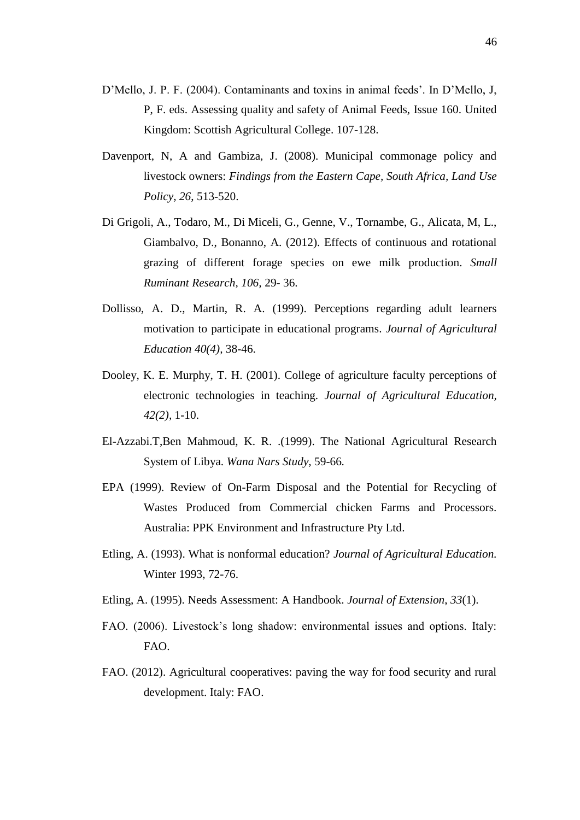- D'Mello, J. P. F. (2004). Contaminants and toxins in animal feeds'. In D'Mello, J, P, F. eds. Assessing quality and safety of Animal Feeds, Issue 160. United Kingdom: Scottish Agricultural College. 107-128.
- Davenport, N, A and Gambiza, J. (2008). Municipal commonage policy and livestock owners: *Findings from the Eastern Cape, South Africa, Land Use Policy, 26*, 513-520.
- Di Grigoli, A., Todaro, M., Di Miceli, G., Genne, V., Tornambe, G., Alicata, M, L., Giambalvo, D., Bonanno, A. (2012). Effects of continuous and rotational grazing of different forage species on ewe milk production. *Small Ruminant Research, 106,* 29- 36.
- Dollisso, A. D., Martin, R. A. (1999). Perceptions regarding adult learners motivation to participate in educational programs. *Journal of Agricultural Education 40(4),* 38-46.
- Dooley, K. E. Murphy, T. H. (2001). College of agriculture faculty perceptions of electronic technologies in teaching. *Journal of Agricultural Education, 42(2),* 1-10.
- El-Azzabi.T,Ben Mahmoud, K. R. .(1999). The National Agricultural Research System of Libya. *Wana Nars Study,* 59-66*.*
- EPA (1999). Review of On-Farm Disposal and the Potential for Recycling of Wastes Produced from Commercial chicken Farms and Processors. Australia: PPK Environment and Infrastructure Pty Ltd.
- Etling, A. (1993). What is nonformal education? *Journal of Agricultural Education.*  Winter 1993, 72-76.
- Etling, A. (1995). Needs Assessment: A Handbook. *Journal of Extension*, *33*(1).
- FAO. (2006). Livestock's long shadow: environmental issues and options. Italy: FAO.
- FAO. (2012). Agricultural cooperatives: paving the way for food security and rural development. Italy: FAO.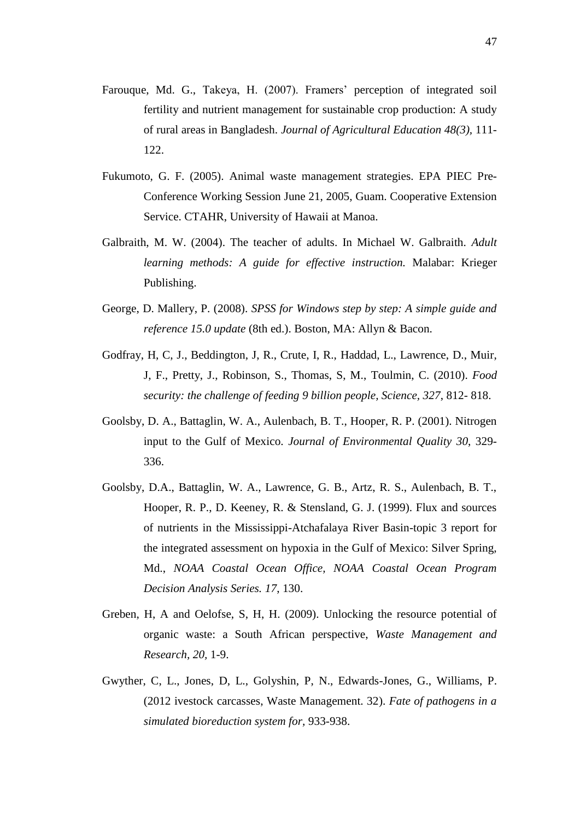- Farouque, Md. G., Takeya, H. (2007). Framers' perception of integrated soil fertility and nutrient management for sustainable crop production: A study of rural areas in Bangladesh. *Journal of Agricultural Education 48(3),* 111- 122.
- Fukumoto, G. F. (2005). Animal waste management strategies. EPA PIEC Pre-Conference Working Session June 21, 2005, Guam. Cooperative Extension Service. CTAHR, University of Hawaii at Manoa.
- Galbraith, M. W. (2004). The teacher of adults. In Michael W. Galbraith. *Adult learning methods: A guide for effective instruction.* Malabar: Krieger Publishing.
- George, D. Mallery, P. (2008). *SPSS for Windows step by step: A simple guide and reference 15.0 update* (8th ed.). Boston, MA: Allyn & Bacon.
- Godfray, H, C, J., Beddington, J, R., Crute, I, R., Haddad, L., Lawrence, D., Muir, J, F., Pretty, J., Robinson, S., Thomas, S, M., Toulmin, C. (2010). *Food security: the challenge of feeding 9 billion people, Science, 327*, 812- 818.
- Goolsby, D. A., Battaglin, W. A., Aulenbach, B. T., Hooper, R. P. (2001). Nitrogen input to the Gulf of Mexico. *Journal of Environmental Quality 30*, 329- 336.
- Goolsby, D.A., Battaglin, W. A., Lawrence, G. B., Artz, R. S., Aulenbach, B. T., Hooper, R. P., D. Keeney, R. & Stensland, G. J. (1999). Flux and sources of nutrients in the Mississippi-Atchafalaya River Basin-topic 3 report for the integrated assessment on hypoxia in the Gulf of Mexico: Silver Spring, Md., *NOAA Coastal Ocean Office, NOAA Coastal Ocean Program Decision Analysis Series. 17*, 130.
- Greben, H, A and Oelofse, S, H, H. (2009). Unlocking the resource potential of organic waste: a South African perspective, *Waste Management and Research, 20,* 1-9.
- Gwyther, C, L., Jones, D, L., Golyshin, P, N., Edwards-Jones, G., Williams, P. (2012 ivestock carcasses, Waste Management. 32). *Fate of pathogens in a simulated bioreduction system for,* 933-938.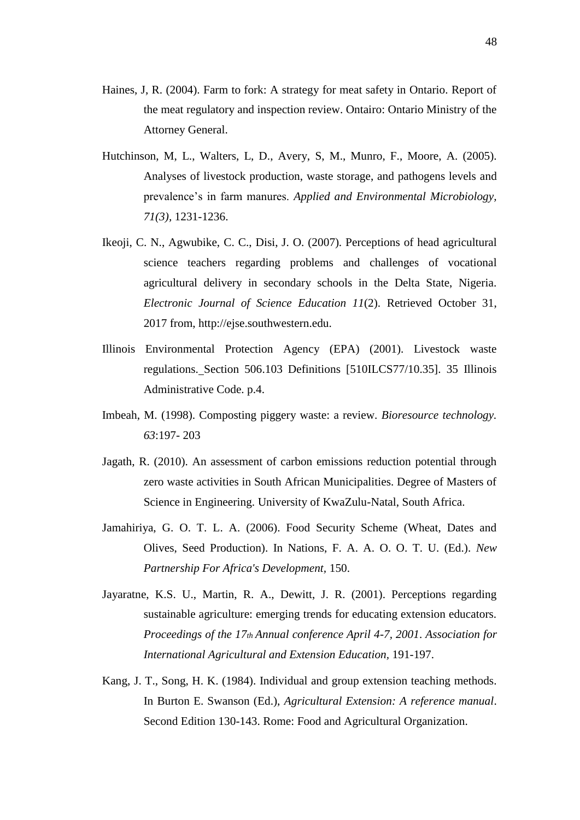- Haines, J, R. (2004). Farm to fork: A strategy for meat safety in Ontario. Report of the meat regulatory and inspection review. Ontairo: Ontario Ministry of the Attorney General.
- Hutchinson, M, L., Walters, L, D., Avery, S, M., Munro, F., Moore, A. (2005). Analyses of livestock production, waste storage, and pathogens levels and prevalence's in farm manures. *Applied and Environmental Microbiology, 71(3),* 1231-1236.
- Ikeoji, C. N., Agwubike, C. C., Disi, J. O. (2007). Perceptions of head agricultural science teachers regarding problems and challenges of vocational agricultural delivery in secondary schools in the Delta State, Nigeria. *Electronic Journal of Science Education 11*(2). Retrieved October 31, 2017 from, [http://ejse.southwestern.edu.](http://ejse.southwestern.edu/)
- Illinois Environmental Protection Agency (EPA) (2001). Livestock waste regulations. Section 506.103 Definitions [510ILCS77/10.35]. 35 Illinois Administrative Code. p.4.
- Imbeah, M. (1998). Composting piggery waste: a review. *Bioresource technology. 63*:197- 203
- Jagath, R. (2010). An assessment of carbon emissions reduction potential through zero waste activities in South African Municipalities. Degree of Masters of Science in Engineering. University of KwaZulu-Natal, South Africa.
- Jamahiriya, G. O. T. L. A. (2006). Food Security Scheme (Wheat, Dates and Olives, Seed Production). In Nations, F. A. A. O. O. T. U. (Ed.). *New Partnership For Africa's Development,* 150.
- Jayaratne, K.S. U., Martin, R. A., Dewitt, J. R. (2001). Perceptions regarding sustainable agriculture: emerging trends for educating extension educators. *Proceedings of the 17th Annual conference April 4-7, 2001*. *Association for International Agricultural and Extension Education,* 191-197.
- Kang, J. T., Song, H. K. (1984). Individual and group extension teaching methods. In Burton E. Swanson (Ed.), *Agricultural Extension: A reference manual*. Second Edition 130-143. Rome: Food and Agricultural Organization.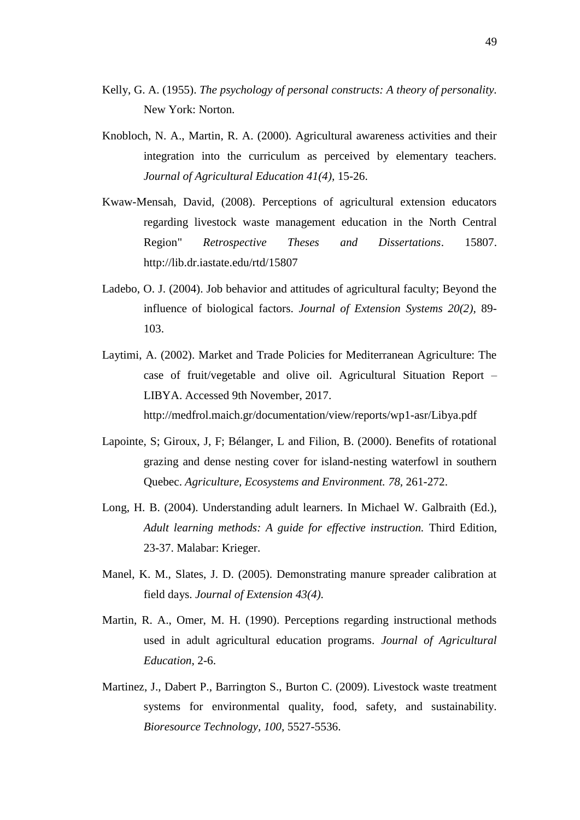- Kelly, G. A. (1955). *The psychology of personal constructs: A theory of personality.* New York: Norton.
- Knobloch, N. A., Martin, R. A. (2000). Agricultural awareness activities and their integration into the curriculum as perceived by elementary teachers. *Journal of Agricultural Education 41(4),* 15-26.
- Kwaw-Mensah, David, (2008). Perceptions of agricultural extension educators regarding livestock waste management education in the North Central Region" *Retrospective Theses and Dissertations*. 15807. http://lib.dr.iastate.edu/rtd/15807
- Ladebo, O. J. (2004). Job behavior and attitudes of agricultural faculty; Beyond the influence of biological factors. *Journal of Extension Systems 20(2),* 89- 103.
- Laytimi, A. (2002). Market and Trade Policies for Mediterranean Agriculture: The case of fruit/vegetable and olive oil. Agricultural Situation Report – LIBYA. Accessed 9th November, 2017. <http://medfrol.maich.gr/documentation/view/reports/wp1-asr/Libya.pdf>
- Lapointe, S; Giroux, J, F; Bélanger, L and Filion, B. (2000). Benefits of rotational grazing and dense nesting cover for island-nesting waterfowl in southern Quebec. *Agriculture, Ecosystems and Environment. 78,* 261-272.
- Long, H. B. (2004). Understanding adult learners. In Michael W. Galbraith (Ed.), *Adult learning methods: A guide for effective instruction.* Third Edition, 23-37. Malabar: Krieger.
- Manel, K. M., Slates, J. D. (2005). Demonstrating manure spreader calibration at field days. *Journal of Extension 43(4).*
- Martin, R. A., Omer, M. H. (1990). Perceptions regarding instructional methods used in adult agricultural education programs. *Journal of Agricultural Education*, 2-6.
- Martinez, J., Dabert P., Barrington S., Burton C. (2009). Livestock waste treatment systems for environmental quality, food, safety, and sustainability. *Bioresource Technology, 100,* 5527-5536.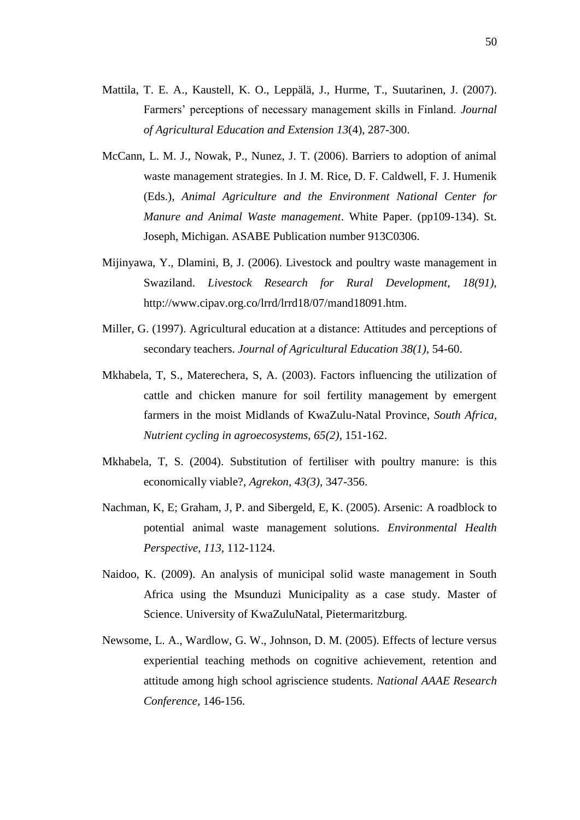- Mattila, T. E. A., Kaustell, K. O., Leppälä, J., Hurme, T., Suutarinen, J. (2007). Farmers' perceptions of necessary management skills in Finland. *Journal of Agricultural Education and Extension 13*(4), 287-300.
- McCann, L. M. J., Nowak, P., Nunez, J. T. (2006). Barriers to adoption of animal waste management strategies. In J. M. Rice, D. F. Caldwell, F. J. Humenik (Eds.), *Animal Agriculture and the Environment National Center for Manure and Animal Waste management*. White Paper. (pp109-134). St. Joseph, Michigan. ASABE Publication number 913C0306.
- Mijinyawa, Y., Dlamini, B, J. (2006). Livestock and poultry waste management in Swaziland. *Livestock Research for Rural Development, 18(91),*  [http://www.cipav.org.co/lrrd/lrrd18/07/mand18091.htm.](http://www.cipav.org.co/lrrd/lrrd18/07/mand18091.htm)
- Miller, G. (1997). Agricultural education at a distance: Attitudes and perceptions of secondary teachers. *Journal of Agricultural Education 38(1),* 54-60.
- Mkhabela, T, S., Materechera, S, A. (2003). Factors influencing the utilization of cattle and chicken manure for soil fertility management by emergent farmers in the moist Midlands of KwaZulu-Natal Province, *South Africa, Nutrient cycling in agroecosystems, 65(2),* 151-162.
- Mkhabela, T, S. (2004). Substitution of fertiliser with poultry manure: is this economically viable?, *Agrekon, 43(3),* 347-356.
- Nachman, K, E; Graham, J, P. and Sibergeld, E, K. (2005). Arsenic: A roadblock to potential animal waste management solutions. *Environmental Health Perspective, 113,* 112-1124.
- Naidoo, K. (2009). An analysis of municipal solid waste management in South Africa using the Msunduzi Municipality as a case study. Master of Science. University of KwaZuluNatal, Pietermaritzburg.
- Newsome, L. A., Wardlow, G. W., Johnson, D. M. (2005). Effects of lecture versus experiential teaching methods on cognitive achievement, retention and attitude among high school agriscience students. *National AAAE Research Conference,* 146-156.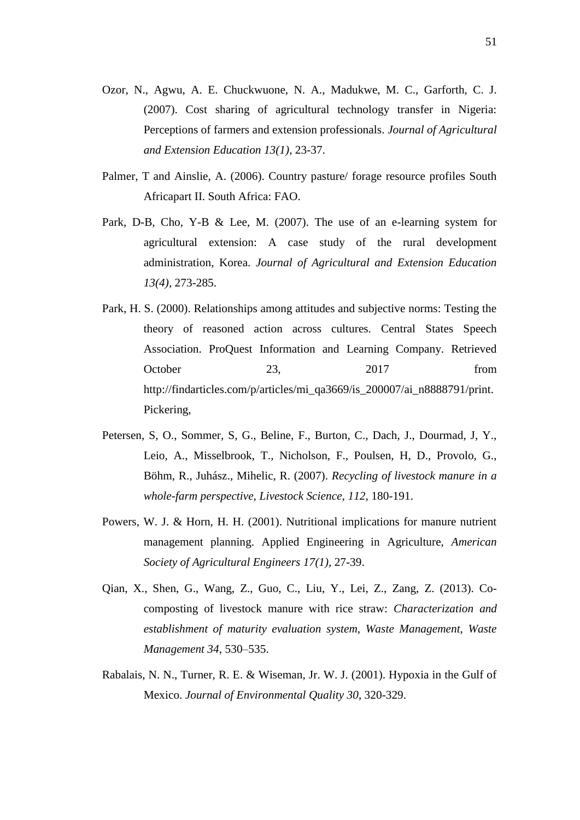- Ozor, N., Agwu, A. E. Chuckwuone, N. A., Madukwe, M. C., Garforth, C. J. (2007). Cost sharing of agricultural technology transfer in Nigeria: Perceptions of farmers and extension professionals. *Journal of Agricultural and Extension Education 13(1),* 23-37.
- Palmer, T and Ainslie, A. (2006). Country pasture/ forage resource profiles South Africapart II. South Africa: FAO.
- Park, D-B, Cho, Y-B & Lee, M. (2007). The use of an e-learning system for agricultural extension: A case study of the rural development administration, Korea. *Journal of Agricultural and Extension Education 13(4),* 273-285.
- Park, H. S. (2000). Relationships among attitudes and subjective norms: Testing the theory of reasoned action across cultures. Central States Speech Association. ProQuest Information and Learning Company. Retrieved October 23, 2017 from [http://findarticles.com/p/articles/mi\\_qa3669/is\\_200007/ai\\_n8888791/print.](http://findarticles.com/p/articles/mi_qa3669/is_200007/ai_n8888791/print) Pickering,
- Petersen, S, O., Sommer, S, G., Beline, F., Burton, C., Dach, J., Dourmad, J, Y., Leio, A., Misselbrook, T., Nicholson, F., Poulsen, H, D., Provolo, G., Böhm, R., Juhász., Mihelic, R. (2007). *Recycling of livestock manure in a whole-farm perspective, Livestock Science, 112,* 180-191.
- Powers, W. J. & Horn, H. H. (2001). Nutritional implications for manure nutrient management planning. Applied Engineering in Agriculture, *American Society of Agricultural Engineers 17(1),* 27-39.
- Qian, X., Shen, G., Wang, Z., Guo, C., Liu, Y., Lei, Z., Zang, Z. (2013). Cocomposting of livestock manure with rice straw: *Characterization and establishment of maturity evaluation system, Waste Management, Waste Management 34*, 530–535.
- Rabalais, N. N., Turner, R. E. & Wiseman, Jr. W. J. (2001). Hypoxia in the Gulf of Mexico. *Journal of Environmental Quality 30*, 320-329.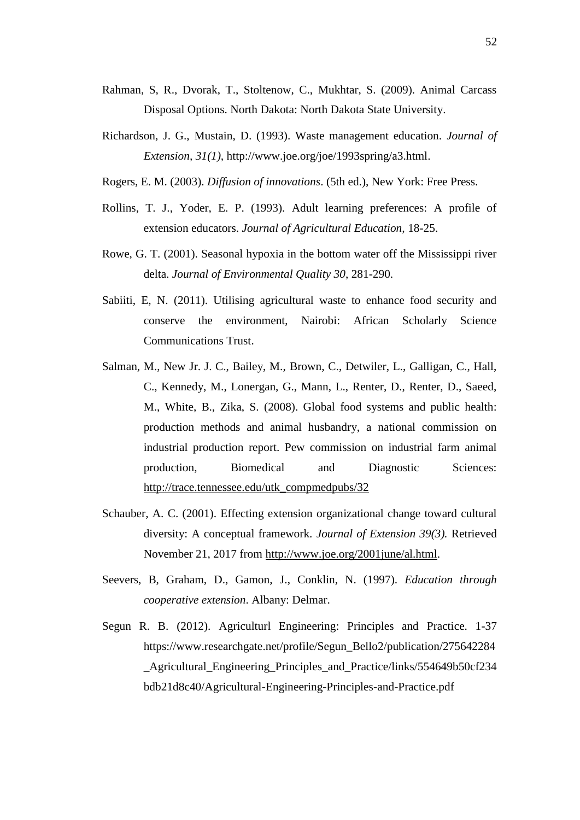- Rahman, S, R., Dvorak, T., Stoltenow, C., Mukhtar, S. (2009). Animal Carcass Disposal Options. North Dakota: North Dakota State University.
- Richardson, J. G., Mustain, D. (1993). Waste management education. *Journal of Extension, 31(1),* [http://www.joe.org/joe/1993spring/a3.html.](http://www.joe.org/joe/1993spring/a3.html)
- Rogers, E. M. (2003). *Diffusion of innovations*. (5th ed.), New York: Free Press.
- Rollins, T. J., Yoder, E. P. (1993). Adult learning preferences: A profile of extension educators. *Journal of Agricultural Education,* 18-25.
- Rowe, G. T. (2001). Seasonal hypoxia in the bottom water off the Mississippi river delta. *Journal of Environmental Quality 30*, 281-290.
- Sabiiti, E, N. (2011). Utilising agricultural waste to enhance food security and conserve the environment, Nairobi: African Scholarly Science Communications Trust.
- Salman, M., New Jr. J. C., Bailey, M., Brown, C., Detwiler, L., Galligan, C., Hall, C., Kennedy, M., Lonergan, G., Mann, L., Renter, D., Renter, D., Saeed, M., White, B., Zika, S. (2008). Global food systems and public health: production methods and animal husbandry, a national commission on industrial production report. Pew commission on industrial farm animal production, Biomedical and Diagnostic Sciences: [http://trace.tennessee.edu/utk\\_compmedpubs/32](http://trace.tennessee.edu/utk_compmedpubs/32)
- Schauber, A. C. (2001). Effecting extension organizational change toward cultural diversity: A conceptual framework. *Journal of Extension 39(3).* Retrieved November 21, 2017 from [http://www.joe.org/2001june/al.html.](http://www.joe.org/2001june/al.html)
- Seevers, B, Graham, D., Gamon, J., Conklin, N. (1997). *Education through cooperative extension*. Albany: Delmar.
- Segun R. B. (2012). Agriculturl Engineering: Principles and Practice. 1-37 [https://www.researchgate.net/profile/Segun\\_Bello2/publication/275642284](https://www.researchgate.net/profile/Segun_Bello2/publication/275642284_Agricultural_Engineering_Principles_and_Practice/links/554649b50cf234bdb21d8c40/Agricultural-Engineering-Principles-and-Practice.pdf) [\\_Agricultural\\_Engineering\\_Principles\\_and\\_Practice/links/554649b50cf234](https://www.researchgate.net/profile/Segun_Bello2/publication/275642284_Agricultural_Engineering_Principles_and_Practice/links/554649b50cf234bdb21d8c40/Agricultural-Engineering-Principles-and-Practice.pdf) [bdb21d8c40/Agricultural-Engineering-Principles-and-Practice.pdf](https://www.researchgate.net/profile/Segun_Bello2/publication/275642284_Agricultural_Engineering_Principles_and_Practice/links/554649b50cf234bdb21d8c40/Agricultural-Engineering-Principles-and-Practice.pdf)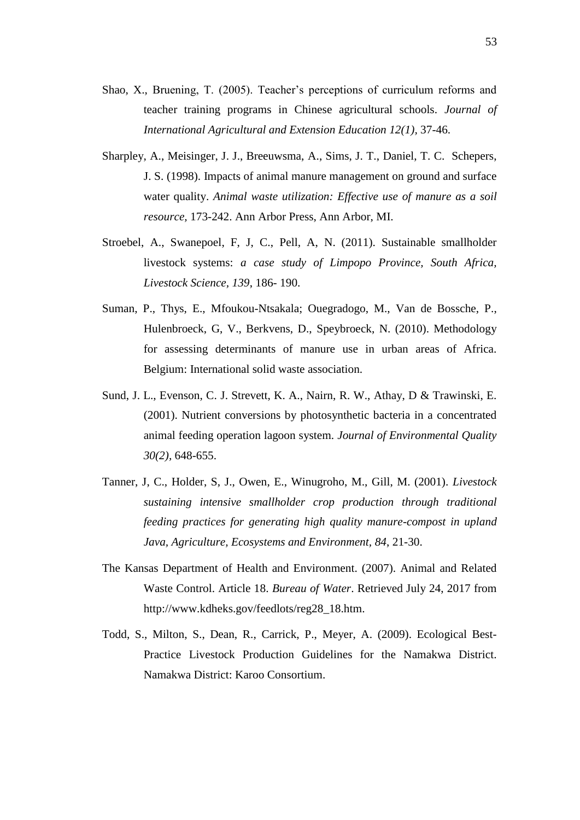- Shao, X., Bruening, T. (2005). Teacher's perceptions of curriculum reforms and teacher training programs in Chinese agricultural schools. *Journal of International Agricultural and Extension Education 12(1),* 37-46.
- Sharpley, A., Meisinger, J. J., Breeuwsma, A., Sims, J. T., Daniel, T. C. Schepers, J. S. (1998). Impacts of animal manure management on ground and surface water quality. *Animal waste utilization: Effective use of manure as a soil resource,* 173-242. Ann Arbor Press, Ann Arbor, MI.
- Stroebel, A., Swanepoel, F, J, C., Pell, A, N. (2011). Sustainable smallholder livestock systems: *a case study of Limpopo Province, South Africa, Livestock Science, 139*, 186- 190.
- Suman, P., Thys, E., Mfoukou-Ntsakala; Ouegradogo, M., Van de Bossche, P., Hulenbroeck, G, V., Berkvens, D., Speybroeck, N. (2010). Methodology for assessing determinants of manure use in urban areas of Africa. Belgium: International solid waste association.
- Sund, J. L., Evenson, C. J. Strevett, K. A., Nairn, R. W., Athay, D & Trawinski, E. (2001). Nutrient conversions by photosynthetic bacteria in a concentrated animal feeding operation lagoon system. *Journal of Environmental Quality 30(2),* 648-655.
- Tanner, J, C., Holder, S, J., Owen, E., Winugroho, M., Gill, M. (2001). *Livestock sustaining intensive smallholder crop production through traditional feeding practices for generating high quality manure-compost in upland Java, Agriculture, Ecosystems and Environment, 84*, 21-30.
- The Kansas Department of Health and Environment. (2007). Animal and Related Waste Control. Article 18. *Bureau of Water*. Retrieved July 24, 2017 from http://www.kdheks.gov/feedlots/reg28\_18.htm.
- Todd, S., Milton, S., Dean, R., Carrick, P., Meyer, A. (2009). Ecological Best-Practice Livestock Production Guidelines for the Namakwa District. Namakwa District: Karoo Consortium.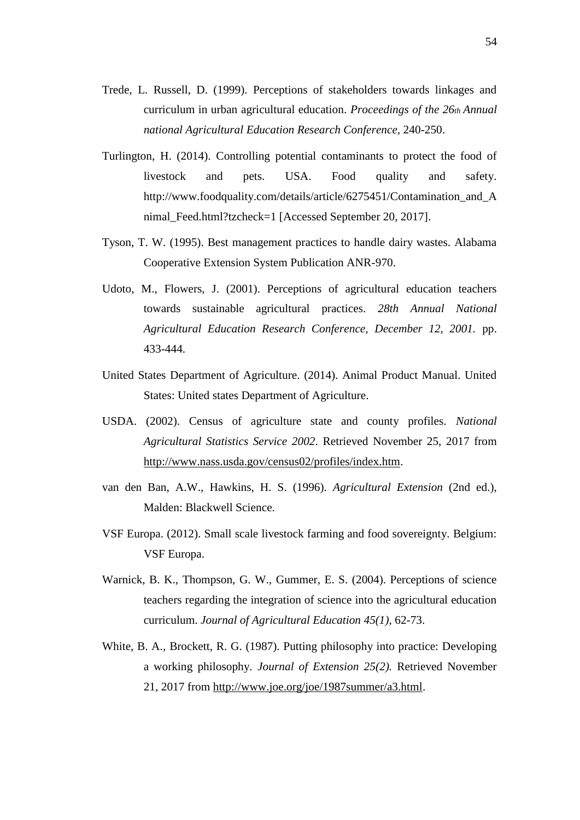- Trede, L. Russell, D. (1999). Perceptions of stakeholders towards linkages and curriculum in urban agricultural education. *Proceedings of the 26th Annual national Agricultural Education Research Conference,* 240-250.
- Turlington, H. (2014). Controlling potential contaminants to protect the food of livestock and pets. USA. Food quality and safety. http://www.foodquality.com/details/article/6275451/Contamination\_and\_A nimal\_Feed.html?tzcheck=1 [Accessed September 20, 2017].
- Tyson, T. W. (1995). Best management practices to handle dairy wastes. Alabama Cooperative Extension System Publication ANR-970.
- Udoto, M., Flowers, J. (2001). Perceptions of agricultural education teachers towards sustainable agricultural practices. *28th Annual National Agricultural Education Research Conference, December 12, 2001.* pp. 433-444.
- United States Department of Agriculture. (2014). Animal Product Manual. United States: United states Department of Agriculture.
- USDA. (2002). Census of agriculture state and county profiles. *National Agricultural Statistics Service 2002*. Retrieved November 25, 2017 from [http://www.nass.usda.gov/census02/profiles/index.htm.](http://www.nass.usda.gov/census02/profiles/index.htm)
- van den Ban, A.W., Hawkins, H. S. (1996). *Agricultural Extension* (2nd ed.), Malden: Blackwell Science.
- VSF Europa. (2012). Small scale livestock farming and food sovereignty. Belgium: VSF Europa.
- Warnick, B. K., Thompson, G. W., Gummer, E. S. (2004). Perceptions of science teachers regarding the integration of science into the agricultural education curriculum. *Journal of Agricultural Education 45(1),* 62-73.
- White, B. A., Brockett, R. G. (1987). Putting philosophy into practice: Developing a working philosophy. *Journal of Extension 25(2).* Retrieved November 21, 2017 from [http://www.joe.org/joe/1987summer/a3.html.](http://www.joe.org/joe/1987summer/a3.html)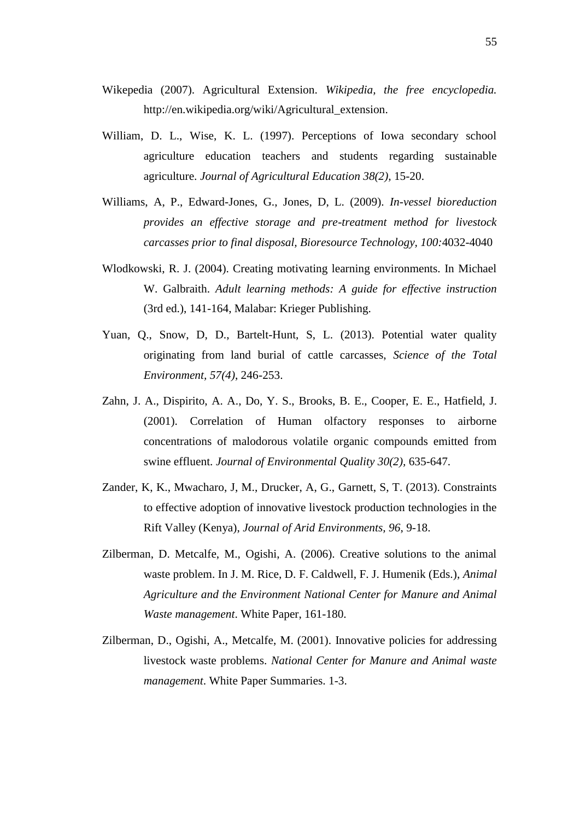- Wikepedia (2007). Agricultural Extension. *Wikipedia, the free encyclopedia.*  [http://en.wikipedia.org/wiki/Agricultural\\_extension.](http://en.wikipedia.org/wiki/Agricultural_extension)
- William, D. L., Wise, K. L. (1997). Perceptions of Iowa secondary school agriculture education teachers and students regarding sustainable agriculture. *Journal of Agricultural Education 38(2),* 15-20.
- Williams, A, P., Edward-Jones, G., Jones, D, L. (2009). *In-vessel bioreduction provides an effective storage and pre-treatment method for livestock carcasses prior to final disposal, Bioresource Technology, 100:*4032-4040
- Wlodkowski, R. J. (2004). Creating motivating learning environments. In Michael W. Galbraith. *Adult learning methods: A guide for effective instruction*  (3rd ed.), 141-164, Malabar: Krieger Publishing.
- Yuan, Q., Snow, D, D., Bartelt-Hunt, S, L. (2013). Potential water quality originating from land burial of cattle carcasses, *Science of the Total Environment, 57(4)*, 246-253.
- Zahn, J. A., Dispirito, A. A., Do, Y. S., Brooks, B. E., Cooper, E. E., Hatfield, J. (2001). Correlation of Human olfactory responses to airborne concentrations of malodorous volatile organic compounds emitted from swine effluent. *Journal of Environmental Quality 30(2),* 635-647.
- Zander, K, K., Mwacharo, J, M., Drucker, A, G., Garnett, S, T. (2013). Constraints to effective adoption of innovative livestock production technologies in the Rift Valley (Kenya), *Journal of Arid Environments, 96*, 9-18.
- Zilberman, D. Metcalfe, M., Ogishi, A. (2006). Creative solutions to the animal waste problem. In J. M. Rice, D. F. Caldwell, F. J. Humenik (Eds.), *Animal Agriculture and the Environment National Center for Manure and Animal Waste management*. White Paper, 161-180.
- Zilberman, D., Ogishi, A., Metcalfe, M. (2001). Innovative policies for addressing livestock waste problems. *National Center for Manure and Animal waste management*. White Paper Summaries. 1-3.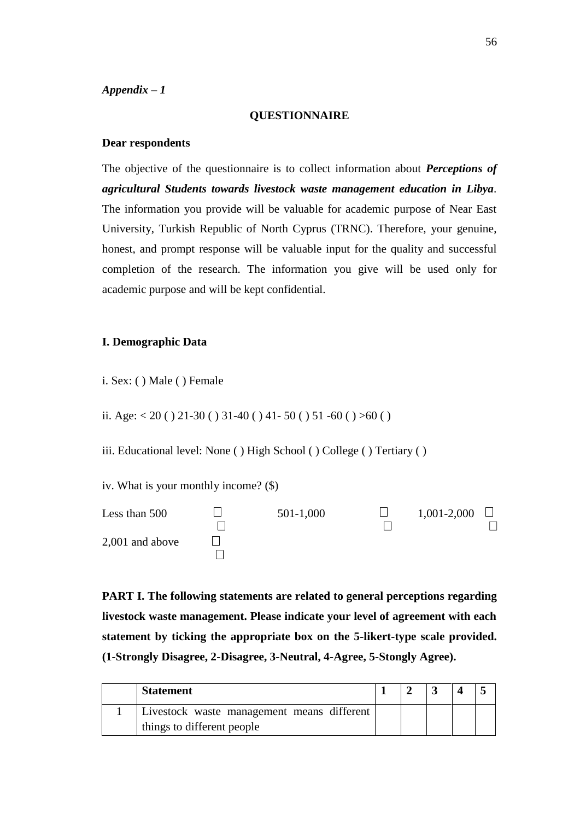#### **QUESTIONNAIRE**

#### **Dear respondents**

The objective of the questionnaire is to collect information about *Perceptions of agricultural Students towards livestock waste management education in Libya.* The information you provide will be valuable for academic purpose of Near East University, Turkish Republic of North Cyprus (TRNC). Therefore, your genuine, honest, and prompt response will be valuable input for the quality and successful completion of the research. The information you give will be used only for academic purpose and will be kept confidential.

#### **I. Demographic Data**

i. Sex: ( ) Male ( ) Female

ii. Age:  $< 20$  ( ) 21-30 ( ) 31-40 ( ) 41-50 ( ) 51-60 ( ) >60 ( )

iii. Educational level: None ( ) High School ( ) College ( ) Tertiary ( )

iv. What is your monthly income? (\$)



**PART I. The following statements are related to general perceptions regarding livestock waste management. Please indicate your level of agreement with each statement by ticking the appropriate box on the 5-likert-type scale provided. (1-Strongly Disagree, 2-Disagree, 3-Neutral, 4-Agree, 5-Stongly Agree).**

| <b>Statement</b>                           |  |  |  |
|--------------------------------------------|--|--|--|
| Livestock waste management means different |  |  |  |
| things to different people                 |  |  |  |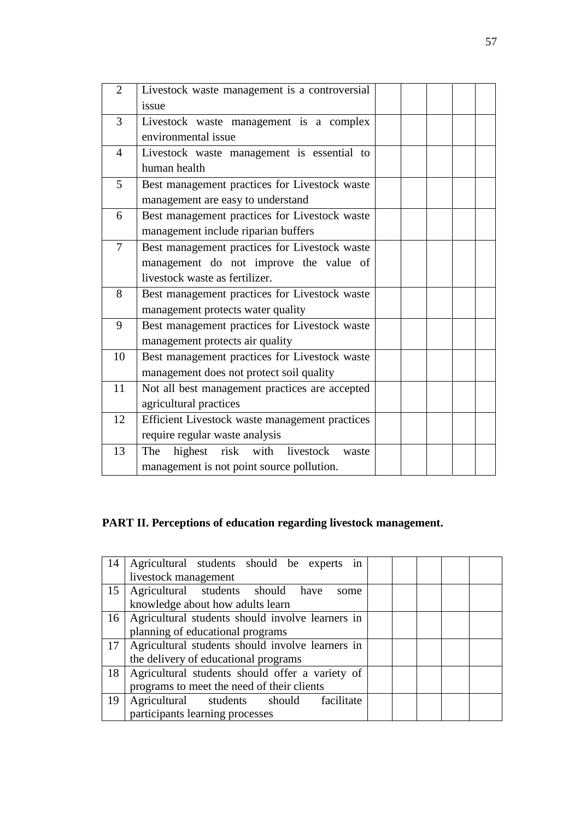| $\overline{2}$ | Livestock waste management is a controversial  |  |  |  |
|----------------|------------------------------------------------|--|--|--|
|                | issue                                          |  |  |  |
| 3              | Livestock waste management is a complex        |  |  |  |
|                | environmental issue                            |  |  |  |
| $\overline{4}$ | Livestock waste management is essential to     |  |  |  |
|                | human health                                   |  |  |  |
| 5              | Best management practices for Livestock waste  |  |  |  |
|                | management are easy to understand              |  |  |  |
| 6              | Best management practices for Livestock waste  |  |  |  |
|                | management include riparian buffers            |  |  |  |
| $\overline{7}$ | Best management practices for Livestock waste  |  |  |  |
|                | management do not improve the value of         |  |  |  |
|                | livestock waste as fertilizer.                 |  |  |  |
| 8              | Best management practices for Livestock waste  |  |  |  |
|                | management protects water quality              |  |  |  |
| 9              | Best management practices for Livestock waste  |  |  |  |
|                | management protects air quality                |  |  |  |
| 10             | Best management practices for Livestock waste  |  |  |  |
|                | management does not protect soil quality       |  |  |  |
| 11             | Not all best management practices are accepted |  |  |  |
|                | agricultural practices                         |  |  |  |
| 12             | Efficient Livestock waste management practices |  |  |  |
|                | require regular waste analysis                 |  |  |  |
| 13             | risk with livestock<br>highest<br>The<br>waste |  |  |  |
|                | management is not point source pollution.      |  |  |  |

# **PART II. Perceptions of education regarding livestock management.**

| 14 | Agricultural students should be experts in            |  |  |  |  |  |  |  |  |  |  |  |
|----|-------------------------------------------------------|--|--|--|--|--|--|--|--|--|--|--|
|    | livestock management                                  |  |  |  |  |  |  |  |  |  |  |  |
|    | 15   Agricultural students should have<br>some        |  |  |  |  |  |  |  |  |  |  |  |
|    | knowledge about how adults learn                      |  |  |  |  |  |  |  |  |  |  |  |
|    | 16   Agricultural students should involve learners in |  |  |  |  |  |  |  |  |  |  |  |
|    | planning of educational programs                      |  |  |  |  |  |  |  |  |  |  |  |
|    | 17   Agricultural students should involve learners in |  |  |  |  |  |  |  |  |  |  |  |
|    | the delivery of educational programs                  |  |  |  |  |  |  |  |  |  |  |  |
| 18 | Agricultural students should offer a variety of       |  |  |  |  |  |  |  |  |  |  |  |
|    | programs to meet the need of their clients            |  |  |  |  |  |  |  |  |  |  |  |
| 19 | Agricultural students should facilitate               |  |  |  |  |  |  |  |  |  |  |  |
|    | participants learning processes                       |  |  |  |  |  |  |  |  |  |  |  |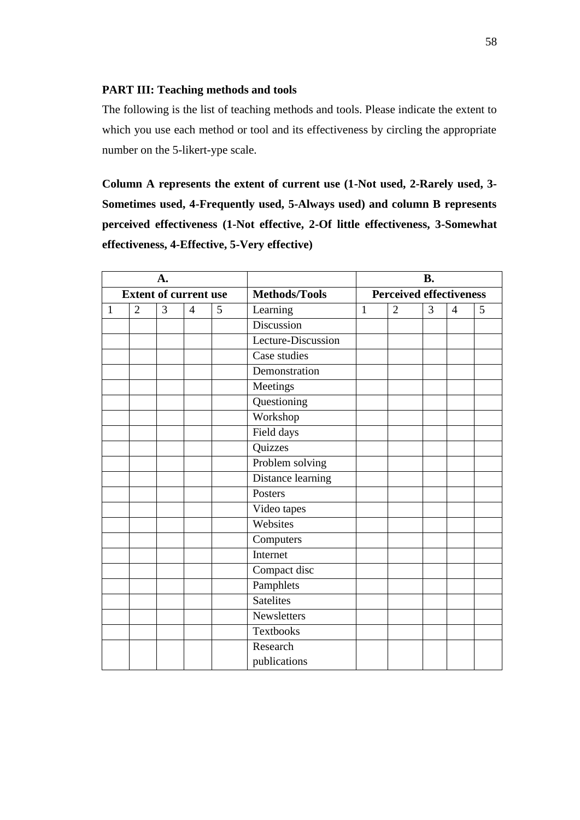#### **PART III: Teaching methods and tools**

The following is the list of teaching methods and tools. Please indicate the extent to which you use each method or tool and its effectiveness by circling the appropriate number on the 5-likert-ype scale.

**Column A represents the extent of current use (1-Not used, 2-Rarely used, 3- Sometimes used, 4-Frequently used, 5-Always used) and column B represents perceived effectiveness (1-Not effective, 2-Of little effectiveness, 3-Somewhat effectiveness, 4-Effective, 5-Very effective)**

| A.           |                              |   |                |   |                        | <b>B.</b>    |                                |   |                |   |  |  |
|--------------|------------------------------|---|----------------|---|------------------------|--------------|--------------------------------|---|----------------|---|--|--|
|              | <b>Extent of current use</b> |   |                |   | <b>Methods/Tools</b>   |              | <b>Perceived effectiveness</b> |   |                |   |  |  |
| $\mathbf{1}$ | $\overline{2}$               | 3 | $\overline{4}$ | 5 | Learning               | $\mathbf{1}$ | $\overline{2}$                 | 3 | $\overline{4}$ | 5 |  |  |
|              |                              |   | Discussion     |   |                        |              |                                |   |                |   |  |  |
|              |                              |   |                |   | Lecture-Discussion     |              |                                |   |                |   |  |  |
|              |                              |   |                |   | Case studies           |              |                                |   |                |   |  |  |
|              |                              |   |                |   | Demonstration          |              |                                |   |                |   |  |  |
|              |                              |   |                |   | Meetings               |              |                                |   |                |   |  |  |
|              |                              |   |                |   | Questioning            |              |                                |   |                |   |  |  |
|              |                              |   |                |   | Workshop               |              |                                |   |                |   |  |  |
|              |                              |   |                |   | Field days             |              |                                |   |                |   |  |  |
|              |                              |   |                |   | Quizzes                |              |                                |   |                |   |  |  |
|              |                              |   |                |   | Problem solving        |              |                                |   |                |   |  |  |
|              |                              |   |                |   | Distance learning      |              |                                |   |                |   |  |  |
|              |                              |   |                |   | Posters                |              |                                |   |                |   |  |  |
|              |                              |   |                |   | Video tapes            |              |                                |   |                |   |  |  |
|              |                              |   |                |   | Websites               |              |                                |   |                |   |  |  |
|              |                              |   |                |   | $\overline{Computers}$ |              |                                |   |                |   |  |  |
|              |                              |   |                |   | Internet               |              |                                |   |                |   |  |  |
|              |                              |   |                |   | Compact disc           |              |                                |   |                |   |  |  |
|              |                              |   |                |   | Pamphlets              |              |                                |   |                |   |  |  |
|              |                              |   |                |   | <b>Satelites</b>       |              |                                |   |                |   |  |  |
|              |                              |   |                |   | Newsletters            |              |                                |   |                |   |  |  |
|              |                              |   |                |   | <b>Textbooks</b>       |              |                                |   |                |   |  |  |
|              |                              |   |                |   | Research               |              |                                |   |                |   |  |  |
|              |                              |   |                |   | publications           |              |                                |   |                |   |  |  |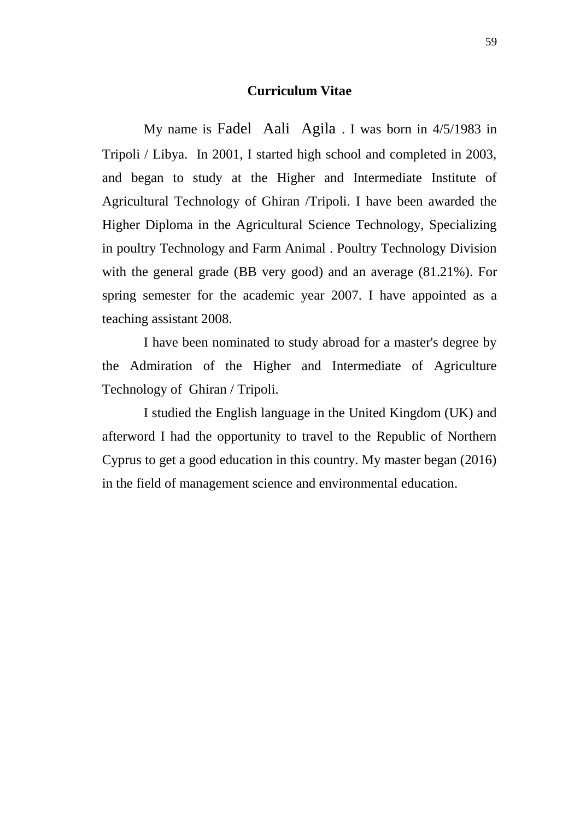### **Curriculum Vitae**

My name is Fadel Aali Agila . I was born in 4/5/1983 in Tripoli / Libya. In 2001, I started high school and completed in 2003, and began to study at the Higher and Intermediate Institute of Agricultural Technology of Ghiran /Tripoli. I have been awarded the Higher Diploma in the Agricultural Science Technology, Specializing in poultry Technology and Farm Animal . Poultry Technology Division with the general grade (BB very good) and an average (81.21%). For spring semester for the academic year 2007. I have appointed as a teaching assistant 2008.

I have been nominated to study abroad for a master's degree by the Admiration of the Higher and Intermediate of Agriculture Technology of Ghiran / Tripoli.

I studied the English language in the United Kingdom (UK) and afterword I had the opportunity to travel to the Republic of Northern Cyprus to get a good education in this country. My master began (2016) in the field of management science and environmental education.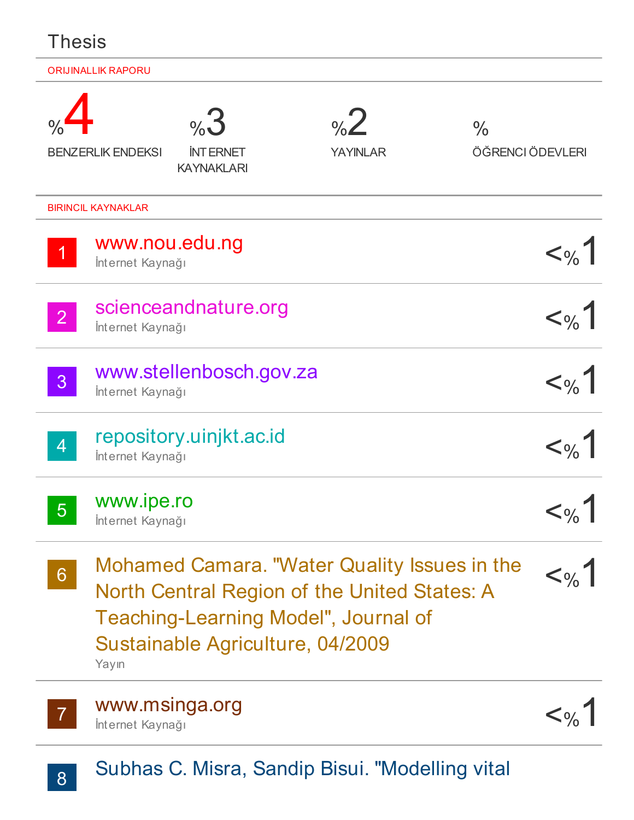| Thesis         |                                |                                            |                                                                                                                                                    |                                   |
|----------------|--------------------------------|--------------------------------------------|----------------------------------------------------------------------------------------------------------------------------------------------------|-----------------------------------|
|                | <b>ORIJINALLIK RAPORU</b>      |                                            |                                                                                                                                                    |                                   |
|                | <b>BENZERLIK ENDEKSI</b>       | %3<br><b>INTERNET</b><br><b>KAYNAKLARI</b> | $\frac{1}{2}$<br><b>YAYINLAR</b>                                                                                                                   | $\frac{0}{0}$<br>ÖĞRENCI ÖDEVLERI |
|                | <b>BIRINCIL KAYNAKLAR</b>      |                                            |                                                                                                                                                    |                                   |
| $\overline{1}$ | İnternet Kaynağı               | www.nou.edu.ng                             |                                                                                                                                                    | $<\!\omega_{0}$                   |
| $\overline{2}$ | İnternet Kaynağı               | scienceandnature.org                       |                                                                                                                                                    | $<\!\!\circ\!\!$                  |
| 3              | İnternet Kaynağı               | www.stellenbosch.gov.za                    |                                                                                                                                                    |                                   |
| <b>AT</b>      | İnternet Kaynağı               | repository.uinjkt.ac.id                    |                                                                                                                                                    |                                   |
| 5 <sup>1</sup> | www.ipe.ro<br>İnternet Kaynağı |                                            |                                                                                                                                                    | $<\,\%$                           |
| 6 <sup>°</sup> | Yayın                          | Sustainable Agriculture, 04/2009           | Mohamed Camara. "Water Quality Issues in the<br><b>North Central Region of the United States: A</b><br><b>Teaching-Learning Model", Journal of</b> | $<\!\!\circ\!\!_{\!o\!\!}/_{\!o}$ |



7 WWW.msinga.org<br>
litternet Kaynağı İnternet Kaynağı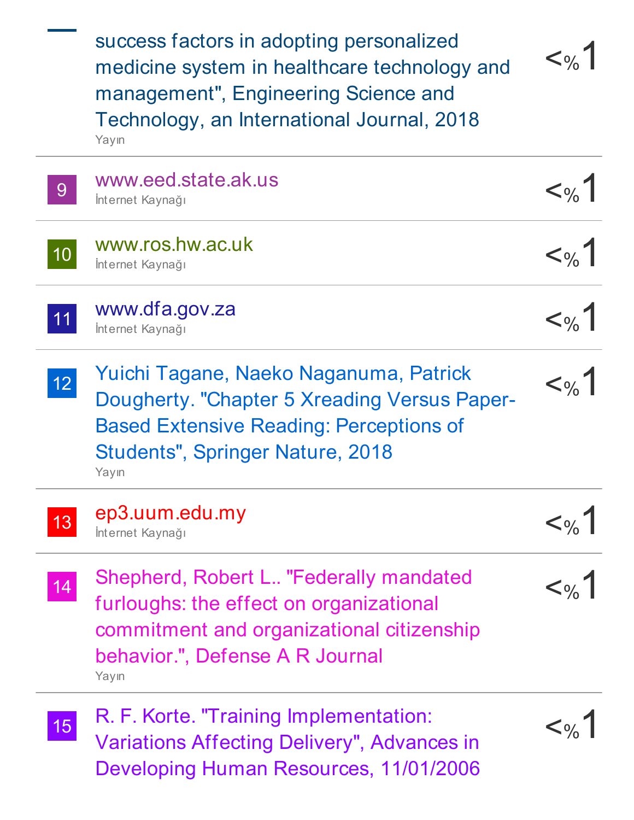$<\!\!\circ\!\!$ 9 WWW.eed.state.ak.us <% 10 WWW.ros.hw.ac.uk<br>
Internet Kaynağı 11 WWW.dfa.gov.za<br>
Internet Kaynağı 12 Yuichi Tagane, Naeko Naganuma, Patrick<br>Dougherty "Chanter 5 Xreading Versus Paper-13 ep3.uum.edu.my <%1 14 Shepherd, Robert L.. "Federally mandated  $\left\langle \gamma_{\ell} \right\rangle$   $\left\langle \gamma_{\ell} \right\rangle$ 15 R. F. Korte. "Training Implementation:<br>Variations Affecting Delivery" Advances in <%1 success factors in adopting personalized medicine system in healthcare technology and management" , Engineering Science and Technology, an International Journal, 2018 Yayın İnternet Kaynağı www.ros.hw.ac.uk İnternet Kaynağı İnternet Kaynağı Dougherty. "Chapter 5 Xreading Versus Paper-Based Extensive Reading: Perceptions of Students" , Springer Nature, 2018 Yayın İnternet Kaynağı furloughs: the effect on organizational commitment and organizational citizenship behavior." , Defense A R Journal Yayın Variations Affecting Delivery" , Advances in

Developing Human Resources, 11/01/2006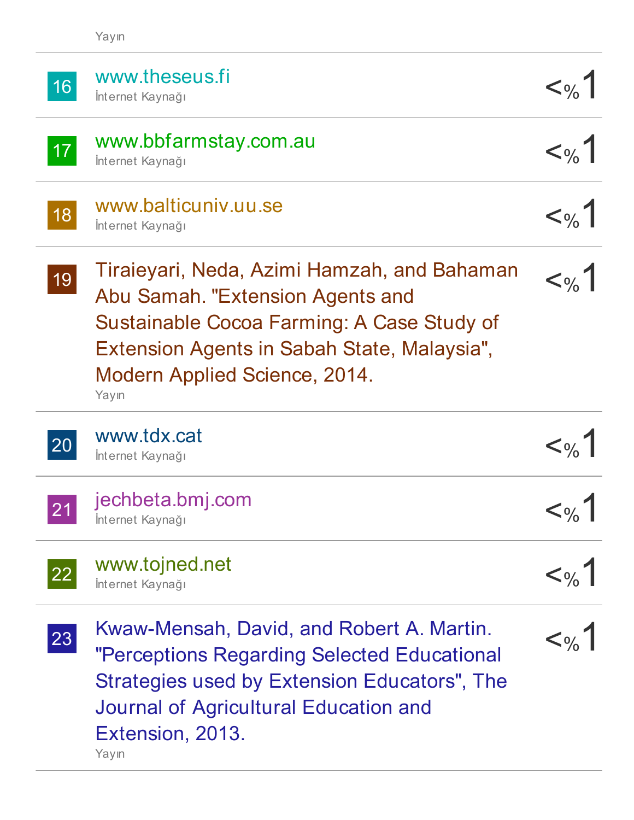| 16              | www.theseus.fi<br>İnternet Kaynağı                                                                                                                                                                                     | $<\frac{9}{6}$                           |
|-----------------|------------------------------------------------------------------------------------------------------------------------------------------------------------------------------------------------------------------------|------------------------------------------|
| 17 <sup>°</sup> | www.bbfarmstay.com.au<br>İnternet Kaynağı                                                                                                                                                                              | $<\!\!\circ\!\!_{\!o\!\!}/$              |
| 18              | www.balticuniv.uu.se<br>İnternet Kaynağı                                                                                                                                                                               | $<\!\!\circ\!\!_{\!o\!\!}/$              |
| 19              | Tiraieyari, Neda, Azimi Hamzah, and Bahaman<br>Abu Samah. "Extension Agents and<br>Sustainable Cocoa Farming: A Case Study of<br>Extension Agents in Sabah State, Malaysia",<br>Modern Applied Science, 2014.<br>Yayın | $<\!\!\circ\!\!_{\!o\!\!}/_{\!o}$        |
|                 |                                                                                                                                                                                                                        |                                          |
| 20              | www.tdx.cat<br>İnternet Kaynağı                                                                                                                                                                                        | $<\frac{9}{6}$                           |
| 21              | jechbeta.bmj.com<br>Internet Kaynağı                                                                                                                                                                                   | $<\!\!\circ_{\!\!\!~\!\!\circ}$          |
| 22              | www.tojned.net<br>İnternet Kaynağı                                                                                                                                                                                     | $<\!\omega_{\!\scriptscriptstyle\wedge}$ |